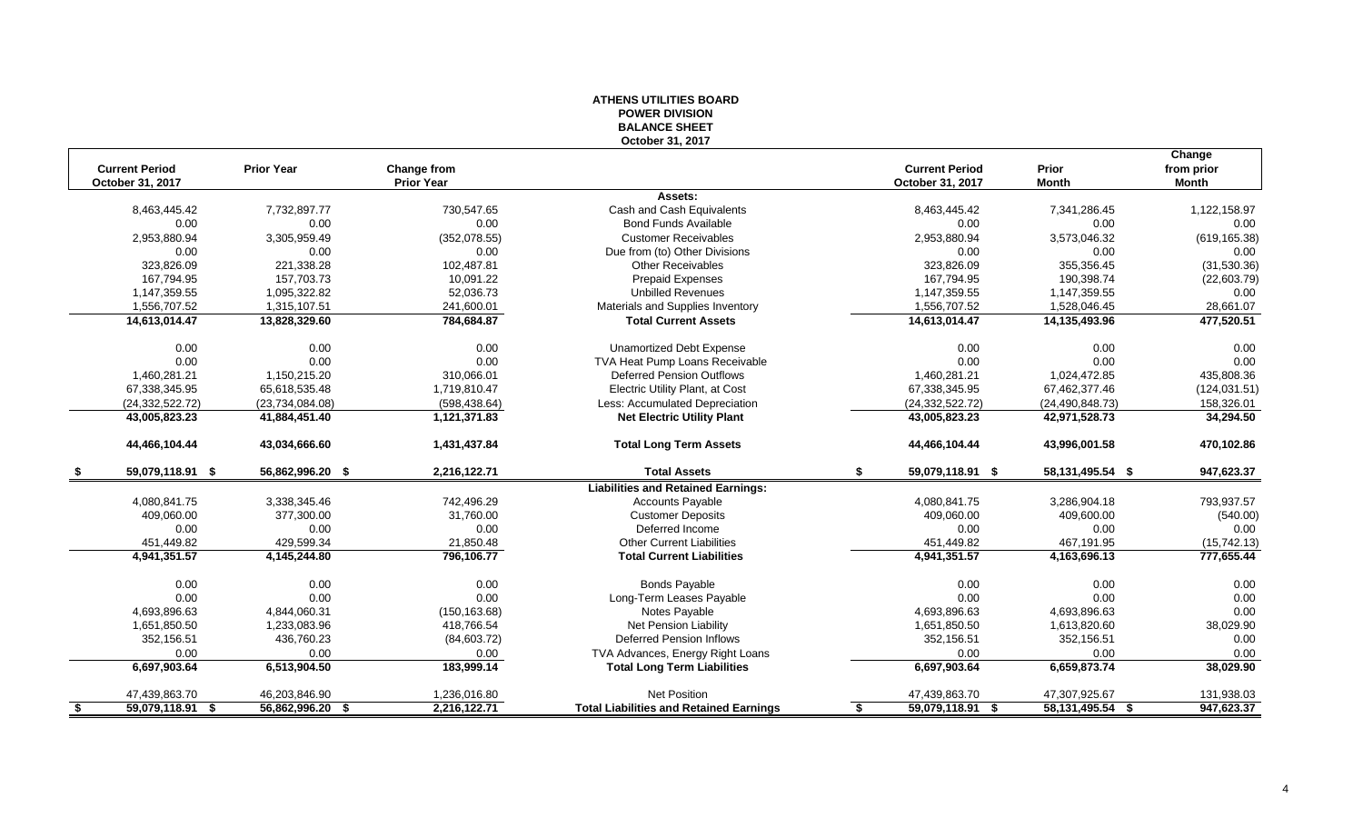#### **ATHENS UTILITIES BOARD POWER DIVISION BALANCE SHEET October 31, 2017**

|      |                       |                    |                   |                                                |                         |                     | Change        |
|------|-----------------------|--------------------|-------------------|------------------------------------------------|-------------------------|---------------------|---------------|
|      | <b>Current Period</b> | <b>Prior Year</b>  | Change from       |                                                | <b>Current Period</b>   | Prior               | from prior    |
|      | October 31, 2017      |                    | <b>Prior Year</b> |                                                | <b>October 31, 2017</b> | <b>Month</b>        | Month         |
|      |                       |                    |                   | Assets:                                        |                         |                     |               |
|      | 8,463,445.42          | 7,732,897.77       | 730,547.65        | Cash and Cash Equivalents                      | 8,463,445.42            | 7,341,286.45        | 1,122,158.97  |
|      | 0.00                  | 0.00               | 0.00              | <b>Bond Funds Available</b>                    | 0.00                    | 0.00                | 0.00          |
|      | 2,953,880.94          | 3,305,959.49       | (352,078.55)      | <b>Customer Receivables</b>                    | 2,953,880.94            | 3,573,046.32        | (619, 165.38) |
|      | 0.00                  | 0.00               | 0.00              | Due from (to) Other Divisions                  | 0.00                    | 0.00                | 0.00          |
|      | 323,826.09            | 221,338.28         | 102,487.81        | <b>Other Receivables</b>                       | 323,826.09              | 355,356.45          | (31,530.36)   |
|      | 167,794.95            | 157,703.73         | 10,091.22         | <b>Prepaid Expenses</b>                        | 167,794.95              | 190,398.74          | (22,603.79)   |
|      | 1,147,359.55          | 1,095,322.82       | 52,036.73         | <b>Unbilled Revenues</b>                       | 1,147,359.55            | 1,147,359.55        | 0.00          |
|      | 1,556,707.52          | 1,315,107.51       | 241,600.01        | Materials and Supplies Inventory               | 1,556,707.52            | 1,528,046.45        | 28,661.07     |
|      | 14,613,014.47         | 13,828,329.60      | 784,684.87        | <b>Total Current Assets</b>                    | 14,613,014.47           | 14,135,493.96       | 477,520.51    |
|      | 0.00                  | 0.00               | 0.00              | Unamortized Debt Expense                       | 0.00                    | 0.00                | 0.00          |
|      | 0.00                  | 0.00               | 0.00              | TVA Heat Pump Loans Receivable                 | 0.00                    | 0.00                | 0.00          |
|      | 1,460,281.21          | 1,150,215.20       | 310,066.01        | <b>Deferred Pension Outflows</b>               | 1,460,281.21            | 1,024,472.85        | 435,808.36    |
|      | 67,338,345.95         | 65,618,535.48      | 1,719,810.47      | Electric Utility Plant, at Cost                | 67,338,345.95           | 67,462,377.46       | (124, 031.51) |
|      | (24, 332, 522.72)     | (23,734,084.08)    | (598, 438.64)     | Less: Accumulated Depreciation                 | (24, 332, 522.72)       | (24, 490, 848.73)   | 158,326.01    |
|      | 43,005,823.23         | 41,884,451.40      | 1,121,371.83      | <b>Net Electric Utility Plant</b>              | 43,005,823.23           | 42,971,528.73       | 34,294.50     |
|      | 44,466,104.44         | 43,034,666.60      | 1,431,437.84      | <b>Total Long Term Assets</b>                  | 44,466,104.44           | 43,996,001.58       | 470,102.86    |
| - 56 | 59,079,118.91 \$      | 56,862,996.20 \$   | 2,216,122.71      | <b>Total Assets</b>                            | \$<br>59,079,118.91 \$  | 58, 131, 495. 54 \$ | 947,623.37    |
|      |                       |                    |                   | <b>Liabilities and Retained Earnings:</b>      |                         |                     |               |
|      | 4,080,841.75          | 3,338,345.46       | 742,496.29        | <b>Accounts Payable</b>                        | 4,080,841.75            | 3,286,904.18        | 793,937.57    |
|      | 409,060.00            | 377,300.00         | 31,760.00         | <b>Customer Deposits</b>                       | 409,060.00              | 409,600.00          | (540.00)      |
|      | 0.00                  | 0.00               | 0.00              | Deferred Income                                | 0.00                    | 0.00                | 0.00          |
|      | 451,449.82            | 429,599.34         | 21,850.48         | <b>Other Current Liabilities</b>               | 451,449.82              | 467,191.95          | (15, 742.13)  |
|      | 4,941,351.57          | 4,145,244.80       | 796,106.77        | <b>Total Current Liabilities</b>               | 4,941,351.57            | 4,163,696.13        | 777,655.44    |
|      | 0.00                  | 0.00               | 0.00              | <b>Bonds Payable</b>                           | 0.00                    | 0.00                | 0.00          |
|      | 0.00                  | 0.00               | 0.00              | Long-Term Leases Payable                       | 0.00                    | 0.00                | 0.00          |
|      | 4,693,896.63          | 4,844,060.31       | (150, 163.68)     | Notes Payable                                  | 4,693,896.63            | 4,693,896.63        | 0.00          |
|      | 1,651,850.50          | 1,233,083.96       | 418,766.54        | <b>Net Pension Liability</b>                   | 1,651,850.50            | 1,613,820.60        | 38,029.90     |
|      | 352,156.51            | 436,760.23         | (84,603.72)       | Deferred Pension Inflows                       | 352,156.51              | 352,156.51          | 0.00          |
|      | 0.00                  | 0.00               | 0.00              | TVA Advances, Energy Right Loans               | 0.00                    | 0.00                | 0.00          |
|      | 6,697,903.64          | 6,513,904.50       | 183,999.14        | <b>Total Long Term Liabilities</b>             | 6,697,903.64            | 6,659,873.74        | 38,029.90     |
|      | 47,439,863.70         | 46,203,846.90      | 1,236,016.80      | <b>Net Position</b>                            | 47,439,863.70           | 47,307,925.67       | 131,938.03    |
| - \$ | 59,079,118.91 \$      | $56,862,996.20$ \$ | 2,216,122.71      | <b>Total Liabilities and Retained Earnings</b> | 59,079,118.91 \$<br>-\$ | 58, 131, 495. 54 \$ | 947,623.37    |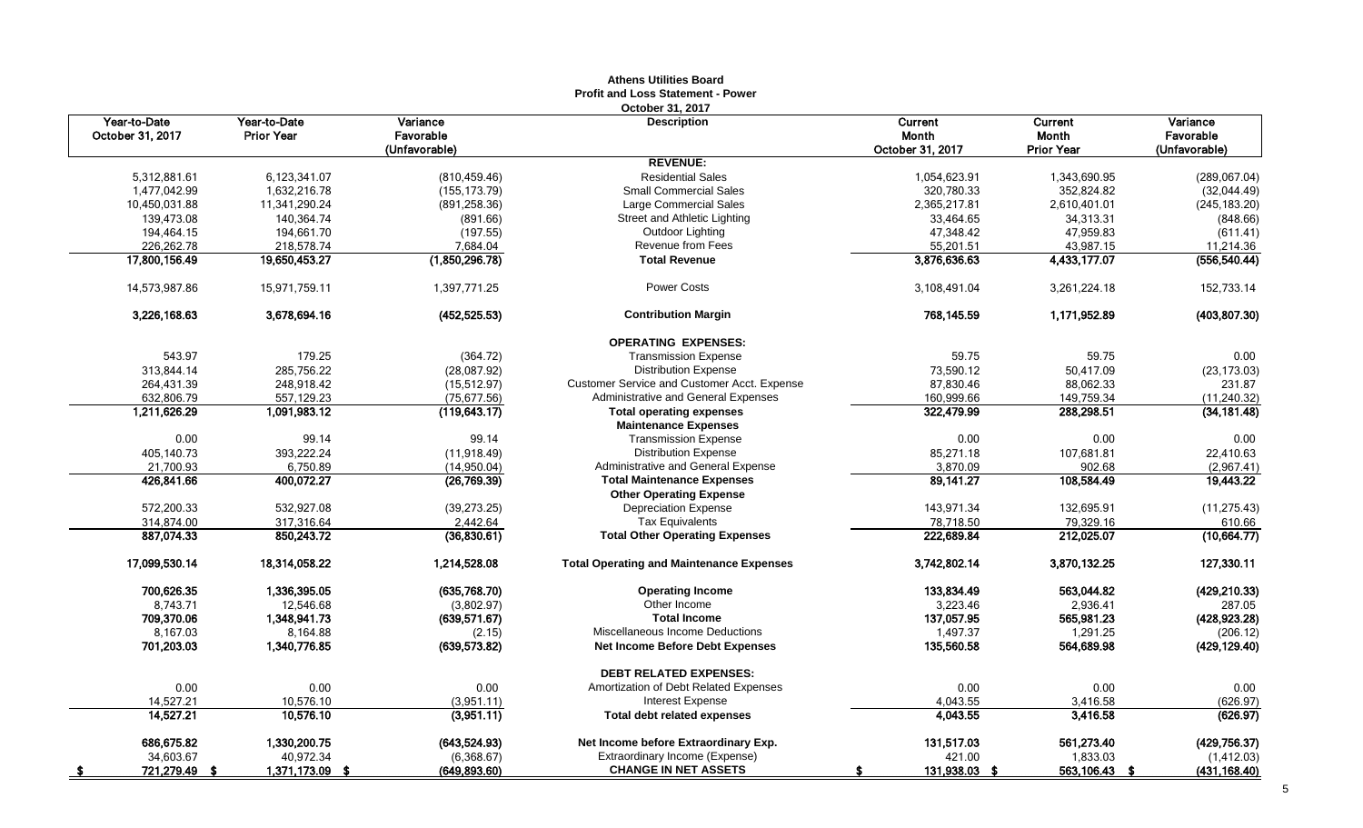| Year-to-Date<br>Year-to-Date<br>Variance<br><b>Description</b><br>Current<br>Current<br>Variance<br>October 31, 2017<br><b>Prior Year</b><br>Favorable<br>Month<br><b>Month</b><br>Favorable<br>(Unfavorable)<br>October 31, 2017<br>(Unfavorable)<br><b>Prior Year</b><br><b>REVENUE:</b><br>5,312,881.61<br>6,123,341.07<br>(810, 459.46)<br><b>Residential Sales</b><br>1,343,690.95<br>1,054,623.91<br><b>Small Commercial Sales</b><br>1,477,042.99<br>1,632,216.78<br>(155, 173.79)<br>320,780.33<br>352,824.82<br>10,450,031.88<br>Large Commercial Sales<br>11,341,290.24<br>(891, 258, 36)<br>2,365,217.81<br>2,610,401.01<br>139,473.08<br>Street and Athletic Lighting<br>140,364.74<br>33,464.65<br>34,313.31<br>(891.66)<br>47,959.83<br>194,464.15<br>194,661.70<br>(197.55)<br>Outdoor Lighting<br>47,348.42<br>226,262.78<br>Revenue from Fees<br>55,201.51<br>218,578.74<br>7,684.04<br>43,987.15<br>3,876,636.63<br>4,433,177.07<br>17,800,156.49<br>19,650,453.27<br>(1,850,296.78)<br><b>Total Revenue</b><br><b>Power Costs</b><br>14,573,987.86<br>15,971,759.11<br>1,397,771.25<br>3,108,491.04<br>3,261,224.18<br>1,171,952.89<br>3,226,168.63<br>3,678,694.16<br>(452, 525.53)<br><b>Contribution Margin</b><br>768,145.59<br><b>OPERATING EXPENSES:</b><br>543.97<br>179.25<br><b>Transmission Expense</b><br>59.75<br>59.75<br>(364.72)<br>285,756.22<br>313,844.14<br>(28,087.92)<br><b>Distribution Expense</b><br>73,590.12<br>50,417.09<br>Customer Service and Customer Acct. Expense<br>88,062.33<br>264,431.39<br>248,918.42<br>(15, 512.97)<br>87,830.46<br>632,806.79<br>Administrative and General Expenses<br>149,759.34<br>557,129.23<br>(75, 677.56)<br>160,999.66<br>288,298.51<br>1,211,626.29<br>1,091,983.12<br>(119, 643.17)<br><b>Total operating expenses</b><br>322,479.99<br><b>Maintenance Expenses</b><br>0.00<br>0.00<br>99.14<br>99.14<br><b>Transmission Expense</b><br>0.00<br>393,222.24<br><b>Distribution Expense</b><br>85,271.18<br>405,140.73<br>(11, 918.49)<br>107,681.81<br>21,700.93<br>Administrative and General Expense<br>3,870.09<br>6,750.89<br>(14, 950.04)<br>902.68<br><b>Total Maintenance Expenses</b><br>89,141.27<br>426,841.66<br>400,072.27<br>(26, 769.39)<br>108,584.49<br><b>Other Operating Expense</b><br>572,200.33<br>532,927.08<br>(39, 273.25)<br><b>Depreciation Expense</b><br>143,971.34<br>132,695.91<br><b>Tax Equivalents</b><br>79,329.16<br>314,874.00<br>317,316.64<br>2,442.64<br>78,718.50<br>887.074.33<br>850,243.72<br>(36,830.61)<br>222,689.84<br>212,025.07<br><b>Total Other Operating Expenses</b><br>17,099,530.14<br>18,314,058.22<br>1,214,528.08<br><b>Total Operating and Maintenance Expenses</b><br>3,742,802.14<br>3,870,132.25<br>700,626.35<br>133,834.49<br>1,336,395.05<br>(635,768.70)<br>563,044.82<br><b>Operating Income</b><br>8,743.71<br>Other Income<br>12,546.68<br>3,223.46<br>2,936.41<br>(3,802.97)<br>709,370.06<br><b>Total Income</b><br>137,057.95<br>565,981.23<br>1,348,941.73<br>(639, 571.67)<br>1,497.37<br>8,167.03<br>8,164.88<br>Miscellaneous Income Deductions<br>1,291.25<br>(2.15)<br>701,203.03<br>1,340,776.85<br><b>Net Income Before Debt Expenses</b><br>135,560.58<br>564,689.98<br>(639, 573.82)<br><b>DEBT RELATED EXPENSES:</b><br>0.00<br>0.00<br>0.00<br>Amortization of Debt Related Expenses<br>0.00<br>0.00<br>14,527.21<br>10,576.10<br><b>Interest Expense</b><br>4,043.55<br>3,416.58<br>(3,951.11)<br><b>Total debt related expenses</b><br>14,527.21<br>10,576.10<br>(3,951.11)<br>4,043.55<br>3,416.58<br>686,675.82<br>1,330,200.75<br>561,273.40<br>(429, 756.37)<br>(643, 524.93)<br>Net Income before Extraordinary Exp.<br>131,517.03<br>34,603.67<br>40,972.34<br>Extraordinary Income (Expense)<br>421.00<br>1,833.03<br>(6,368.67) |                   |                 |              | AUICIIS VUIIUCS DUAIU<br>Profit and Loss Statement - Power |               |               |                              |
|--------------------------------------------------------------------------------------------------------------------------------------------------------------------------------------------------------------------------------------------------------------------------------------------------------------------------------------------------------------------------------------------------------------------------------------------------------------------------------------------------------------------------------------------------------------------------------------------------------------------------------------------------------------------------------------------------------------------------------------------------------------------------------------------------------------------------------------------------------------------------------------------------------------------------------------------------------------------------------------------------------------------------------------------------------------------------------------------------------------------------------------------------------------------------------------------------------------------------------------------------------------------------------------------------------------------------------------------------------------------------------------------------------------------------------------------------------------------------------------------------------------------------------------------------------------------------------------------------------------------------------------------------------------------------------------------------------------------------------------------------------------------------------------------------------------------------------------------------------------------------------------------------------------------------------------------------------------------------------------------------------------------------------------------------------------------------------------------------------------------------------------------------------------------------------------------------------------------------------------------------------------------------------------------------------------------------------------------------------------------------------------------------------------------------------------------------------------------------------------------------------------------------------------------------------------------------------------------------------------------------------------------------------------------------------------------------------------------------------------------------------------------------------------------------------------------------------------------------------------------------------------------------------------------------------------------------------------------------------------------------------------------------------------------------------------------------------------------------------------------------------------------------------------------------------------------------------------------------------------------------------------------------------------------------------------------------------------------------------------------------------------------------------------------------------------------------------------------------------------------------------------------------------------------------------------------------------------------------------------------------------------------------------------------------------------------------------------------------------------------------------------------------------------------------------------------|-------------------|-----------------|--------------|------------------------------------------------------------|---------------|---------------|------------------------------|
|                                                                                                                                                                                                                                                                                                                                                                                                                                                                                                                                                                                                                                                                                                                                                                                                                                                                                                                                                                                                                                                                                                                                                                                                                                                                                                                                                                                                                                                                                                                                                                                                                                                                                                                                                                                                                                                                                                                                                                                                                                                                                                                                                                                                                                                                                                                                                                                                                                                                                                                                                                                                                                                                                                                                                                                                                                                                                                                                                                                                                                                                                                                                                                                                                                                                                                                                                                                                                                                                                                                                                                                                                                                                                                                                                                                                                    |                   |                 |              | October 31, 2017                                           |               |               |                              |
|                                                                                                                                                                                                                                                                                                                                                                                                                                                                                                                                                                                                                                                                                                                                                                                                                                                                                                                                                                                                                                                                                                                                                                                                                                                                                                                                                                                                                                                                                                                                                                                                                                                                                                                                                                                                                                                                                                                                                                                                                                                                                                                                                                                                                                                                                                                                                                                                                                                                                                                                                                                                                                                                                                                                                                                                                                                                                                                                                                                                                                                                                                                                                                                                                                                                                                                                                                                                                                                                                                                                                                                                                                                                                                                                                                                                                    |                   |                 |              |                                                            |               |               |                              |
|                                                                                                                                                                                                                                                                                                                                                                                                                                                                                                                                                                                                                                                                                                                                                                                                                                                                                                                                                                                                                                                                                                                                                                                                                                                                                                                                                                                                                                                                                                                                                                                                                                                                                                                                                                                                                                                                                                                                                                                                                                                                                                                                                                                                                                                                                                                                                                                                                                                                                                                                                                                                                                                                                                                                                                                                                                                                                                                                                                                                                                                                                                                                                                                                                                                                                                                                                                                                                                                                                                                                                                                                                                                                                                                                                                                                                    |                   |                 |              |                                                            |               |               | (289,067.04)                 |
|                                                                                                                                                                                                                                                                                                                                                                                                                                                                                                                                                                                                                                                                                                                                                                                                                                                                                                                                                                                                                                                                                                                                                                                                                                                                                                                                                                                                                                                                                                                                                                                                                                                                                                                                                                                                                                                                                                                                                                                                                                                                                                                                                                                                                                                                                                                                                                                                                                                                                                                                                                                                                                                                                                                                                                                                                                                                                                                                                                                                                                                                                                                                                                                                                                                                                                                                                                                                                                                                                                                                                                                                                                                                                                                                                                                                                    |                   |                 |              |                                                            |               |               | (32,044.49)                  |
|                                                                                                                                                                                                                                                                                                                                                                                                                                                                                                                                                                                                                                                                                                                                                                                                                                                                                                                                                                                                                                                                                                                                                                                                                                                                                                                                                                                                                                                                                                                                                                                                                                                                                                                                                                                                                                                                                                                                                                                                                                                                                                                                                                                                                                                                                                                                                                                                                                                                                                                                                                                                                                                                                                                                                                                                                                                                                                                                                                                                                                                                                                                                                                                                                                                                                                                                                                                                                                                                                                                                                                                                                                                                                                                                                                                                                    |                   |                 |              |                                                            |               |               | (245, 183.20)                |
|                                                                                                                                                                                                                                                                                                                                                                                                                                                                                                                                                                                                                                                                                                                                                                                                                                                                                                                                                                                                                                                                                                                                                                                                                                                                                                                                                                                                                                                                                                                                                                                                                                                                                                                                                                                                                                                                                                                                                                                                                                                                                                                                                                                                                                                                                                                                                                                                                                                                                                                                                                                                                                                                                                                                                                                                                                                                                                                                                                                                                                                                                                                                                                                                                                                                                                                                                                                                                                                                                                                                                                                                                                                                                                                                                                                                                    |                   |                 |              |                                                            |               |               | (848.66)                     |
|                                                                                                                                                                                                                                                                                                                                                                                                                                                                                                                                                                                                                                                                                                                                                                                                                                                                                                                                                                                                                                                                                                                                                                                                                                                                                                                                                                                                                                                                                                                                                                                                                                                                                                                                                                                                                                                                                                                                                                                                                                                                                                                                                                                                                                                                                                                                                                                                                                                                                                                                                                                                                                                                                                                                                                                                                                                                                                                                                                                                                                                                                                                                                                                                                                                                                                                                                                                                                                                                                                                                                                                                                                                                                                                                                                                                                    |                   |                 |              |                                                            |               |               | (611.41)                     |
|                                                                                                                                                                                                                                                                                                                                                                                                                                                                                                                                                                                                                                                                                                                                                                                                                                                                                                                                                                                                                                                                                                                                                                                                                                                                                                                                                                                                                                                                                                                                                                                                                                                                                                                                                                                                                                                                                                                                                                                                                                                                                                                                                                                                                                                                                                                                                                                                                                                                                                                                                                                                                                                                                                                                                                                                                                                                                                                                                                                                                                                                                                                                                                                                                                                                                                                                                                                                                                                                                                                                                                                                                                                                                                                                                                                                                    |                   |                 |              |                                                            |               |               | 11,214.36                    |
|                                                                                                                                                                                                                                                                                                                                                                                                                                                                                                                                                                                                                                                                                                                                                                                                                                                                                                                                                                                                                                                                                                                                                                                                                                                                                                                                                                                                                                                                                                                                                                                                                                                                                                                                                                                                                                                                                                                                                                                                                                                                                                                                                                                                                                                                                                                                                                                                                                                                                                                                                                                                                                                                                                                                                                                                                                                                                                                                                                                                                                                                                                                                                                                                                                                                                                                                                                                                                                                                                                                                                                                                                                                                                                                                                                                                                    |                   |                 |              |                                                            |               |               | (556, 540.44)                |
|                                                                                                                                                                                                                                                                                                                                                                                                                                                                                                                                                                                                                                                                                                                                                                                                                                                                                                                                                                                                                                                                                                                                                                                                                                                                                                                                                                                                                                                                                                                                                                                                                                                                                                                                                                                                                                                                                                                                                                                                                                                                                                                                                                                                                                                                                                                                                                                                                                                                                                                                                                                                                                                                                                                                                                                                                                                                                                                                                                                                                                                                                                                                                                                                                                                                                                                                                                                                                                                                                                                                                                                                                                                                                                                                                                                                                    |                   |                 |              |                                                            |               |               | 152,733.14                   |
|                                                                                                                                                                                                                                                                                                                                                                                                                                                                                                                                                                                                                                                                                                                                                                                                                                                                                                                                                                                                                                                                                                                                                                                                                                                                                                                                                                                                                                                                                                                                                                                                                                                                                                                                                                                                                                                                                                                                                                                                                                                                                                                                                                                                                                                                                                                                                                                                                                                                                                                                                                                                                                                                                                                                                                                                                                                                                                                                                                                                                                                                                                                                                                                                                                                                                                                                                                                                                                                                                                                                                                                                                                                                                                                                                                                                                    |                   |                 |              |                                                            |               |               | (403, 807.30)                |
|                                                                                                                                                                                                                                                                                                                                                                                                                                                                                                                                                                                                                                                                                                                                                                                                                                                                                                                                                                                                                                                                                                                                                                                                                                                                                                                                                                                                                                                                                                                                                                                                                                                                                                                                                                                                                                                                                                                                                                                                                                                                                                                                                                                                                                                                                                                                                                                                                                                                                                                                                                                                                                                                                                                                                                                                                                                                                                                                                                                                                                                                                                                                                                                                                                                                                                                                                                                                                                                                                                                                                                                                                                                                                                                                                                                                                    |                   |                 |              |                                                            |               |               |                              |
|                                                                                                                                                                                                                                                                                                                                                                                                                                                                                                                                                                                                                                                                                                                                                                                                                                                                                                                                                                                                                                                                                                                                                                                                                                                                                                                                                                                                                                                                                                                                                                                                                                                                                                                                                                                                                                                                                                                                                                                                                                                                                                                                                                                                                                                                                                                                                                                                                                                                                                                                                                                                                                                                                                                                                                                                                                                                                                                                                                                                                                                                                                                                                                                                                                                                                                                                                                                                                                                                                                                                                                                                                                                                                                                                                                                                                    |                   |                 |              |                                                            |               |               | 0.00                         |
|                                                                                                                                                                                                                                                                                                                                                                                                                                                                                                                                                                                                                                                                                                                                                                                                                                                                                                                                                                                                                                                                                                                                                                                                                                                                                                                                                                                                                                                                                                                                                                                                                                                                                                                                                                                                                                                                                                                                                                                                                                                                                                                                                                                                                                                                                                                                                                                                                                                                                                                                                                                                                                                                                                                                                                                                                                                                                                                                                                                                                                                                                                                                                                                                                                                                                                                                                                                                                                                                                                                                                                                                                                                                                                                                                                                                                    |                   |                 |              |                                                            |               |               | (23, 173.03)                 |
|                                                                                                                                                                                                                                                                                                                                                                                                                                                                                                                                                                                                                                                                                                                                                                                                                                                                                                                                                                                                                                                                                                                                                                                                                                                                                                                                                                                                                                                                                                                                                                                                                                                                                                                                                                                                                                                                                                                                                                                                                                                                                                                                                                                                                                                                                                                                                                                                                                                                                                                                                                                                                                                                                                                                                                                                                                                                                                                                                                                                                                                                                                                                                                                                                                                                                                                                                                                                                                                                                                                                                                                                                                                                                                                                                                                                                    |                   |                 |              |                                                            |               |               | 231.87                       |
|                                                                                                                                                                                                                                                                                                                                                                                                                                                                                                                                                                                                                                                                                                                                                                                                                                                                                                                                                                                                                                                                                                                                                                                                                                                                                                                                                                                                                                                                                                                                                                                                                                                                                                                                                                                                                                                                                                                                                                                                                                                                                                                                                                                                                                                                                                                                                                                                                                                                                                                                                                                                                                                                                                                                                                                                                                                                                                                                                                                                                                                                                                                                                                                                                                                                                                                                                                                                                                                                                                                                                                                                                                                                                                                                                                                                                    |                   |                 |              |                                                            |               |               | (11, 240.32)                 |
|                                                                                                                                                                                                                                                                                                                                                                                                                                                                                                                                                                                                                                                                                                                                                                                                                                                                                                                                                                                                                                                                                                                                                                                                                                                                                                                                                                                                                                                                                                                                                                                                                                                                                                                                                                                                                                                                                                                                                                                                                                                                                                                                                                                                                                                                                                                                                                                                                                                                                                                                                                                                                                                                                                                                                                                                                                                                                                                                                                                                                                                                                                                                                                                                                                                                                                                                                                                                                                                                                                                                                                                                                                                                                                                                                                                                                    |                   |                 |              |                                                            |               |               | (34, 181.48)                 |
|                                                                                                                                                                                                                                                                                                                                                                                                                                                                                                                                                                                                                                                                                                                                                                                                                                                                                                                                                                                                                                                                                                                                                                                                                                                                                                                                                                                                                                                                                                                                                                                                                                                                                                                                                                                                                                                                                                                                                                                                                                                                                                                                                                                                                                                                                                                                                                                                                                                                                                                                                                                                                                                                                                                                                                                                                                                                                                                                                                                                                                                                                                                                                                                                                                                                                                                                                                                                                                                                                                                                                                                                                                                                                                                                                                                                                    |                   |                 |              |                                                            |               |               | 0.00                         |
|                                                                                                                                                                                                                                                                                                                                                                                                                                                                                                                                                                                                                                                                                                                                                                                                                                                                                                                                                                                                                                                                                                                                                                                                                                                                                                                                                                                                                                                                                                                                                                                                                                                                                                                                                                                                                                                                                                                                                                                                                                                                                                                                                                                                                                                                                                                                                                                                                                                                                                                                                                                                                                                                                                                                                                                                                                                                                                                                                                                                                                                                                                                                                                                                                                                                                                                                                                                                                                                                                                                                                                                                                                                                                                                                                                                                                    |                   |                 |              |                                                            |               |               | 22,410.63                    |
|                                                                                                                                                                                                                                                                                                                                                                                                                                                                                                                                                                                                                                                                                                                                                                                                                                                                                                                                                                                                                                                                                                                                                                                                                                                                                                                                                                                                                                                                                                                                                                                                                                                                                                                                                                                                                                                                                                                                                                                                                                                                                                                                                                                                                                                                                                                                                                                                                                                                                                                                                                                                                                                                                                                                                                                                                                                                                                                                                                                                                                                                                                                                                                                                                                                                                                                                                                                                                                                                                                                                                                                                                                                                                                                                                                                                                    |                   |                 |              |                                                            |               |               | (2,967.41)                   |
|                                                                                                                                                                                                                                                                                                                                                                                                                                                                                                                                                                                                                                                                                                                                                                                                                                                                                                                                                                                                                                                                                                                                                                                                                                                                                                                                                                                                                                                                                                                                                                                                                                                                                                                                                                                                                                                                                                                                                                                                                                                                                                                                                                                                                                                                                                                                                                                                                                                                                                                                                                                                                                                                                                                                                                                                                                                                                                                                                                                                                                                                                                                                                                                                                                                                                                                                                                                                                                                                                                                                                                                                                                                                                                                                                                                                                    |                   |                 |              |                                                            |               |               | 19,443.22                    |
|                                                                                                                                                                                                                                                                                                                                                                                                                                                                                                                                                                                                                                                                                                                                                                                                                                                                                                                                                                                                                                                                                                                                                                                                                                                                                                                                                                                                                                                                                                                                                                                                                                                                                                                                                                                                                                                                                                                                                                                                                                                                                                                                                                                                                                                                                                                                                                                                                                                                                                                                                                                                                                                                                                                                                                                                                                                                                                                                                                                                                                                                                                                                                                                                                                                                                                                                                                                                                                                                                                                                                                                                                                                                                                                                                                                                                    |                   |                 |              |                                                            |               |               |                              |
|                                                                                                                                                                                                                                                                                                                                                                                                                                                                                                                                                                                                                                                                                                                                                                                                                                                                                                                                                                                                                                                                                                                                                                                                                                                                                                                                                                                                                                                                                                                                                                                                                                                                                                                                                                                                                                                                                                                                                                                                                                                                                                                                                                                                                                                                                                                                                                                                                                                                                                                                                                                                                                                                                                                                                                                                                                                                                                                                                                                                                                                                                                                                                                                                                                                                                                                                                                                                                                                                                                                                                                                                                                                                                                                                                                                                                    |                   |                 |              |                                                            |               |               | (11, 275.43)                 |
|                                                                                                                                                                                                                                                                                                                                                                                                                                                                                                                                                                                                                                                                                                                                                                                                                                                                                                                                                                                                                                                                                                                                                                                                                                                                                                                                                                                                                                                                                                                                                                                                                                                                                                                                                                                                                                                                                                                                                                                                                                                                                                                                                                                                                                                                                                                                                                                                                                                                                                                                                                                                                                                                                                                                                                                                                                                                                                                                                                                                                                                                                                                                                                                                                                                                                                                                                                                                                                                                                                                                                                                                                                                                                                                                                                                                                    |                   |                 |              |                                                            |               |               | 610.66                       |
|                                                                                                                                                                                                                                                                                                                                                                                                                                                                                                                                                                                                                                                                                                                                                                                                                                                                                                                                                                                                                                                                                                                                                                                                                                                                                                                                                                                                                                                                                                                                                                                                                                                                                                                                                                                                                                                                                                                                                                                                                                                                                                                                                                                                                                                                                                                                                                                                                                                                                                                                                                                                                                                                                                                                                                                                                                                                                                                                                                                                                                                                                                                                                                                                                                                                                                                                                                                                                                                                                                                                                                                                                                                                                                                                                                                                                    |                   |                 |              |                                                            |               |               | (10, 664.77)                 |
|                                                                                                                                                                                                                                                                                                                                                                                                                                                                                                                                                                                                                                                                                                                                                                                                                                                                                                                                                                                                                                                                                                                                                                                                                                                                                                                                                                                                                                                                                                                                                                                                                                                                                                                                                                                                                                                                                                                                                                                                                                                                                                                                                                                                                                                                                                                                                                                                                                                                                                                                                                                                                                                                                                                                                                                                                                                                                                                                                                                                                                                                                                                                                                                                                                                                                                                                                                                                                                                                                                                                                                                                                                                                                                                                                                                                                    |                   |                 |              |                                                            |               |               | 127,330.11                   |
|                                                                                                                                                                                                                                                                                                                                                                                                                                                                                                                                                                                                                                                                                                                                                                                                                                                                                                                                                                                                                                                                                                                                                                                                                                                                                                                                                                                                                                                                                                                                                                                                                                                                                                                                                                                                                                                                                                                                                                                                                                                                                                                                                                                                                                                                                                                                                                                                                                                                                                                                                                                                                                                                                                                                                                                                                                                                                                                                                                                                                                                                                                                                                                                                                                                                                                                                                                                                                                                                                                                                                                                                                                                                                                                                                                                                                    |                   |                 |              |                                                            |               |               | (429, 210.33)                |
|                                                                                                                                                                                                                                                                                                                                                                                                                                                                                                                                                                                                                                                                                                                                                                                                                                                                                                                                                                                                                                                                                                                                                                                                                                                                                                                                                                                                                                                                                                                                                                                                                                                                                                                                                                                                                                                                                                                                                                                                                                                                                                                                                                                                                                                                                                                                                                                                                                                                                                                                                                                                                                                                                                                                                                                                                                                                                                                                                                                                                                                                                                                                                                                                                                                                                                                                                                                                                                                                                                                                                                                                                                                                                                                                                                                                                    |                   |                 |              |                                                            |               |               | 287.05                       |
|                                                                                                                                                                                                                                                                                                                                                                                                                                                                                                                                                                                                                                                                                                                                                                                                                                                                                                                                                                                                                                                                                                                                                                                                                                                                                                                                                                                                                                                                                                                                                                                                                                                                                                                                                                                                                                                                                                                                                                                                                                                                                                                                                                                                                                                                                                                                                                                                                                                                                                                                                                                                                                                                                                                                                                                                                                                                                                                                                                                                                                                                                                                                                                                                                                                                                                                                                                                                                                                                                                                                                                                                                                                                                                                                                                                                                    |                   |                 |              |                                                            |               |               | (428,923.28)                 |
|                                                                                                                                                                                                                                                                                                                                                                                                                                                                                                                                                                                                                                                                                                                                                                                                                                                                                                                                                                                                                                                                                                                                                                                                                                                                                                                                                                                                                                                                                                                                                                                                                                                                                                                                                                                                                                                                                                                                                                                                                                                                                                                                                                                                                                                                                                                                                                                                                                                                                                                                                                                                                                                                                                                                                                                                                                                                                                                                                                                                                                                                                                                                                                                                                                                                                                                                                                                                                                                                                                                                                                                                                                                                                                                                                                                                                    |                   |                 |              |                                                            |               |               | (206.12)                     |
|                                                                                                                                                                                                                                                                                                                                                                                                                                                                                                                                                                                                                                                                                                                                                                                                                                                                                                                                                                                                                                                                                                                                                                                                                                                                                                                                                                                                                                                                                                                                                                                                                                                                                                                                                                                                                                                                                                                                                                                                                                                                                                                                                                                                                                                                                                                                                                                                                                                                                                                                                                                                                                                                                                                                                                                                                                                                                                                                                                                                                                                                                                                                                                                                                                                                                                                                                                                                                                                                                                                                                                                                                                                                                                                                                                                                                    |                   |                 |              |                                                            |               |               | (429, 129.40)                |
|                                                                                                                                                                                                                                                                                                                                                                                                                                                                                                                                                                                                                                                                                                                                                                                                                                                                                                                                                                                                                                                                                                                                                                                                                                                                                                                                                                                                                                                                                                                                                                                                                                                                                                                                                                                                                                                                                                                                                                                                                                                                                                                                                                                                                                                                                                                                                                                                                                                                                                                                                                                                                                                                                                                                                                                                                                                                                                                                                                                                                                                                                                                                                                                                                                                                                                                                                                                                                                                                                                                                                                                                                                                                                                                                                                                                                    |                   |                 |              |                                                            |               |               |                              |
|                                                                                                                                                                                                                                                                                                                                                                                                                                                                                                                                                                                                                                                                                                                                                                                                                                                                                                                                                                                                                                                                                                                                                                                                                                                                                                                                                                                                                                                                                                                                                                                                                                                                                                                                                                                                                                                                                                                                                                                                                                                                                                                                                                                                                                                                                                                                                                                                                                                                                                                                                                                                                                                                                                                                                                                                                                                                                                                                                                                                                                                                                                                                                                                                                                                                                                                                                                                                                                                                                                                                                                                                                                                                                                                                                                                                                    |                   |                 |              |                                                            |               |               | 0.00                         |
|                                                                                                                                                                                                                                                                                                                                                                                                                                                                                                                                                                                                                                                                                                                                                                                                                                                                                                                                                                                                                                                                                                                                                                                                                                                                                                                                                                                                                                                                                                                                                                                                                                                                                                                                                                                                                                                                                                                                                                                                                                                                                                                                                                                                                                                                                                                                                                                                                                                                                                                                                                                                                                                                                                                                                                                                                                                                                                                                                                                                                                                                                                                                                                                                                                                                                                                                                                                                                                                                                                                                                                                                                                                                                                                                                                                                                    |                   |                 |              |                                                            |               |               | (626.97)<br>(626.97)         |
|                                                                                                                                                                                                                                                                                                                                                                                                                                                                                                                                                                                                                                                                                                                                                                                                                                                                                                                                                                                                                                                                                                                                                                                                                                                                                                                                                                                                                                                                                                                                                                                                                                                                                                                                                                                                                                                                                                                                                                                                                                                                                                                                                                                                                                                                                                                                                                                                                                                                                                                                                                                                                                                                                                                                                                                                                                                                                                                                                                                                                                                                                                                                                                                                                                                                                                                                                                                                                                                                                                                                                                                                                                                                                                                                                                                                                    |                   |                 |              |                                                            |               |               |                              |
|                                                                                                                                                                                                                                                                                                                                                                                                                                                                                                                                                                                                                                                                                                                                                                                                                                                                                                                                                                                                                                                                                                                                                                                                                                                                                                                                                                                                                                                                                                                                                                                                                                                                                                                                                                                                                                                                                                                                                                                                                                                                                                                                                                                                                                                                                                                                                                                                                                                                                                                                                                                                                                                                                                                                                                                                                                                                                                                                                                                                                                                                                                                                                                                                                                                                                                                                                                                                                                                                                                                                                                                                                                                                                                                                                                                                                    |                   |                 |              |                                                            |               |               |                              |
|                                                                                                                                                                                                                                                                                                                                                                                                                                                                                                                                                                                                                                                                                                                                                                                                                                                                                                                                                                                                                                                                                                                                                                                                                                                                                                                                                                                                                                                                                                                                                                                                                                                                                                                                                                                                                                                                                                                                                                                                                                                                                                                                                                                                                                                                                                                                                                                                                                                                                                                                                                                                                                                                                                                                                                                                                                                                                                                                                                                                                                                                                                                                                                                                                                                                                                                                                                                                                                                                                                                                                                                                                                                                                                                                                                                                                    | 721,279.49<br>- 5 | 1,371,173.09 \$ | (649,893.60) | <b>CHANGE IN NET ASSETS</b>                                | 131,938.03 \$ | 563,106.43 \$ | (1, 412.03)<br>(431, 168.40) |

# **Athens Utilities Board**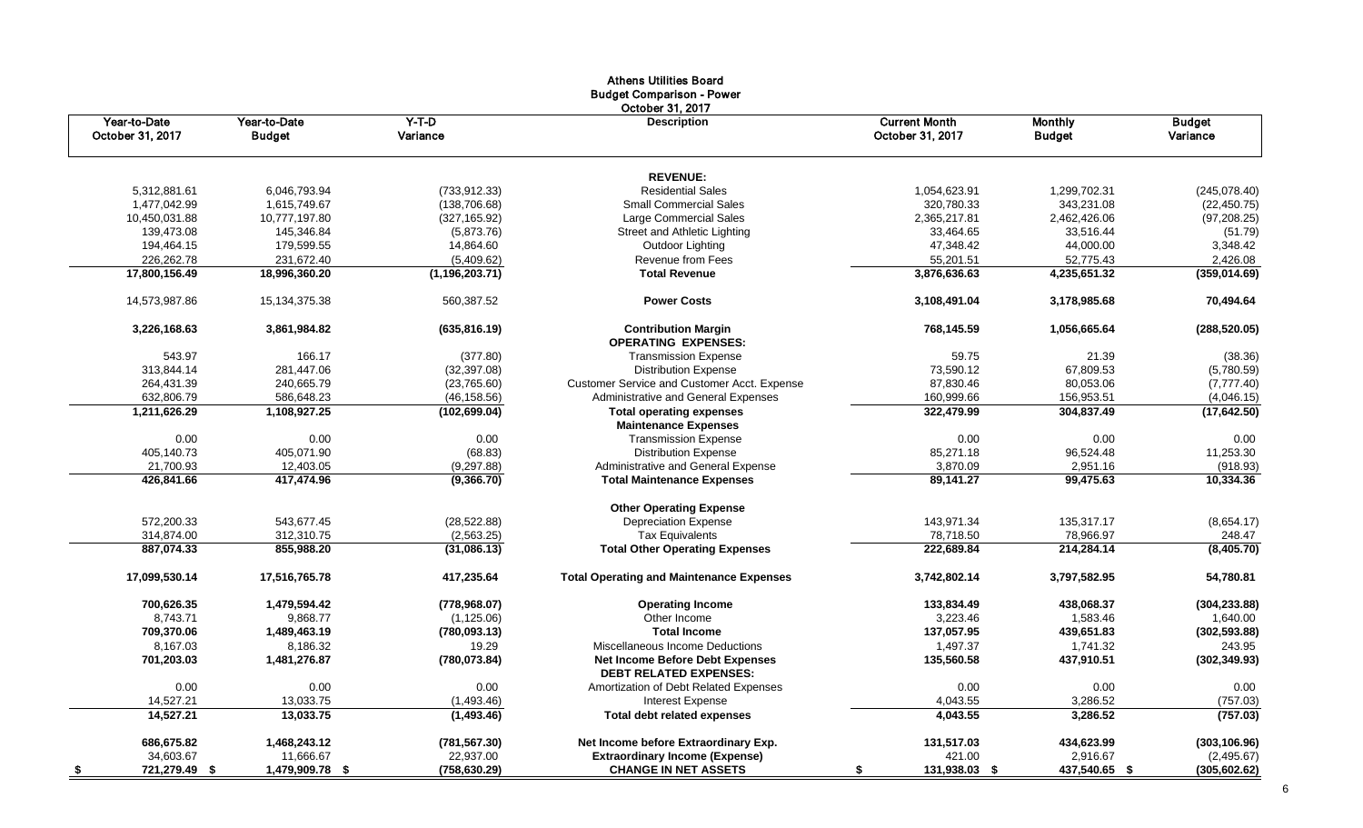|                                  |                               |                     | Athens Utilities Board<br><b>Budget Comparison - Power</b> |                                          |                                 |                           |
|----------------------------------|-------------------------------|---------------------|------------------------------------------------------------|------------------------------------------|---------------------------------|---------------------------|
| Year-to-Date<br>October 31, 2017 | Year-to-Date<br><b>Budget</b> | $Y-T-D$<br>Variance | October 31, 2017<br><b>Description</b>                     | <b>Current Month</b><br>October 31, 2017 | <b>Monthly</b><br><b>Budget</b> | <b>Budget</b><br>Variance |
|                                  |                               |                     | <b>REVENUE:</b>                                            |                                          |                                 |                           |
| 5,312,881.61                     | 6,046,793.94                  | (733, 912.33)       | <b>Residential Sales</b>                                   | 1,054,623.91                             | 1,299,702.31                    | (245,078.40)              |
| 1,477,042.99                     | 1,615,749.67                  | (138, 706.68)       | <b>Small Commercial Sales</b>                              | 320,780.33                               | 343,231.08                      | (22, 450.75)              |
| 10,450,031.88                    | 10,777,197.80                 | (327, 165.92)       | Large Commercial Sales                                     | 2,365,217.81                             | 2,462,426.06                    | (97, 208.25)              |
| 139,473.08                       | 145,346.84                    | (5,873.76)          | <b>Street and Athletic Lighting</b>                        | 33,464.65                                | 33,516.44                       | (51.79)                   |
| 194,464.15                       | 179,599.55                    | 14,864.60           |                                                            | 47,348.42                                | 44,000.00                       | 3,348.42                  |
|                                  |                               |                     | Outdoor Lighting                                           |                                          |                                 |                           |
| 226,262.78                       | 231,672.40                    | (5,409.62)          | Revenue from Fees<br><b>Total Revenue</b>                  | 55,201.51                                | 52,775.43                       | 2,426.08                  |
| 17,800,156.49                    | 18,996,360.20                 | (1, 196, 203.71)    |                                                            | 3,876,636.63                             | 4,235,651.32                    | (359, 014.69)             |
| 14,573,987.86                    | 15, 134, 375. 38              | 560,387.52          | <b>Power Costs</b>                                         | 3,108,491.04                             | 3,178,985.68                    | 70,494.64                 |
| 3,226,168.63                     | 3,861,984.82                  | (635, 816.19)       | <b>Contribution Margin</b><br><b>OPERATING EXPENSES:</b>   | 768,145.59                               | 1,056,665.64                    | (288, 520.05)             |
| 543.97                           | 166.17                        | (377.80)            | <b>Transmission Expense</b>                                | 59.75                                    | 21.39                           | (38.36)                   |
| 313,844.14                       | 281,447.06                    | (32, 397.08)        | <b>Distribution Expense</b>                                | 73,590.12                                | 67,809.53                       | (5,780.59)                |
| 264,431.39                       | 240,665.79                    | (23,765.60)         | Customer Service and Customer Acct. Expense                | 87,830.46                                | 80,053.06                       | (7,777.40)                |
| 632,806.79                       | 586,648.23                    | (46, 158.56)        | Administrative and General Expenses                        | 160,999.66                               | 156,953.51                      | (4,046.15)                |
| 1,211,626.29                     | 1,108,927.25                  | (102, 699.04)       | <b>Total operating expenses</b>                            | 322,479.99                               | 304,837.49                      | (17, 642.50)              |
|                                  |                               |                     | <b>Maintenance Expenses</b>                                |                                          |                                 |                           |
| 0.00                             | 0.00                          | 0.00                | <b>Transmission Expense</b>                                | 0.00                                     | 0.00                            | 0.00                      |
| 405,140.73                       | 405,071.90                    | (68.83)             | <b>Distribution Expense</b>                                | 85,271.18                                | 96,524.48                       | 11,253.30                 |
| 21,700.93                        | 12,403.05                     | (9,297.88)          | Administrative and General Expense                         | 3,870.09                                 | 2,951.16                        | (918.93)                  |
| 426,841.66                       | 417,474.96                    | (9,366.70)          | <b>Total Maintenance Expenses</b>                          | 89,141.27                                | 99,475.63                       | 10,334.36                 |
|                                  |                               |                     | <b>Other Operating Expense</b>                             |                                          |                                 |                           |
| 572,200.33                       | 543,677.45                    | (28, 522.88)        | <b>Depreciation Expense</b>                                | 143,971.34                               | 135,317.17                      | (8,654.17)                |
| 314,874.00                       | 312,310.75                    | (2,563.25)          | <b>Tax Equivalents</b>                                     | 78,718.50                                | 78,966.97                       | 248.47                    |
| 887,074.33                       | 855,988.20                    | (31,086.13)         | <b>Total Other Operating Expenses</b>                      | 222,689.84                               | 214,284.14                      | (8,405.70)                |
| 17,099,530.14                    | 17,516,765.78                 | 417,235.64          | <b>Total Operating and Maintenance Expenses</b>            | 3,742,802.14                             | 3,797,582.95                    | 54,780.81                 |
| 700,626.35                       | 1,479,594.42                  | (778, 968.07)       | <b>Operating Income</b>                                    | 133,834.49                               | 438,068.37                      | (304, 233.88)             |
| 8,743.71                         | 9,868.77                      | (1, 125.06)         | Other Income                                               | 3,223.46                                 | 1,583.46                        | 1,640.00                  |
| 709,370.06                       | 1,489,463.19                  | (780, 093.13)       | <b>Total Income</b>                                        | 137,057.95                               | 439,651.83                      | (302, 593.88)             |
| 8,167.03                         | 8,186.32                      | 19.29               | Miscellaneous Income Deductions                            | 1,497.37                                 | 1,741.32                        | 243.95                    |
| 701,203.03                       | 1,481,276.87                  | (780, 073.84)       | Net Income Before Debt Expenses                            | 135,560.58                               | 437,910.51                      | (302, 349.93)             |
|                                  |                               |                     | <b>DEBT RELATED EXPENSES:</b>                              |                                          |                                 |                           |
| 0.00                             | 0.00                          | 0.00                | Amortization of Debt Related Expenses                      | 0.00                                     | 0.00                            | 0.00                      |
| 14,527.21                        | 13,033.75                     | (1,493.46)          | <b>Interest Expense</b>                                    | 4,043.55                                 | 3,286.52                        | (757.03)                  |
| 14,527.21                        | 13,033.75                     | (1,493.46)          | <b>Total debt related expenses</b>                         | 4,043.55                                 | 3,286.52                        | (757.03)                  |
| 686,675.82                       | 1,468,243.12                  | (781, 567.30)       | Net Income before Extraordinary Exp.                       | 131,517.03                               | 434,623.99                      | (303, 106.96)             |
| 34,603.67                        | 11,666.67                     | 22,937.00           | <b>Extraordinary Income (Expense)</b>                      | 421.00                                   | 2,916.67                        | (2,495.67)                |
| 721,279.49 \$<br><u>_\$</u>      | 1,479,909.78 \$               | (758, 630.29)       | <b>CHANGE IN NET ASSETS</b>                                | 131,938.03 \$<br>\$                      | 437,540.65 \$                   | (305, 602.62)             |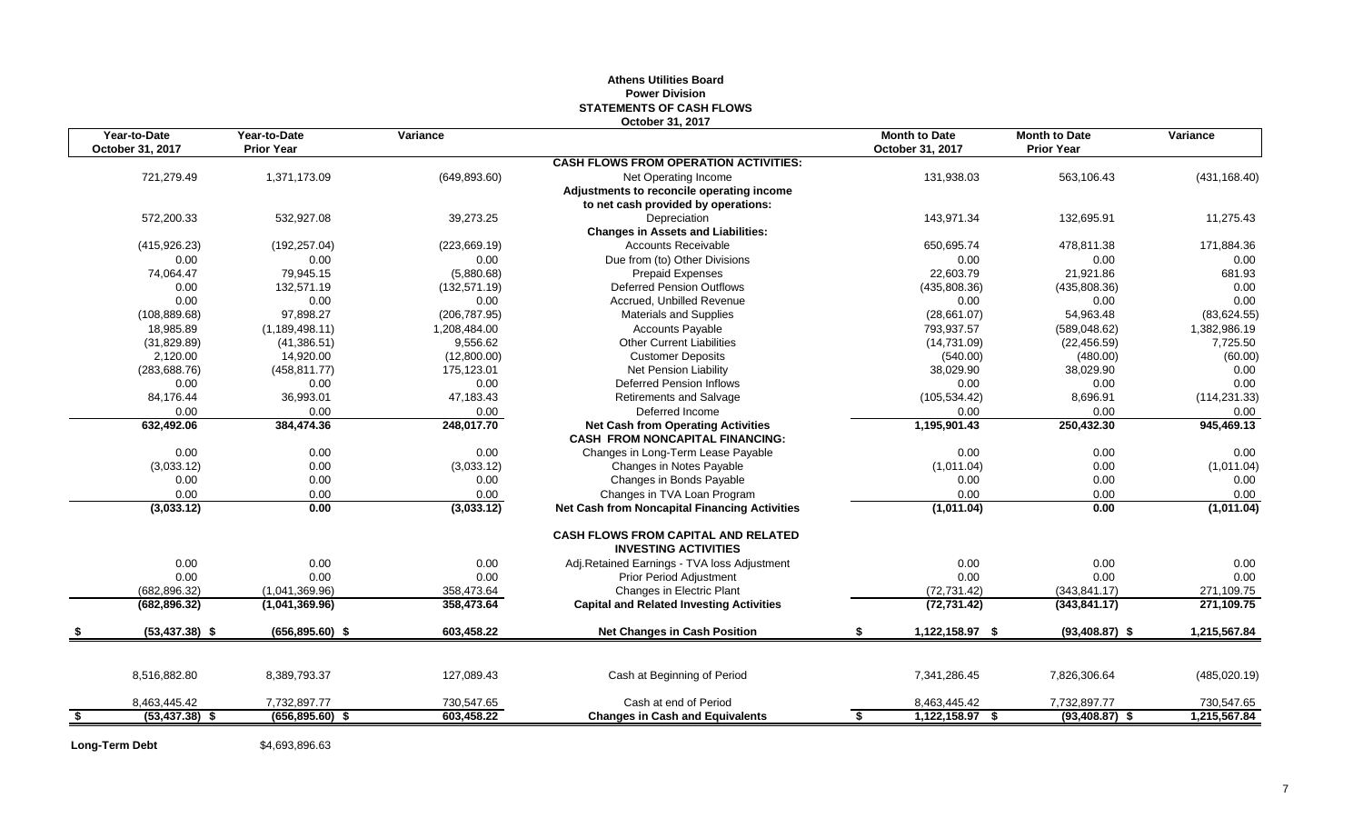#### **Athens Utilities Board Power Division STATEMENTS OF CASH FLOWS October 31, 2017**

|     | Year-to-Date<br>October 31, 2017 | Year-to-Date<br><b>Prior Year</b> | Variance      |                                                                                     | <b>Month to Date</b><br>October 31, 2017 | <b>Month to Date</b><br><b>Prior Year</b> | Variance      |
|-----|----------------------------------|-----------------------------------|---------------|-------------------------------------------------------------------------------------|------------------------------------------|-------------------------------------------|---------------|
|     |                                  |                                   |               | <b>CASH FLOWS FROM OPERATION ACTIVITIES:</b>                                        |                                          |                                           |               |
|     | 721,279.49                       | 1,371,173.09                      | (649, 893.60) | Net Operating Income                                                                | 131,938.03                               | 563,106.43                                | (431, 168.40) |
|     |                                  |                                   |               | Adjustments to reconcile operating income                                           |                                          |                                           |               |
|     |                                  |                                   |               | to net cash provided by operations:                                                 |                                          |                                           |               |
|     | 572,200.33                       | 532,927.08                        | 39,273.25     | Depreciation                                                                        | 143,971.34                               | 132,695.91                                | 11,275.43     |
|     |                                  |                                   |               | <b>Changes in Assets and Liabilities:</b>                                           |                                          |                                           |               |
|     | (415, 926.23)                    | (192, 257.04)                     | (223, 669.19) | <b>Accounts Receivable</b>                                                          | 650,695.74                               | 478.811.38                                | 171,884.36    |
|     | 0.00                             | 0.00                              | 0.00          | Due from (to) Other Divisions                                                       | 0.00                                     | 0.00                                      | 0.00          |
|     | 74,064.47                        | 79,945.15                         | (5,880.68)    | <b>Prepaid Expenses</b>                                                             | 22,603.79                                | 21,921.86                                 | 681.93        |
|     | 0.00                             | 132,571.19                        | (132, 571.19) | <b>Deferred Pension Outflows</b>                                                    | (435,808.36)                             | (435,808.36)                              | 0.00          |
|     | 0.00                             | 0.00                              | 0.00          | Accrued, Unbilled Revenue                                                           | 0.00                                     | 0.00                                      | 0.00          |
|     | (108, 889.68)                    | 97,898.27                         | (206, 787.95) | <b>Materials and Supplies</b>                                                       | (28,661.07)                              | 54,963.48                                 | (83, 624.55)  |
|     | 18,985.89                        | (1, 189, 498.11)                  | 1,208,484.00  | <b>Accounts Payable</b>                                                             | 793,937.57                               | (589, 048.62)                             | 1,382,986.19  |
|     | (31,829.89)                      | (41, 386.51)                      | 9.556.62      | <b>Other Current Liabilities</b>                                                    | (14,731.09)                              | (22, 456.59)                              | 7,725.50      |
|     | 2,120.00                         | 14,920.00                         | (12,800.00)   | <b>Customer Deposits</b>                                                            | (540.00)                                 | (480.00)                                  | (60.00)       |
|     | (283, 688.76)                    | (458, 811.77)                     | 175,123.01    | Net Pension Liability                                                               | 38,029.90                                | 38,029.90                                 | 0.00          |
|     | 0.00                             | 0.00                              | 0.00          | <b>Deferred Pension Inflows</b>                                                     | 0.00                                     | 0.00                                      | 0.00          |
|     | 84,176.44                        | 36,993.01                         | 47,183.43     | <b>Retirements and Salvage</b>                                                      | (105, 534.42)                            | 8,696.91                                  | (114, 231.33) |
|     | 0.00                             | 0.00                              | 0.00          | Deferred Income                                                                     | 0.00                                     | 0.00                                      | 0.00          |
|     | 632,492.06                       | 384,474.36                        | 248,017.70    | <b>Net Cash from Operating Activities</b><br><b>CASH FROM NONCAPITAL FINANCING:</b> | 1,195,901.43                             | 250,432.30                                | 945,469.13    |
|     | 0.00                             | 0.00                              | 0.00          | Changes in Long-Term Lease Payable                                                  | 0.00                                     | 0.00                                      | 0.00          |
|     | (3,033.12)                       | 0.00                              | (3,033.12)    | Changes in Notes Payable                                                            | (1,011.04)                               | 0.00                                      | (1,011.04)    |
|     | 0.00                             | 0.00                              | 0.00          | Changes in Bonds Payable                                                            | 0.00                                     | 0.00                                      | 0.00          |
|     | 0.00                             | 0.00                              | 0.00          | Changes in TVA Loan Program                                                         | 0.00                                     | 0.00                                      | 0.00          |
|     | (3,033.12)                       | 0.00                              | (3,033.12)    | <b>Net Cash from Noncapital Financing Activities</b>                                | (1,011.04)                               | 0.00                                      | (1,011.04)    |
|     |                                  |                                   |               | <b>CASH FLOWS FROM CAPITAL AND RELATED</b><br><b>INVESTING ACTIVITIES</b>           |                                          |                                           |               |
|     | 0.00                             | 0.00                              | 0.00          | Adj.Retained Earnings - TVA loss Adjustment                                         | 0.00                                     | 0.00                                      | 0.00          |
|     | 0.00                             | 0.00                              | 0.00          | Prior Period Adjustment                                                             | 0.00                                     | 0.00                                      | 0.00          |
|     | (682, 896.32)                    | (1,041,369.96)                    | 358,473.64    | Changes in Electric Plant                                                           | (72, 731.42)                             | (343.841.17)                              | 271,109.75    |
|     | (682, 896.32)                    | (1,041,369.96)                    | 358,473.64    | <b>Capital and Related Investing Activities</b>                                     | (72, 731.42)                             | (343, 841.17)                             | 271,109.75    |
|     | $(53, 437.38)$ \$                | $(656, 895.60)$ \$                | 603,458.22    | <b>Net Changes in Cash Position</b>                                                 | 1,122,158.97 \$                          | $(93,408.87)$ \$                          | 1,215,567.84  |
|     |                                  |                                   |               |                                                                                     |                                          |                                           |               |
|     | 8,516,882.80                     | 8,389,793.37                      | 127,089.43    | Cash at Beginning of Period                                                         | 7,341,286.45                             | 7,826,306.64                              | (485, 020.19) |
|     | 8,463,445.42                     | 7,732,897.77                      | 730,547.65    | Cash at end of Period                                                               | 8,463,445.42                             | 7,732,897.77                              | 730,547.65    |
| -\$ | $(53, 437.38)$ \$                | $(656, 895.60)$ \$                | 603,458.22    | <b>Changes in Cash and Equivalents</b>                                              | 1,122,158.97 \$<br>\$                    | $(93, 408.87)$ \$                         | 1,215,567.84  |

Long-Term Debt \$4,693,896.63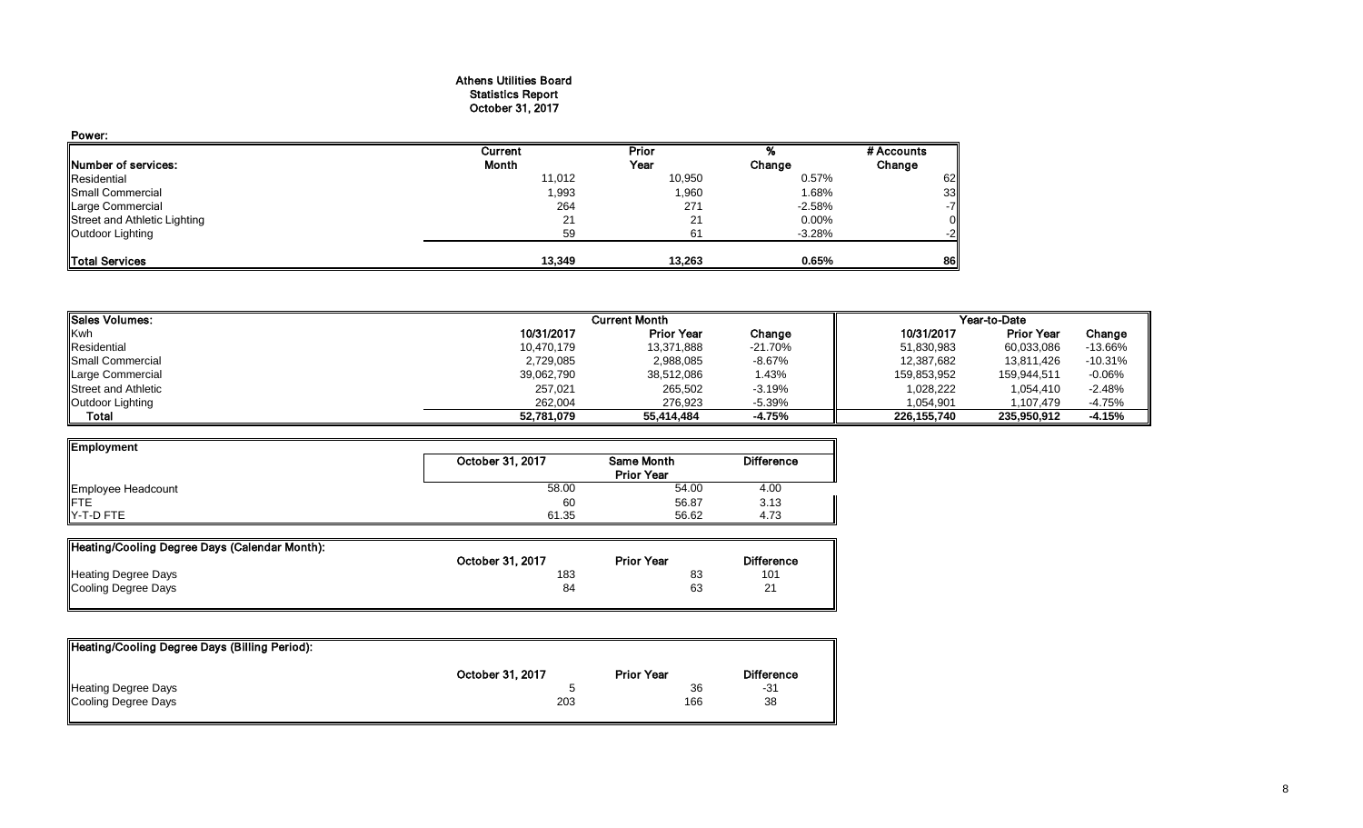#### Athens Utilities Board Statistics Report October 31, 2017

| Power:                       |         |        |          |            |
|------------------------------|---------|--------|----------|------------|
|                              | Current | Prior  |          | # Accounts |
| Number of services:          | Month   | Year   | Change   | Change     |
| Residential                  | 11,012  | 10,950 | 0.57%    | 62         |
| Small Commercial             | 1,993   | 1,960  | 1.68%    | 33         |
| Large Commercial             | 264     | 271    | $-2.58%$ | $-7$       |
| Street and Athletic Lighting | 21      | 21     | $0.00\%$ |            |
| Outdoor Lighting             | 59      | 61     | $-3.28%$ | $-2$       |
| Total Services               | 13,349  | 13,263 | 0.65%    | 86         |

| <b>Sales Volumes:</b>      | <b>Current Month</b> |                   |           | Year-to-Date |                   |           |  |
|----------------------------|----------------------|-------------------|-----------|--------------|-------------------|-----------|--|
| Kwh                        | 10/31/2017           | <b>Prior Year</b> | Change    | 10/31/2017   | <b>Prior Year</b> | Change    |  |
| Residential                | 10,470,179           | 13,371,888        | $-21.70%$ | 51,830,983   | 60,033,086        | $-13.66%$ |  |
| Small Commercial           | 2,729,085            | 2,988,085         | $-8.67%$  | 12,387,682   | 13,811,426        | $-10.31%$ |  |
| Large Commercial           | 39,062,790           | 38,512,086        | 1.43%     | 159,853,952  | 159.944.511       | $-0.06%$  |  |
| <b>Street and Athletic</b> | 257,021              | 265,502           | $-3.19%$  | 1,028,222    | 1.054.410         | $-2.48%$  |  |
| Outdoor Lighting           | 262.004              | 276.923           | $-5.39%$  | 1.054.901    | 1.107.479         | $-4.75%$  |  |
| Total                      | 52,781,079           | 55,414,484        | -4.75%    | 226.155.740  | 235.950.912       | $-4.15%$  |  |

| Employment         |                  |                   |                   |  |
|--------------------|------------------|-------------------|-------------------|--|
|                    | October 31, 2017 | Same Month        | <b>Difference</b> |  |
|                    |                  | <b>Prior Year</b> |                   |  |
| Employee Headcount | 58.00            | 54.00             | 4.00              |  |
| <b>IFTE</b>        | 60               | 56.87             | 3.13              |  |
| Y-T-D FTE          | 61.35            | 56.62             | 4.73              |  |

| Heating/Cooling Degree Days (Calendar Month): |                  |                   |                   |
|-----------------------------------------------|------------------|-------------------|-------------------|
|                                               | October 31, 2017 | <b>Prior Year</b> | <b>Difference</b> |
| <b>Heating Degree Days</b>                    | 183              | 83                | 101               |
| Cooling Degree Days                           | 84               | 63                | 21                |
|                                               |                  |                   |                   |

| Heating/Cooling Degree Days (Billing Period): |                  |                   |                   |
|-----------------------------------------------|------------------|-------------------|-------------------|
|                                               | October 31, 2017 | <b>Prior Year</b> | <b>Difference</b> |
| <b>Heating Degree Days</b>                    |                  | 36                | -31               |
| Cooling Degree Days                           | 203              | 166               | 38                |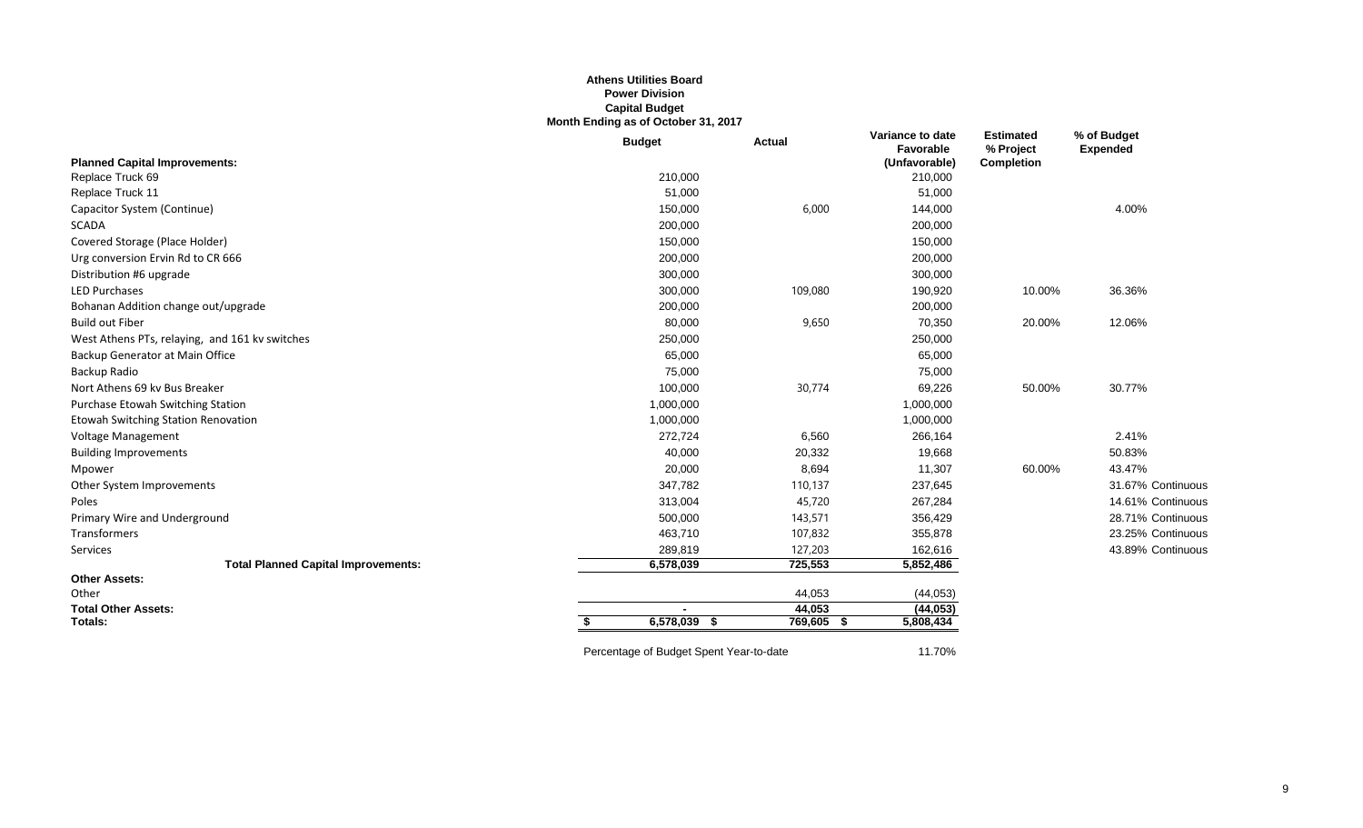#### **Athens Utilities Board Power Division Capital Budget Month Ending as of October 31, 2017**

|                                                | <b>Budget</b>                           | <b>Actual</b> | Variance to date<br>Favorable | <b>Estimated</b><br>% Project | % of Budget<br><b>Expended</b> |
|------------------------------------------------|-----------------------------------------|---------------|-------------------------------|-------------------------------|--------------------------------|
| <b>Planned Capital Improvements:</b>           |                                         |               | (Unfavorable)                 | <b>Completion</b>             |                                |
| Replace Truck 69                               | 210,000                                 |               | 210,000                       |                               |                                |
| Replace Truck 11                               | 51,000                                  |               | 51,000                        |                               |                                |
| Capacitor System (Continue)                    | 150,000                                 | 6,000         | 144,000                       |                               | 4.00%                          |
| <b>SCADA</b>                                   | 200,000                                 |               | 200,000                       |                               |                                |
| Covered Storage (Place Holder)                 | 150,000                                 |               | 150,000                       |                               |                                |
| Urg conversion Ervin Rd to CR 666              | 200,000                                 |               | 200,000                       |                               |                                |
| Distribution #6 upgrade                        | 300,000                                 |               | 300,000                       |                               |                                |
| <b>LED Purchases</b>                           | 300,000                                 | 109,080       | 190,920                       | 10.00%                        | 36.36%                         |
| Bohanan Addition change out/upgrade            | 200,000                                 |               | 200,000                       |                               |                                |
| <b>Build out Fiber</b>                         | 80,000                                  | 9,650         | 70,350                        | 20.00%                        | 12.06%                         |
| West Athens PTs, relaying, and 161 kv switches | 250,000                                 |               | 250,000                       |                               |                                |
| Backup Generator at Main Office                | 65,000                                  |               | 65,000                        |                               |                                |
| Backup Radio                                   | 75,000                                  |               | 75,000                        |                               |                                |
| Nort Athens 69 kv Bus Breaker                  | 100,000                                 | 30,774        | 69,226                        | 50.00%                        | 30.77%                         |
| Purchase Etowah Switching Station              | 1,000,000                               |               | 1,000,000                     |                               |                                |
| Etowah Switching Station Renovation            | 1,000,000                               |               | 1,000,000                     |                               |                                |
| Voltage Management                             | 272,724                                 | 6,560         | 266,164                       |                               | 2.41%                          |
| <b>Building Improvements</b>                   | 40,000                                  | 20,332        | 19,668                        |                               | 50.83%                         |
| Mpower                                         | 20,000                                  | 8,694         | 11,307                        | 60.00%                        | 43.47%                         |
| Other System Improvements                      | 347,782                                 | 110,137       | 237,645                       |                               | 31.67% Continuous              |
| Poles                                          | 313,004                                 | 45,720        | 267,284                       |                               | 14.61% Continuous              |
| Primary Wire and Underground                   | 500,000                                 | 143,571       | 356,429                       |                               | 28.71% Continuous              |
| Transformers                                   | 463,710                                 | 107,832       | 355,878                       |                               | 23.25% Continuous              |
| Services                                       | 289,819                                 | 127,203       | 162,616                       |                               | 43.89% Continuous              |
| <b>Total Planned Capital Improvements:</b>     | 6,578,039                               | 725,553       | 5,852,486                     |                               |                                |
| <b>Other Assets:</b>                           |                                         |               |                               |                               |                                |
| Other                                          |                                         | 44,053        | (44, 053)                     |                               |                                |
| <b>Total Other Assets:</b>                     |                                         | 44,053        | (44, 053)                     |                               |                                |
| Totals:                                        | 6,578,039<br>- \$                       | $769,605$ \$  | 5,808,434                     |                               |                                |
|                                                | Percentage of Budget Spent Year-to-date |               | 11.70%                        |                               |                                |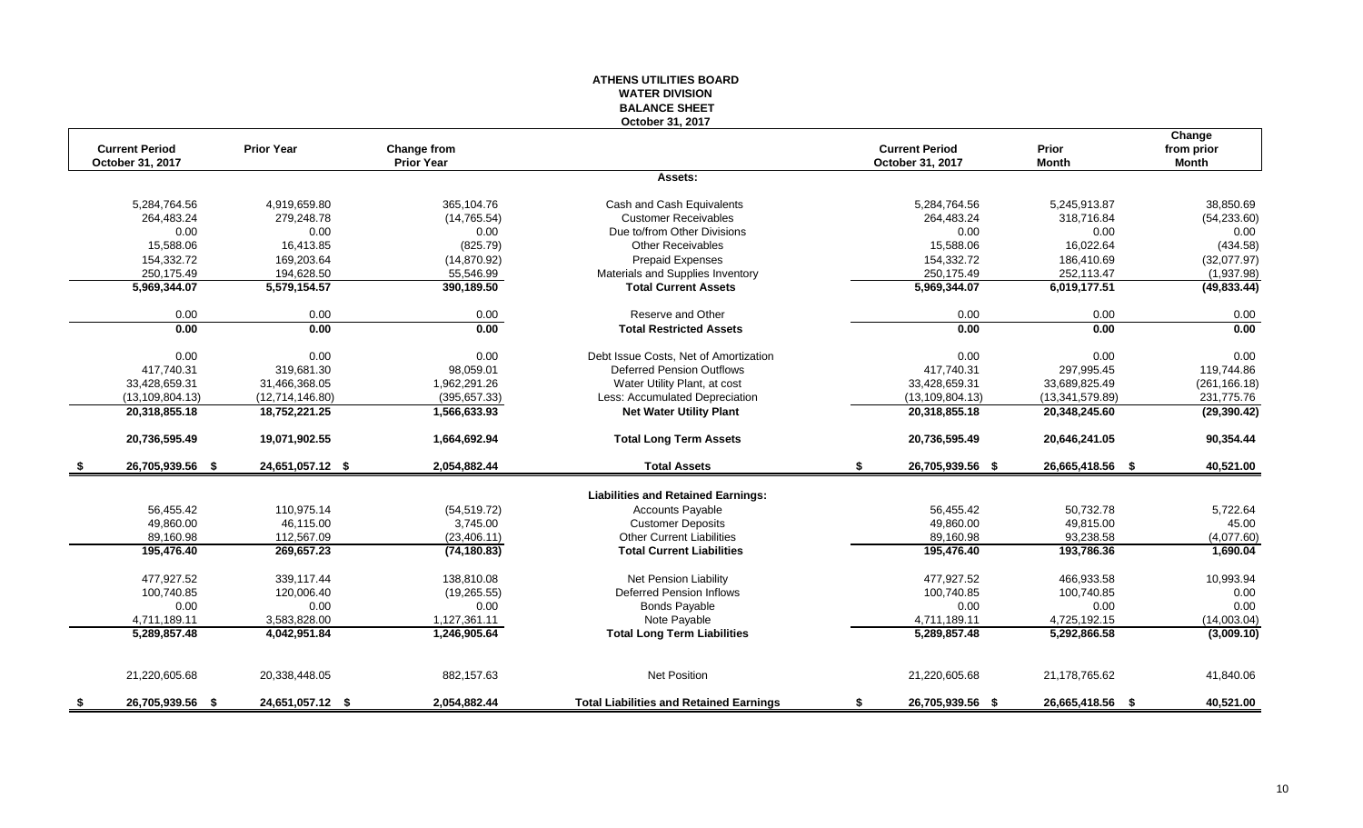#### **ATHENS UTILITIES BOARD WATER DIVISION BALANCE SHEET October 31, 2017**

|      | <b>Current Period</b> | <b>Prior Year</b> | Change from       |                                                |    | <b>Current Period</b> | Prior            | Change<br>from prior |
|------|-----------------------|-------------------|-------------------|------------------------------------------------|----|-----------------------|------------------|----------------------|
|      | October 31, 2017      |                   | <b>Prior Year</b> |                                                |    | October 31, 2017      | <b>Month</b>     | Month                |
|      |                       |                   |                   | Assets:                                        |    |                       |                  |                      |
|      | 5,284,764.56          | 4,919,659.80      | 365,104.76        | Cash and Cash Equivalents                      |    | 5,284,764.56          | 5,245,913.87     | 38,850.69            |
|      | 264,483.24            | 279,248.78        | (14, 765.54)      | <b>Customer Receivables</b>                    |    | 264,483.24            | 318,716.84       | (54, 233.60)         |
|      | 0.00                  | 0.00              | 0.00              | Due to/from Other Divisions                    |    | 0.00                  | 0.00             | 0.00                 |
|      | 15,588.06             | 16.413.85         | (825.79)          | <b>Other Receivables</b>                       |    | 15,588.06             | 16.022.64        | (434.58)             |
|      | 154,332.72            | 169,203.64        | (14, 870.92)      | <b>Prepaid Expenses</b>                        |    | 154,332.72            | 186,410.69       | (32,077.97)          |
|      | 250,175.49            | 194,628.50        | 55,546.99         | Materials and Supplies Inventory               |    | 250,175.49            | 252,113.47       | (1,937.98)           |
|      | 5,969,344.07          | 5,579,154.57      | 390,189.50        | <b>Total Current Assets</b>                    |    | 5,969,344.07          | 6,019,177.51     | (49, 833.44)         |
|      | 0.00                  | 0.00              | 0.00              | Reserve and Other                              |    | 0.00                  | 0.00             | 0.00                 |
|      | 0.00                  | 0.00              | 0.00              | <b>Total Restricted Assets</b>                 |    | 0.00                  | 0.00             | 0.00                 |
|      | 0.00                  | 0.00              | 0.00              | Debt Issue Costs, Net of Amortization          |    | 0.00                  | 0.00             | 0.00                 |
|      | 417,740.31            | 319,681.30        | 98,059.01         | <b>Deferred Pension Outflows</b>               |    | 417,740.31            | 297,995.45       | 119,744.86           |
|      | 33,428,659.31         | 31,466,368.05     | 1,962,291.26      | Water Utility Plant, at cost                   |    | 33,428,659.31         | 33,689,825.49    | (261, 166.18)        |
|      | (13, 109, 804.13)     | (12,714,146.80)   | (395, 657.33)     | Less: Accumulated Depreciation                 |    | (13, 109, 804.13)     | (13,341,579.89)  | 231,775.76           |
|      | 20,318,855.18         | 18,752,221.25     | 1,566,633.93      | <b>Net Water Utility Plant</b>                 |    | 20,318,855.18         | 20,348,245.60    | (29, 390.42)         |
|      | 20,736,595.49         | 19,071,902.55     | 1,664,692.94      | <b>Total Long Term Assets</b>                  |    | 20,736,595.49         | 20,646,241.05    | 90,354.44            |
| - \$ | 26,705,939.56 \$      | 24,651,057.12 \$  | 2,054,882.44      | <b>Total Assets</b>                            | \$ | 26,705,939.56 \$      | 26,665,418.56 \$ | 40,521.00            |
|      |                       |                   |                   | <b>Liabilities and Retained Earnings:</b>      |    |                       |                  |                      |
|      | 56,455.42             | 110,975.14        | (54, 519.72)      | <b>Accounts Payable</b>                        |    | 56,455.42             | 50,732.78        | 5,722.64             |
|      | 49,860.00             | 46,115.00         | 3,745.00          | <b>Customer Deposits</b>                       |    | 49,860.00             | 49,815.00        | 45.00                |
|      | 89,160.98             | 112,567.09        | (23, 406.11)      | <b>Other Current Liabilities</b>               |    | 89,160.98             | 93,238.58        | (4,077.60)           |
|      | 195,476.40            | 269,657.23        | (74, 180.83)      | <b>Total Current Liabilities</b>               |    | 195,476.40            | 193,786.36       | 1,690.04             |
|      | 477,927.52            | 339.117.44        | 138,810.08        | <b>Net Pension Liability</b>                   |    | 477,927.52            | 466,933.58       | 10,993.94            |
|      | 100,740.85            | 120.006.40        | (19, 265.55)      | Deferred Pension Inflows                       |    | 100,740.85            | 100.740.85       | 0.00                 |
|      | 0.00                  | 0.00              | 0.00              | <b>Bonds Payable</b>                           |    | 0.00                  | 0.00             | 0.00                 |
|      | 4,711,189.11          | 3,583,828.00      | 1,127,361.11      | Note Payable                                   |    | 4,711,189.11          | 4,725,192.15     | (14,003.04)          |
|      | 5,289,857.48          | 4,042,951.84      | 1,246,905.64      | <b>Total Long Term Liabilities</b>             |    | 5,289,857.48          | 5,292,866.58     | (3,009.10)           |
|      |                       |                   |                   |                                                |    |                       |                  |                      |
|      | 21,220,605.68         | 20,338,448.05     | 882,157.63        | <b>Net Position</b>                            |    | 21,220,605.68         | 21,178,765.62    | 41,840.06            |
| - \$ | 26,705,939.56 \$      | 24,651,057.12 \$  | 2.054.882.44      | <b>Total Liabilities and Retained Earnings</b> | S. | 26,705,939.56 \$      | 26,665,418.56 \$ | 40,521.00            |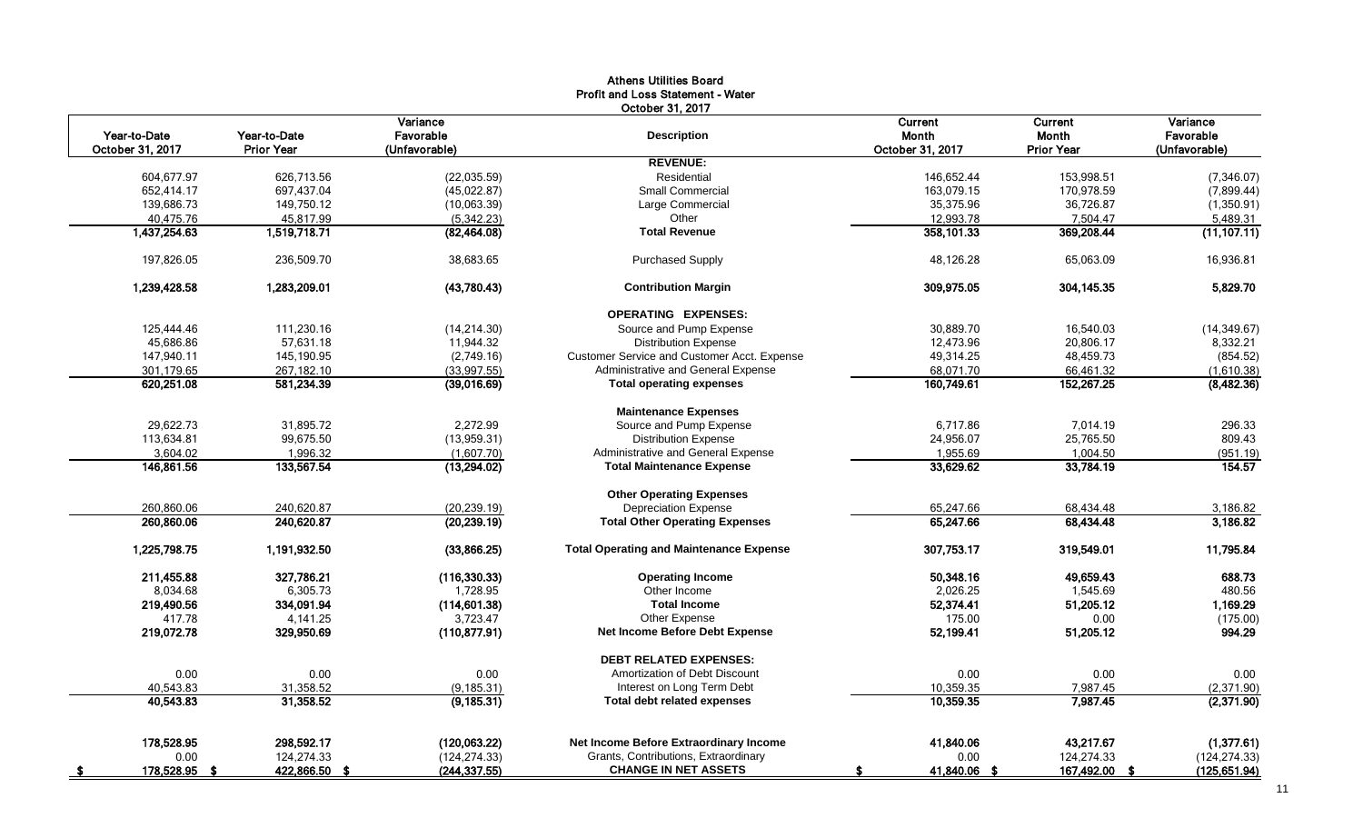| October 31, 2017<br>Variance<br>Current<br>Current<br>Year-to-Date<br>Year-to-Date<br>Favorable<br><b>Month</b><br><b>Month</b><br><b>Description</b><br>October 31, 2017<br>October 31, 2017<br><b>Prior Year</b><br>(Unfavorable)<br><b>Prior Year</b><br><b>REVENUE:</b><br>Residential<br>153,998.51<br>604,677.97<br>626.713.56<br>(22,035.59)<br>146,652.44<br><b>Small Commercial</b><br>170,978.59<br>652,414.17<br>697,437.04<br>(45, 022.87)<br>163,079.15<br>139,686.73<br>149,750.12<br>(10,063.39)<br>Large Commercial<br>35,375.96<br>36,726.87<br>40,475.76<br>45,817.99<br>Other<br>12,993.78<br>7,504.47<br>(5,342.23)<br>1,437,254.63<br>1,519,718.71<br><b>Total Revenue</b><br>358,101.33<br>369,208.44<br>(82, 464.08)<br><b>Purchased Supply</b><br>197,826.05<br>236,509.70<br>38,683.65<br>48,126.28<br>65,063.09<br>1,239,428.58<br>1,283,209.01<br>(43,780.43)<br>309,975.05<br>304, 145.35<br><b>Contribution Margin</b><br><b>OPERATING EXPENSES:</b><br>125,444.46<br>111,230.16<br>Source and Pump Expense<br>30,889.70<br>16,540.03<br>(14, 214.30)<br>45,686.86<br>57,631.18<br>11,944.32<br><b>Distribution Expense</b><br>12,473.96<br>20,806.17<br>147,940.11<br>145,190.95<br>Customer Service and Customer Acct. Expense<br>49,314.25<br>48,459.73<br>(2,749.16)<br>267,182.10<br>(33,997.55)<br>Administrative and General Expense<br>68,071.70<br>66,461.32<br>301,179.65<br>160,749.61<br>620,251.08<br>581,234.39<br>152,267.25<br>(39,016.69)<br><b>Total operating expenses</b><br><b>Maintenance Expenses</b><br>2,272.99<br>Source and Pump Expense<br>29,622.73<br>31,895.72<br>6,717.86<br>7,014.19<br>99,675.50<br>113,634.81<br>(13,959.31)<br><b>Distribution Expense</b><br>24,956.07<br>25,765.50<br>Administrative and General Expense<br>3.604.02<br>1,996.32<br>(1.607.70)<br>1.955.69<br>1.004.50<br>133,567.54<br>33,629.62<br>33,784.19<br>146,861.56<br>(13,294.02)<br><b>Total Maintenance Expense</b><br><b>Other Operating Expenses</b><br>260,860.06<br>240,620.87<br>(20, 239.19)<br>Depreciation Expense<br>65,247.66<br>68,434.48<br>260,860.06<br>240,620.87<br>65,247.66<br>68,434.48<br>(20, 239.19)<br><b>Total Other Operating Expenses</b><br>1,225,798.75<br>1,191,932.50<br>(33,866.25)<br><b>Total Operating and Maintenance Expense</b><br>307,753.17<br>319,549.01<br>211,455.88<br>327,786.21<br>(116, 330.33)<br><b>Operating Income</b><br>50,348.16<br>49,659.43<br>8,034.68<br>Other Income<br>6,305.73<br>1,728.95<br>2,026.25<br>1,545.69<br>219,490.56<br>334,091.94<br>(114, 601.38)<br><b>Total Income</b><br>52,374.41<br>51,205.12 | Variance<br>Favorable<br>(Unfavorable)<br>(7,346.07)<br>(7,899.44) |
|-----------------------------------------------------------------------------------------------------------------------------------------------------------------------------------------------------------------------------------------------------------------------------------------------------------------------------------------------------------------------------------------------------------------------------------------------------------------------------------------------------------------------------------------------------------------------------------------------------------------------------------------------------------------------------------------------------------------------------------------------------------------------------------------------------------------------------------------------------------------------------------------------------------------------------------------------------------------------------------------------------------------------------------------------------------------------------------------------------------------------------------------------------------------------------------------------------------------------------------------------------------------------------------------------------------------------------------------------------------------------------------------------------------------------------------------------------------------------------------------------------------------------------------------------------------------------------------------------------------------------------------------------------------------------------------------------------------------------------------------------------------------------------------------------------------------------------------------------------------------------------------------------------------------------------------------------------------------------------------------------------------------------------------------------------------------------------------------------------------------------------------------------------------------------------------------------------------------------------------------------------------------------------------------------------------------------------------------------------------------------------------------------------------------------------------------------------------------------------------------------------------------------------------------------------------------------------------------------------------------------------|--------------------------------------------------------------------|
|                                                                                                                                                                                                                                                                                                                                                                                                                                                                                                                                                                                                                                                                                                                                                                                                                                                                                                                                                                                                                                                                                                                                                                                                                                                                                                                                                                                                                                                                                                                                                                                                                                                                                                                                                                                                                                                                                                                                                                                                                                                                                                                                                                                                                                                                                                                                                                                                                                                                                                                                                                                                                             |                                                                    |
|                                                                                                                                                                                                                                                                                                                                                                                                                                                                                                                                                                                                                                                                                                                                                                                                                                                                                                                                                                                                                                                                                                                                                                                                                                                                                                                                                                                                                                                                                                                                                                                                                                                                                                                                                                                                                                                                                                                                                                                                                                                                                                                                                                                                                                                                                                                                                                                                                                                                                                                                                                                                                             |                                                                    |
|                                                                                                                                                                                                                                                                                                                                                                                                                                                                                                                                                                                                                                                                                                                                                                                                                                                                                                                                                                                                                                                                                                                                                                                                                                                                                                                                                                                                                                                                                                                                                                                                                                                                                                                                                                                                                                                                                                                                                                                                                                                                                                                                                                                                                                                                                                                                                                                                                                                                                                                                                                                                                             |                                                                    |
|                                                                                                                                                                                                                                                                                                                                                                                                                                                                                                                                                                                                                                                                                                                                                                                                                                                                                                                                                                                                                                                                                                                                                                                                                                                                                                                                                                                                                                                                                                                                                                                                                                                                                                                                                                                                                                                                                                                                                                                                                                                                                                                                                                                                                                                                                                                                                                                                                                                                                                                                                                                                                             | (1,350.91)                                                         |
|                                                                                                                                                                                                                                                                                                                                                                                                                                                                                                                                                                                                                                                                                                                                                                                                                                                                                                                                                                                                                                                                                                                                                                                                                                                                                                                                                                                                                                                                                                                                                                                                                                                                                                                                                                                                                                                                                                                                                                                                                                                                                                                                                                                                                                                                                                                                                                                                                                                                                                                                                                                                                             |                                                                    |
|                                                                                                                                                                                                                                                                                                                                                                                                                                                                                                                                                                                                                                                                                                                                                                                                                                                                                                                                                                                                                                                                                                                                                                                                                                                                                                                                                                                                                                                                                                                                                                                                                                                                                                                                                                                                                                                                                                                                                                                                                                                                                                                                                                                                                                                                                                                                                                                                                                                                                                                                                                                                                             | 5,489.31                                                           |
|                                                                                                                                                                                                                                                                                                                                                                                                                                                                                                                                                                                                                                                                                                                                                                                                                                                                                                                                                                                                                                                                                                                                                                                                                                                                                                                                                                                                                                                                                                                                                                                                                                                                                                                                                                                                                                                                                                                                                                                                                                                                                                                                                                                                                                                                                                                                                                                                                                                                                                                                                                                                                             | (11, 107.11)                                                       |
|                                                                                                                                                                                                                                                                                                                                                                                                                                                                                                                                                                                                                                                                                                                                                                                                                                                                                                                                                                                                                                                                                                                                                                                                                                                                                                                                                                                                                                                                                                                                                                                                                                                                                                                                                                                                                                                                                                                                                                                                                                                                                                                                                                                                                                                                                                                                                                                                                                                                                                                                                                                                                             | 16,936.81                                                          |
|                                                                                                                                                                                                                                                                                                                                                                                                                                                                                                                                                                                                                                                                                                                                                                                                                                                                                                                                                                                                                                                                                                                                                                                                                                                                                                                                                                                                                                                                                                                                                                                                                                                                                                                                                                                                                                                                                                                                                                                                                                                                                                                                                                                                                                                                                                                                                                                                                                                                                                                                                                                                                             | 5,829.70                                                           |
|                                                                                                                                                                                                                                                                                                                                                                                                                                                                                                                                                                                                                                                                                                                                                                                                                                                                                                                                                                                                                                                                                                                                                                                                                                                                                                                                                                                                                                                                                                                                                                                                                                                                                                                                                                                                                                                                                                                                                                                                                                                                                                                                                                                                                                                                                                                                                                                                                                                                                                                                                                                                                             |                                                                    |
|                                                                                                                                                                                                                                                                                                                                                                                                                                                                                                                                                                                                                                                                                                                                                                                                                                                                                                                                                                                                                                                                                                                                                                                                                                                                                                                                                                                                                                                                                                                                                                                                                                                                                                                                                                                                                                                                                                                                                                                                                                                                                                                                                                                                                                                                                                                                                                                                                                                                                                                                                                                                                             | (14, 349.67)                                                       |
|                                                                                                                                                                                                                                                                                                                                                                                                                                                                                                                                                                                                                                                                                                                                                                                                                                                                                                                                                                                                                                                                                                                                                                                                                                                                                                                                                                                                                                                                                                                                                                                                                                                                                                                                                                                                                                                                                                                                                                                                                                                                                                                                                                                                                                                                                                                                                                                                                                                                                                                                                                                                                             | 8,332.21                                                           |
|                                                                                                                                                                                                                                                                                                                                                                                                                                                                                                                                                                                                                                                                                                                                                                                                                                                                                                                                                                                                                                                                                                                                                                                                                                                                                                                                                                                                                                                                                                                                                                                                                                                                                                                                                                                                                                                                                                                                                                                                                                                                                                                                                                                                                                                                                                                                                                                                                                                                                                                                                                                                                             | (854.52)                                                           |
|                                                                                                                                                                                                                                                                                                                                                                                                                                                                                                                                                                                                                                                                                                                                                                                                                                                                                                                                                                                                                                                                                                                                                                                                                                                                                                                                                                                                                                                                                                                                                                                                                                                                                                                                                                                                                                                                                                                                                                                                                                                                                                                                                                                                                                                                                                                                                                                                                                                                                                                                                                                                                             | (1,610.38)                                                         |
|                                                                                                                                                                                                                                                                                                                                                                                                                                                                                                                                                                                                                                                                                                                                                                                                                                                                                                                                                                                                                                                                                                                                                                                                                                                                                                                                                                                                                                                                                                                                                                                                                                                                                                                                                                                                                                                                                                                                                                                                                                                                                                                                                                                                                                                                                                                                                                                                                                                                                                                                                                                                                             | (8,482.36)                                                         |
|                                                                                                                                                                                                                                                                                                                                                                                                                                                                                                                                                                                                                                                                                                                                                                                                                                                                                                                                                                                                                                                                                                                                                                                                                                                                                                                                                                                                                                                                                                                                                                                                                                                                                                                                                                                                                                                                                                                                                                                                                                                                                                                                                                                                                                                                                                                                                                                                                                                                                                                                                                                                                             |                                                                    |
|                                                                                                                                                                                                                                                                                                                                                                                                                                                                                                                                                                                                                                                                                                                                                                                                                                                                                                                                                                                                                                                                                                                                                                                                                                                                                                                                                                                                                                                                                                                                                                                                                                                                                                                                                                                                                                                                                                                                                                                                                                                                                                                                                                                                                                                                                                                                                                                                                                                                                                                                                                                                                             | 296.33                                                             |
|                                                                                                                                                                                                                                                                                                                                                                                                                                                                                                                                                                                                                                                                                                                                                                                                                                                                                                                                                                                                                                                                                                                                                                                                                                                                                                                                                                                                                                                                                                                                                                                                                                                                                                                                                                                                                                                                                                                                                                                                                                                                                                                                                                                                                                                                                                                                                                                                                                                                                                                                                                                                                             | 809.43                                                             |
|                                                                                                                                                                                                                                                                                                                                                                                                                                                                                                                                                                                                                                                                                                                                                                                                                                                                                                                                                                                                                                                                                                                                                                                                                                                                                                                                                                                                                                                                                                                                                                                                                                                                                                                                                                                                                                                                                                                                                                                                                                                                                                                                                                                                                                                                                                                                                                                                                                                                                                                                                                                                                             | (951.19)                                                           |
|                                                                                                                                                                                                                                                                                                                                                                                                                                                                                                                                                                                                                                                                                                                                                                                                                                                                                                                                                                                                                                                                                                                                                                                                                                                                                                                                                                                                                                                                                                                                                                                                                                                                                                                                                                                                                                                                                                                                                                                                                                                                                                                                                                                                                                                                                                                                                                                                                                                                                                                                                                                                                             | 154.57                                                             |
|                                                                                                                                                                                                                                                                                                                                                                                                                                                                                                                                                                                                                                                                                                                                                                                                                                                                                                                                                                                                                                                                                                                                                                                                                                                                                                                                                                                                                                                                                                                                                                                                                                                                                                                                                                                                                                                                                                                                                                                                                                                                                                                                                                                                                                                                                                                                                                                                                                                                                                                                                                                                                             |                                                                    |
|                                                                                                                                                                                                                                                                                                                                                                                                                                                                                                                                                                                                                                                                                                                                                                                                                                                                                                                                                                                                                                                                                                                                                                                                                                                                                                                                                                                                                                                                                                                                                                                                                                                                                                                                                                                                                                                                                                                                                                                                                                                                                                                                                                                                                                                                                                                                                                                                                                                                                                                                                                                                                             | 3,186.82                                                           |
|                                                                                                                                                                                                                                                                                                                                                                                                                                                                                                                                                                                                                                                                                                                                                                                                                                                                                                                                                                                                                                                                                                                                                                                                                                                                                                                                                                                                                                                                                                                                                                                                                                                                                                                                                                                                                                                                                                                                                                                                                                                                                                                                                                                                                                                                                                                                                                                                                                                                                                                                                                                                                             | 3,186.82                                                           |
|                                                                                                                                                                                                                                                                                                                                                                                                                                                                                                                                                                                                                                                                                                                                                                                                                                                                                                                                                                                                                                                                                                                                                                                                                                                                                                                                                                                                                                                                                                                                                                                                                                                                                                                                                                                                                                                                                                                                                                                                                                                                                                                                                                                                                                                                                                                                                                                                                                                                                                                                                                                                                             | 11,795.84                                                          |
|                                                                                                                                                                                                                                                                                                                                                                                                                                                                                                                                                                                                                                                                                                                                                                                                                                                                                                                                                                                                                                                                                                                                                                                                                                                                                                                                                                                                                                                                                                                                                                                                                                                                                                                                                                                                                                                                                                                                                                                                                                                                                                                                                                                                                                                                                                                                                                                                                                                                                                                                                                                                                             | 688.73                                                             |
|                                                                                                                                                                                                                                                                                                                                                                                                                                                                                                                                                                                                                                                                                                                                                                                                                                                                                                                                                                                                                                                                                                                                                                                                                                                                                                                                                                                                                                                                                                                                                                                                                                                                                                                                                                                                                                                                                                                                                                                                                                                                                                                                                                                                                                                                                                                                                                                                                                                                                                                                                                                                                             | 480.56                                                             |
|                                                                                                                                                                                                                                                                                                                                                                                                                                                                                                                                                                                                                                                                                                                                                                                                                                                                                                                                                                                                                                                                                                                                                                                                                                                                                                                                                                                                                                                                                                                                                                                                                                                                                                                                                                                                                                                                                                                                                                                                                                                                                                                                                                                                                                                                                                                                                                                                                                                                                                                                                                                                                             | 1,169.29                                                           |
| Other Expense<br>417.78<br>4,141.25<br>3,723.47<br>175.00<br>0.00                                                                                                                                                                                                                                                                                                                                                                                                                                                                                                                                                                                                                                                                                                                                                                                                                                                                                                                                                                                                                                                                                                                                                                                                                                                                                                                                                                                                                                                                                                                                                                                                                                                                                                                                                                                                                                                                                                                                                                                                                                                                                                                                                                                                                                                                                                                                                                                                                                                                                                                                                           | (175.00)                                                           |
| 219,072.78<br>329,950.69<br>Net Income Before Debt Expense<br>52,199.41<br>51,205.12<br>(110, 877.91)                                                                                                                                                                                                                                                                                                                                                                                                                                                                                                                                                                                                                                                                                                                                                                                                                                                                                                                                                                                                                                                                                                                                                                                                                                                                                                                                                                                                                                                                                                                                                                                                                                                                                                                                                                                                                                                                                                                                                                                                                                                                                                                                                                                                                                                                                                                                                                                                                                                                                                                       | 994.29                                                             |
| <b>DEBT RELATED EXPENSES:</b>                                                                                                                                                                                                                                                                                                                                                                                                                                                                                                                                                                                                                                                                                                                                                                                                                                                                                                                                                                                                                                                                                                                                                                                                                                                                                                                                                                                                                                                                                                                                                                                                                                                                                                                                                                                                                                                                                                                                                                                                                                                                                                                                                                                                                                                                                                                                                                                                                                                                                                                                                                                               |                                                                    |
| 0.00<br>0.00<br>0.00<br>Amortization of Debt Discount<br>0.00<br>0.00                                                                                                                                                                                                                                                                                                                                                                                                                                                                                                                                                                                                                                                                                                                                                                                                                                                                                                                                                                                                                                                                                                                                                                                                                                                                                                                                                                                                                                                                                                                                                                                                                                                                                                                                                                                                                                                                                                                                                                                                                                                                                                                                                                                                                                                                                                                                                                                                                                                                                                                                                       | 0.00                                                               |
| 40,543.83<br>31,358.52<br>Interest on Long Term Debt<br>10,359.35<br>7,987.45<br>(9, 185.31)                                                                                                                                                                                                                                                                                                                                                                                                                                                                                                                                                                                                                                                                                                                                                                                                                                                                                                                                                                                                                                                                                                                                                                                                                                                                                                                                                                                                                                                                                                                                                                                                                                                                                                                                                                                                                                                                                                                                                                                                                                                                                                                                                                                                                                                                                                                                                                                                                                                                                                                                | (2,371.90)                                                         |
| 31,358.52<br>10,359.35<br>7,987.45<br>40.543.83<br>(9, 185.31)<br><b>Total debt related expenses</b>                                                                                                                                                                                                                                                                                                                                                                                                                                                                                                                                                                                                                                                                                                                                                                                                                                                                                                                                                                                                                                                                                                                                                                                                                                                                                                                                                                                                                                                                                                                                                                                                                                                                                                                                                                                                                                                                                                                                                                                                                                                                                                                                                                                                                                                                                                                                                                                                                                                                                                                        | (2,371.90)                                                         |
| 178,528.95<br>Net Income Before Extraordinary Income<br>43,217.67<br>298,592.17<br>(120,063.22)<br>41,840.06                                                                                                                                                                                                                                                                                                                                                                                                                                                                                                                                                                                                                                                                                                                                                                                                                                                                                                                                                                                                                                                                                                                                                                                                                                                                                                                                                                                                                                                                                                                                                                                                                                                                                                                                                                                                                                                                                                                                                                                                                                                                                                                                                                                                                                                                                                                                                                                                                                                                                                                | (1,377.61)                                                         |
| 124,274.33<br>124,274.33<br>Grants, Contributions, Extraordinary<br>0.00<br>(124, 274.33)<br>0.00                                                                                                                                                                                                                                                                                                                                                                                                                                                                                                                                                                                                                                                                                                                                                                                                                                                                                                                                                                                                                                                                                                                                                                                                                                                                                                                                                                                                                                                                                                                                                                                                                                                                                                                                                                                                                                                                                                                                                                                                                                                                                                                                                                                                                                                                                                                                                                                                                                                                                                                           | (124, 274.33)                                                      |
| <b>CHANGE IN NET ASSETS</b><br>(244, 337.55)<br>167,492.00 \$<br>178,528.95 \$<br><u>422,866.50 \$</u><br>41,840.06 \$<br>S                                                                                                                                                                                                                                                                                                                                                                                                                                                                                                                                                                                                                                                                                                                                                                                                                                                                                                                                                                                                                                                                                                                                                                                                                                                                                                                                                                                                                                                                                                                                                                                                                                                                                                                                                                                                                                                                                                                                                                                                                                                                                                                                                                                                                                                                                                                                                                                                                                                                                                 | (125, 651.94)                                                      |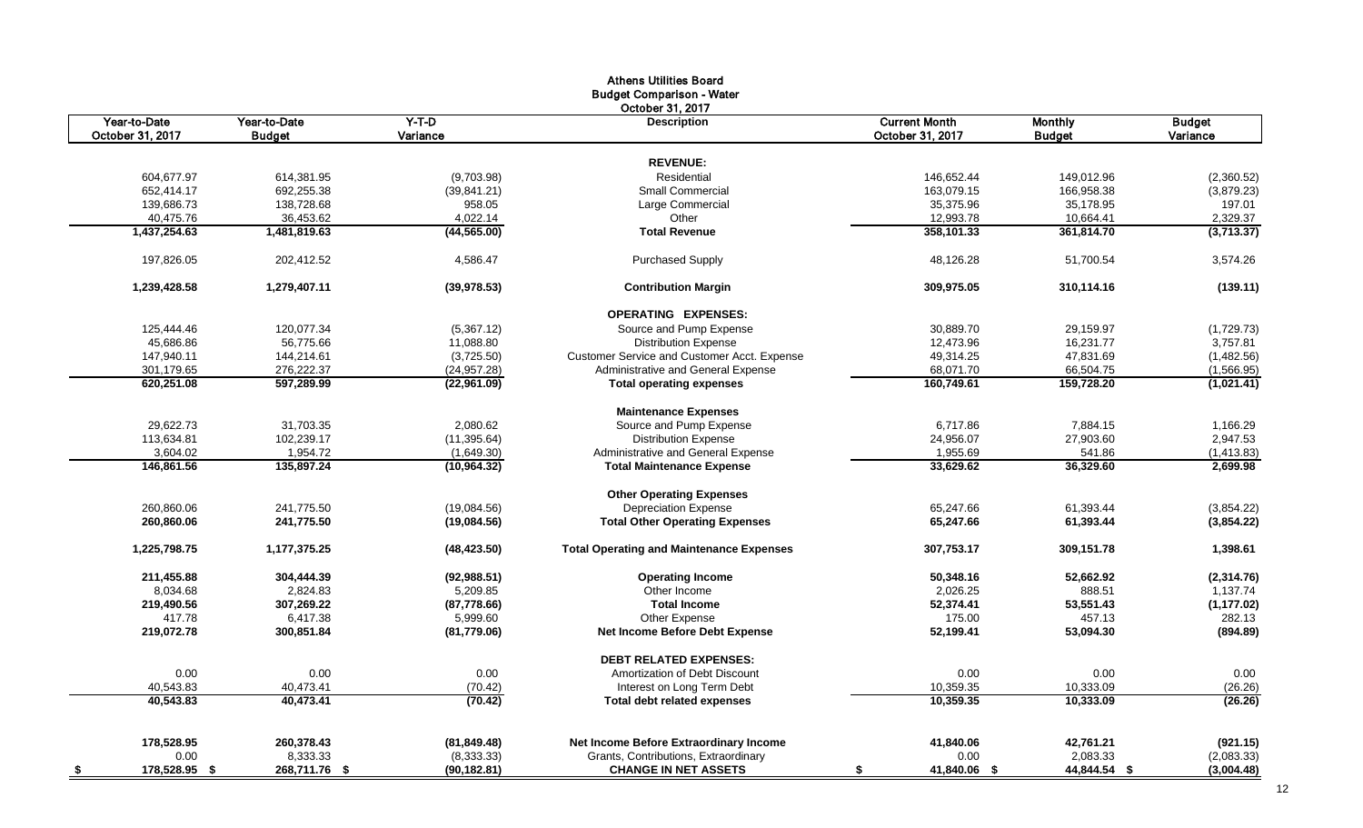|                                  |                               |                     | <b>Athens Utilities Board</b><br><b>Budget Comparison - Water</b> |                                          |                                 |                           |
|----------------------------------|-------------------------------|---------------------|-------------------------------------------------------------------|------------------------------------------|---------------------------------|---------------------------|
| Year-to-Date<br>October 31, 2017 | Year-to-Date<br><b>Budget</b> | $Y-T-D$<br>Variance | October 31, 2017<br><b>Description</b>                            | <b>Current Month</b><br>October 31, 2017 | <b>Monthly</b><br><b>Budget</b> | <b>Budget</b><br>Variance |
|                                  |                               |                     |                                                                   |                                          |                                 |                           |
|                                  |                               |                     | <b>REVENUE:</b>                                                   |                                          |                                 |                           |
| 604,677.97                       | 614,381.95                    | (9,703.98)          | Residential                                                       | 146,652.44                               | 149,012.96                      | (2,360.52)                |
| 652,414.17                       | 692,255.38                    | (39, 841.21)        | <b>Small Commercial</b>                                           | 163,079.15                               | 166,958.38                      | (3,879.23)                |
| 139,686.73                       | 138,728.68                    | 958.05              | Large Commercial                                                  | 35,375.96                                | 35,178.95                       | 197.01                    |
| 40,475.76                        | 36,453.62                     | 4,022.14            | Other                                                             | 12,993.78                                | 10,664.41                       | 2,329.37                  |
| 1,437,254.63                     | 1,481,819.63                  | (44, 565.00)        | <b>Total Revenue</b>                                              | 358,101.33                               | 361.814.70                      | (3,713.37)                |
| 197,826.05                       | 202,412.52                    | 4,586.47            | <b>Purchased Supply</b>                                           | 48,126.28                                | 51,700.54                       | 3,574.26                  |
| 1,239,428.58                     | 1,279,407.11                  | (39, 978.53)        | <b>Contribution Margin</b>                                        | 309.975.05                               | 310,114.16                      | (139.11)                  |
|                                  |                               |                     | <b>OPERATING EXPENSES:</b>                                        |                                          |                                 |                           |
| 125,444.46                       | 120,077.34                    | (5,367.12)          | Source and Pump Expense                                           | 30,889.70                                | 29,159.97                       | (1,729.73)                |
| 45,686.86                        | 56,775.66                     | 11,088.80           | <b>Distribution Expense</b>                                       | 12,473.96                                | 16,231.77                       | 3,757.81                  |
| 147,940.11                       | 144,214.61                    | (3,725.50)          | Customer Service and Customer Acct. Expense                       | 49,314.25                                | 47,831.69                       | (1,482.56)                |
| 301,179.65                       | 276,222.37                    | (24, 957.28)        | Administrative and General Expense                                | 68,071.70                                | 66,504.75                       | (1,566.95)                |
| 620,251.08                       | 597,289.99                    | (22,961.09)         | <b>Total operating expenses</b>                                   | 160,749.61                               | 159,728.20                      | (1,021.41)                |
|                                  |                               |                     | <b>Maintenance Expenses</b>                                       |                                          |                                 |                           |
| 29,622.73                        | 31,703.35                     | 2,080.62            | Source and Pump Expense                                           | 6,717.86                                 | 7,884.15                        | 1,166.29                  |
| 113,634.81                       | 102,239.17                    | (11, 395.64)        | <b>Distribution Expense</b>                                       | 24,956.07                                | 27,903.60                       | 2,947.53                  |
| 3,604.02                         | 1,954.72                      | (1,649.30)          | Administrative and General Expense                                | 1,955.69                                 | 541.86                          | (1, 413.83)               |
| 146,861.56                       | 135,897.24                    | (10, 964.32)        | <b>Total Maintenance Expense</b>                                  | 33,629.62                                | 36,329.60                       | 2,699.98                  |
|                                  |                               |                     | <b>Other Operating Expenses</b>                                   |                                          |                                 |                           |
| 260,860.06                       | 241,775.50                    | (19,084.56)         | <b>Depreciation Expense</b>                                       | 65,247.66                                | 61,393.44                       | (3,854.22)                |
| 260,860.06                       | 241,775.50                    | (19,084.56)         | <b>Total Other Operating Expenses</b>                             | 65,247.66                                | 61,393.44                       | (3,854.22)                |
| 1,225,798.75                     | 1,177,375.25                  | (48, 423.50)        | <b>Total Operating and Maintenance Expenses</b>                   | 307,753.17                               | 309,151.78                      | 1,398.61                  |
| 211,455.88                       | 304,444.39                    | (92, 988.51)        | <b>Operating Income</b>                                           | 50,348.16                                | 52,662.92                       | (2,314.76)                |
| 8,034.68                         | 2,824.83                      | 5,209.85            | Other Income                                                      | 2,026.25                                 | 888.51                          | 1,137.74                  |
| 219,490.56                       | 307.269.22                    | (87,778.66)         | <b>Total Income</b>                                               | 52,374.41                                | 53,551.43                       | (1, 177.02)               |
| 417.78                           | 6,417.38                      | 5,999.60            | Other Expense                                                     | 175.00                                   | 457.13                          | 282.13                    |
| 219,072.78                       | 300,851.84                    | (81,779.06)         | Net Income Before Debt Expense                                    | 52,199.41                                | 53,094.30                       | (894.89)                  |
|                                  |                               |                     | <b>DEBT RELATED EXPENSES:</b>                                     |                                          |                                 |                           |
| 0.00                             | 0.00                          | 0.00                | Amortization of Debt Discount                                     | 0.00                                     | 0.00                            | 0.00                      |
| 40,543.83                        | 40,473.41                     | (70.42)             | Interest on Long Term Debt                                        | 10,359.35                                | 10,333.09                       | (26.26)                   |
| 40,543.83                        | 40,473.41                     | (70.42)             | <b>Total debt related expenses</b>                                | 10.359.35                                | 10,333.09                       | (26.26)                   |
| 178,528.95                       | 260,378.43                    | (81, 849.48)        | Net Income Before Extraordinary Income                            | 41,840.06                                | 42,761.21                       | (921.15)                  |
| 0.00                             | 8,333.33                      | (8,333.33)          | Grants, Contributions, Extraordinary                              | 0.00                                     | 2,083.33                        | (2,083.33)                |
| 178,528.95 \$<br><u>\$</u>       | 268,711.76 \$                 | (90, 182.81)        | <b>CHANGE IN NET ASSETS</b>                                       | 41,840.06 \$<br>\$                       | 44,844.54 \$                    | (3,004.48)                |
|                                  |                               |                     |                                                                   |                                          |                                 |                           |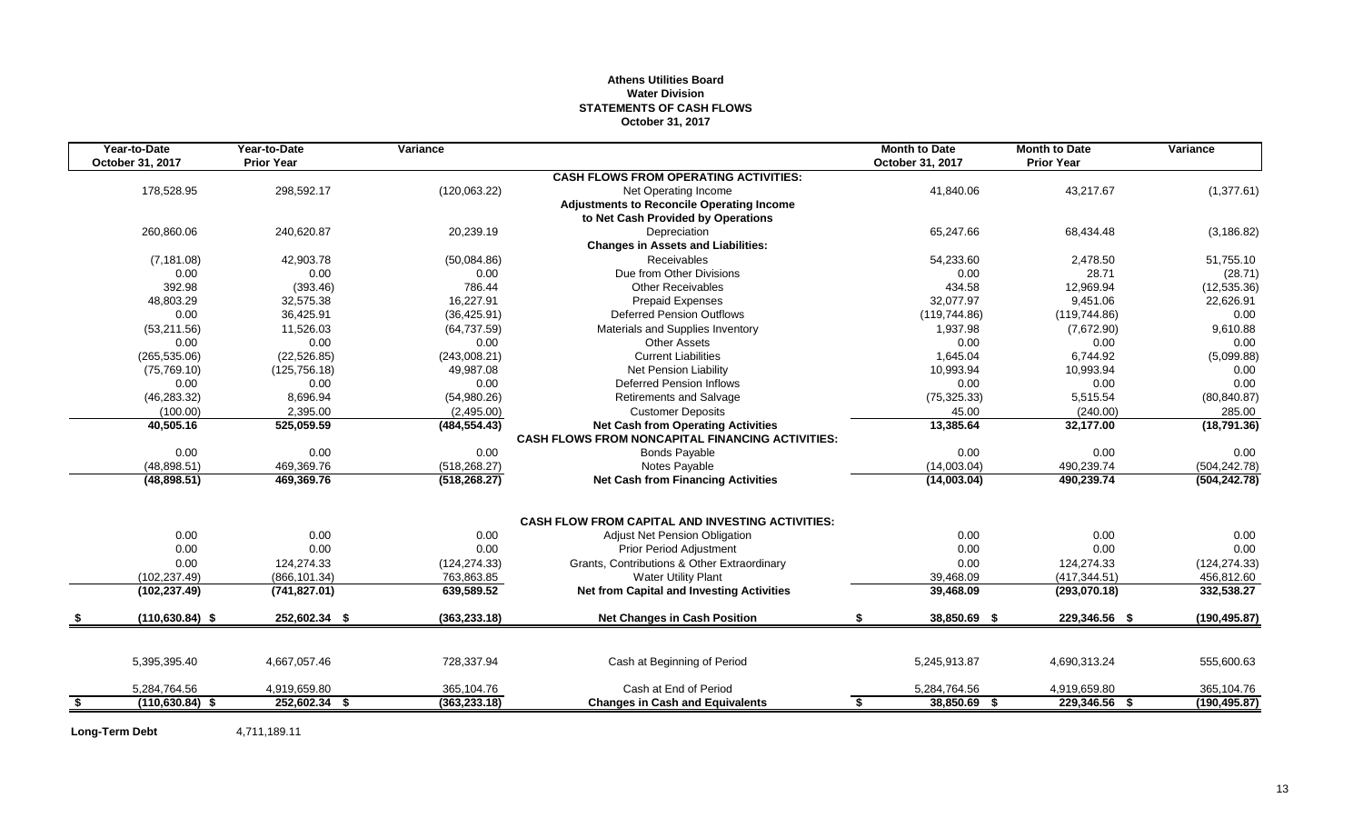#### **Athens Utilities Board Water Division STATEMENTS OF CASH FLOWS October 31, 2017**

|      | Year-to-Date       | Year-to-Date      | Variance      |                                                                                                      | <b>Month to Date</b> | <b>Month to Date</b> | Variance      |
|------|--------------------|-------------------|---------------|------------------------------------------------------------------------------------------------------|----------------------|----------------------|---------------|
|      | October 31, 2017   | <b>Prior Year</b> |               |                                                                                                      | October 31, 2017     | <b>Prior Year</b>    |               |
|      |                    |                   |               | <b>CASH FLOWS FROM OPERATING ACTIVITIES:</b>                                                         |                      |                      |               |
|      | 178,528.95         | 298,592.17        | (120,063.22)  | Net Operating Income                                                                                 | 41,840.06            | 43,217.67            | (1,377.61)    |
|      |                    |                   |               | <b>Adjustments to Reconcile Operating Income</b>                                                     |                      |                      |               |
|      |                    |                   |               | to Net Cash Provided by Operations                                                                   |                      |                      |               |
|      | 260.860.06         | 240,620.87        | 20,239.19     | Depreciation                                                                                         | 65,247.66            | 68,434.48            | (3, 186.82)   |
|      |                    |                   |               | <b>Changes in Assets and Liabilities:</b>                                                            |                      |                      |               |
|      | (7, 181.08)        | 42.903.78         | (50,084.86)   | <b>Receivables</b>                                                                                   | 54,233.60            | 2,478.50             | 51,755.10     |
|      | 0.00               | 0.00              | 0.00          | Due from Other Divisions                                                                             | 0.00                 | 28.71                | (28.71)       |
|      | 392.98             | (393.46)          | 786.44        | Other Receivables                                                                                    | 434.58               | 12,969.94            | (12, 535.36)  |
|      | 48,803.29          | 32,575.38         | 16.227.91     | <b>Prepaid Expenses</b>                                                                              | 32.077.97            | 9.451.06             | 22,626.91     |
|      | 0.00               | 36,425.91         | (36, 425.91)  | <b>Deferred Pension Outflows</b>                                                                     | (119, 744.86)        | (119, 744.86)        | 0.00          |
|      | (53, 211.56)       | 11,526.03         | (64, 737.59)  | Materials and Supplies Inventory                                                                     | 1.937.98             | (7,672.90)           | 9,610.88      |
|      | 0.00               | 0.00              | 0.00          | <b>Other Assets</b>                                                                                  | 0.00                 | 0.00                 | 0.00          |
|      | (265, 535.06)      | (22, 526.85)      | (243,008.21)  | <b>Current Liabilities</b>                                                                           | 1,645.04             | 6,744.92             | (5,099.88)    |
|      | (75, 769.10)       | (125, 756.18)     | 49,987.08     | Net Pension Liability                                                                                | 10,993.94            | 10,993.94            | 0.00          |
|      | 0.00               | 0.00              | 0.00          | <b>Deferred Pension Inflows</b>                                                                      | 0.00                 | 0.00                 | 0.00          |
|      | (46, 283.32)       | 8,696.94          | (54,980.26)   | <b>Retirements and Salvage</b>                                                                       | (75, 325.33)         | 5.515.54             | (80, 840.87)  |
|      | (100.00)           | 2,395.00          | (2,495.00)    | <b>Customer Deposits</b>                                                                             | 45.00                | (240.00)             | 285.00        |
|      | 40,505.16          | 525,059.59        | (484, 554.43) | <b>Net Cash from Operating Activities</b><br><b>CASH FLOWS FROM NONCAPITAL FINANCING ACTIVITIES:</b> | 13,385.64            | 32,177.00            | (18, 791.36)  |
|      | 0.00               | 0.00              | 0.00          | <b>Bonds Payable</b>                                                                                 | 0.00                 | 0.00                 | 0.00          |
|      | (48, 898.51)       | 469.369.76        | (518, 268.27) | Notes Payable                                                                                        | (14,003.04)          | 490,239.74           | (504, 242.78) |
|      | (48,898.51)        | 469,369.76        | (518, 268.27) | <b>Net Cash from Financing Activities</b>                                                            | (14,003.04)          | 490,239.74           | (504, 242.78) |
|      |                    |                   |               | <b>CASH FLOW FROM CAPITAL AND INVESTING ACTIVITIES:</b>                                              |                      |                      |               |
|      | 0.00               | 0.00              | 0.00          | <b>Adjust Net Pension Obligation</b>                                                                 | 0.00                 | 0.00                 | 0.00          |
|      | 0.00               | 0.00              | 0.00          | <b>Prior Period Adjustment</b>                                                                       | 0.00                 | 0.00                 | 0.00          |
|      | 0.00               | 124,274.33        | (124, 274.33) | Grants, Contributions & Other Extraordinary                                                          | 0.00                 | 124,274.33           | (124, 274.33) |
|      | (102, 237.49)      | (866, 101.34)     | 763,863.85    | <b>Water Utility Plant</b>                                                                           | 39,468.09            | (417, 344.51)        | 456,812.60    |
|      | (102, 237.49)      | (741, 827.01)     | 639,589.52    | <b>Net from Capital and Investing Activities</b>                                                     | 39,468.09            | (293,070.18)         | 332,538.27    |
|      | $(110, 630.84)$ \$ | 252,602.34 \$     | (363, 233.18) | <b>Net Changes in Cash Position</b>                                                                  | \$<br>38,850.69 \$   | 229,346.56 \$        | (190, 495.87) |
|      |                    |                   |               |                                                                                                      |                      |                      |               |
|      | 5,395,395.40       | 4,667,057.46      | 728,337.94    | Cash at Beginning of Period                                                                          | 5,245,913.87         | 4,690,313.24         | 555,600.63    |
|      | 5,284,764.56       | 4,919,659.80      | 365,104.76    | Cash at End of Period                                                                                | 5,284,764.56         | 4,919,659.80         | 365,104.76    |
| - \$ | $(110, 630.84)$ \$ | 252,602.34 \$     | (363, 233.18) | <b>Changes in Cash and Equivalents</b>                                                               | 38,850.69 \$<br>\$   | 229,346.56 \$        | (190, 495.87) |

**Long-Term Debt** 4,711,189.11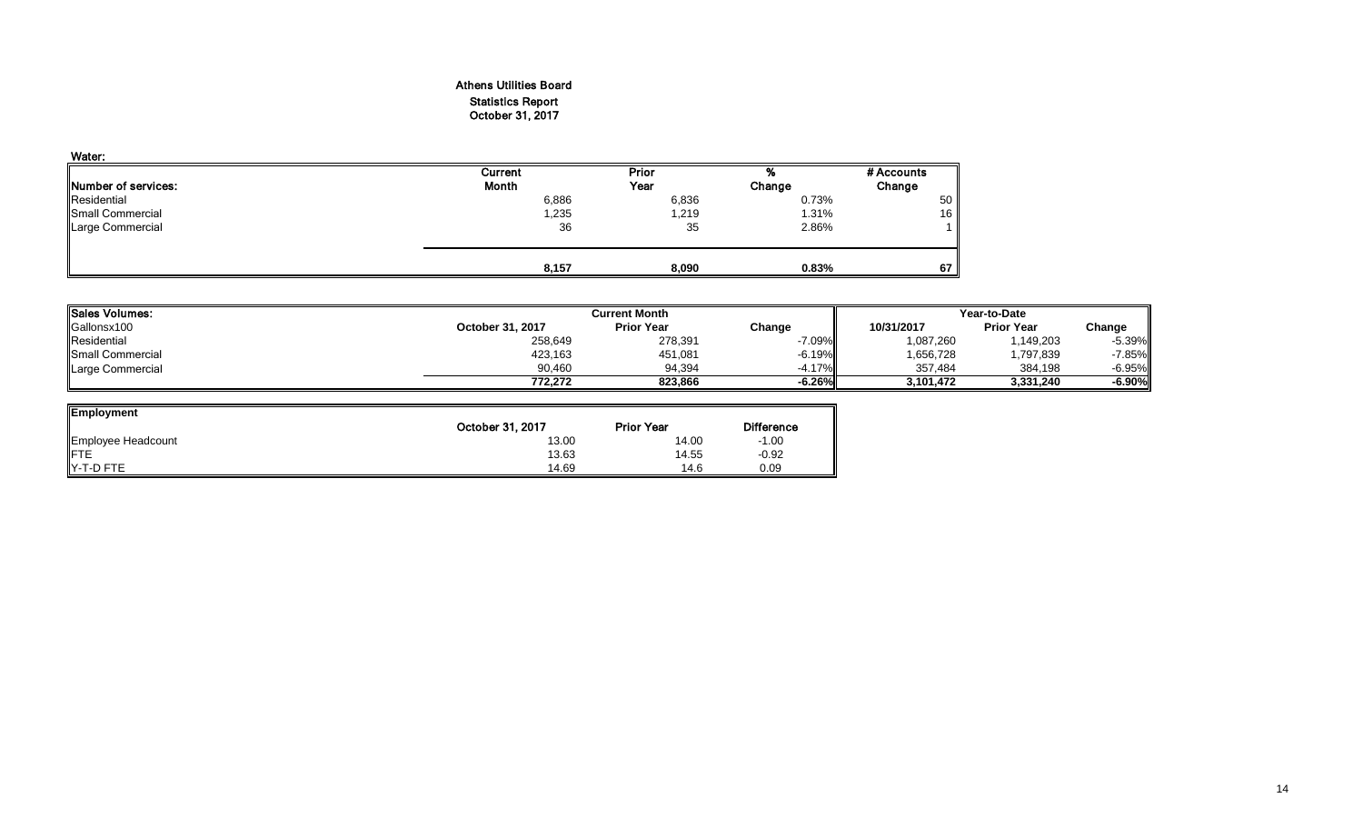#### Athens Utilities Board Statistics Report October 31, 2017

| Water:                      |         |       |        |            |
|-----------------------------|---------|-------|--------|------------|
|                             | Current | Prior | %      | # Accounts |
| <b>INumber of services:</b> | Month   | Year  | Change | Change     |
| Residential                 | 6,886   | 6,836 | 0.73%  | 50         |
| Small Commercial            | 1,235   | 1,219 | 1.31%  | 16         |
| Large Commercial            | 36      | 35    | 2.86%  |            |
|                             | 8,157   | 8,090 | 0.83%  | 67         |

| <b>Sales Volumes:</b> |                  | <b>Current Month</b> |           |            | Year-to-Date      |          |  |  |
|-----------------------|------------------|----------------------|-----------|------------|-------------------|----------|--|--|
| Gallonsx100           | October 31, 2017 | <b>Prior Year</b>    | Change    | 10/31/2017 | <b>Prior Year</b> | Change   |  |  |
| Residential           | 258,649          | 278,391              | $-7.09\%$ | 1,087,260  | ,149,203          | $-5.39%$ |  |  |
| Small Commercial      | 423,163          | 451,081              | $-6.19\%$ | 656,728    | ,797,839          | $-7.85%$ |  |  |
| Large Commercial      | 90.460           | 94.394               | $-4.17\%$ | 357.484    | 384,198           | $-6.95%$ |  |  |
|                       | 772.272          | 823.866              | $-6.26\%$ | 3.101.472  | 3,331,240         | $-6.90%$ |  |  |

| <b>Employment</b>  |                  |                   |         |
|--------------------|------------------|-------------------|---------|
|                    | October 31, 2017 | <b>Prior Year</b> |         |
| Employee Headcount | 13.00            | 14.00             | $-1.00$ |
| <b>IFTE</b>        | 13.63            | 14.55             | $-0.92$ |
| Y-T-D FTE          | 14.69            | 14.6              | 0.09    |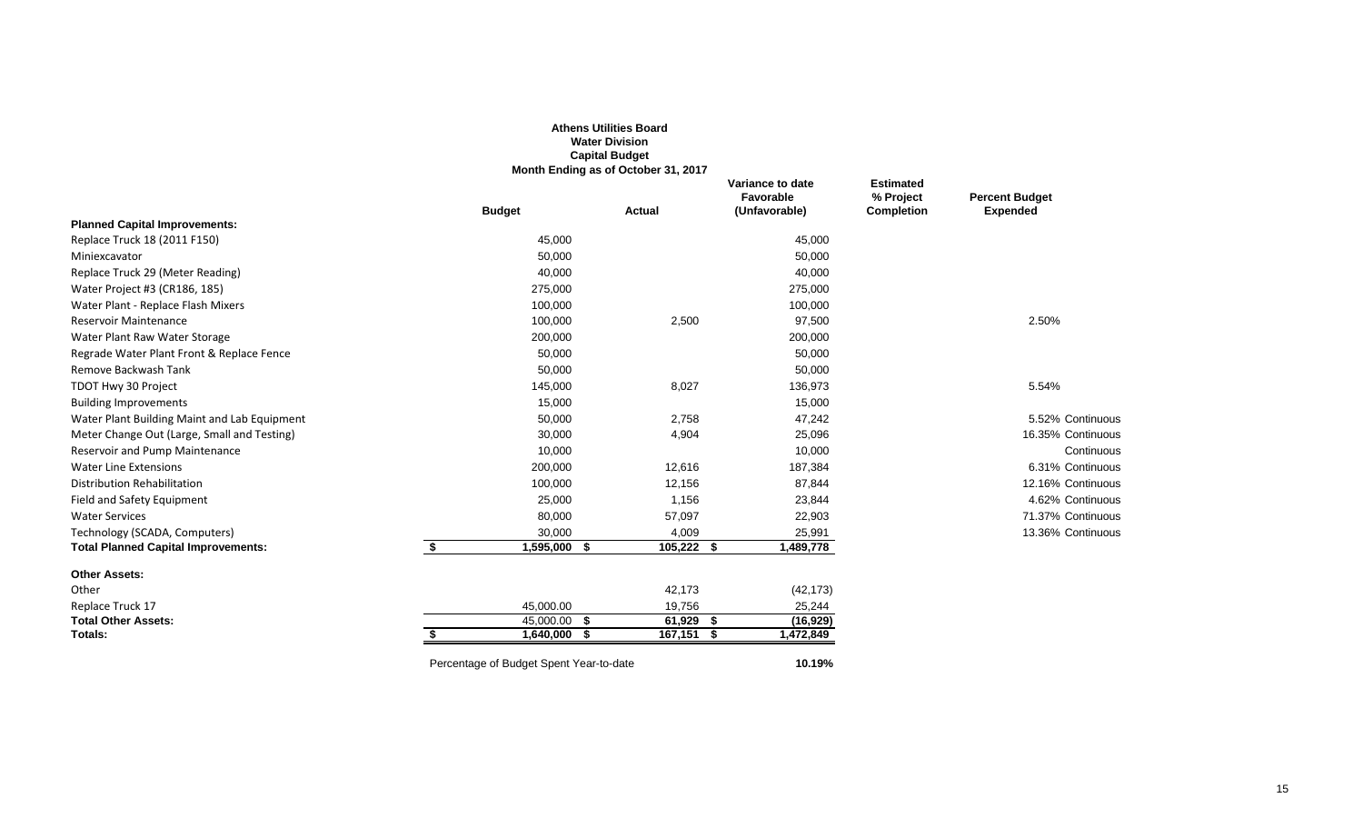|                                              |                                         | <b>Athens Utilities Board</b><br><b>Water Division</b><br><b>Capital Budget</b><br>Month Ending as of October 31, 2017 |                                                |                                                    |                                          |
|----------------------------------------------|-----------------------------------------|------------------------------------------------------------------------------------------------------------------------|------------------------------------------------|----------------------------------------------------|------------------------------------------|
|                                              | <b>Budget</b>                           | <b>Actual</b>                                                                                                          | Variance to date<br>Favorable<br>(Unfavorable) | <b>Estimated</b><br>% Project<br><b>Completion</b> | <b>Percent Budget</b><br><b>Expended</b> |
| <b>Planned Capital Improvements:</b>         |                                         |                                                                                                                        |                                                |                                                    |                                          |
| Replace Truck 18 (2011 F150)                 | 45,000                                  |                                                                                                                        | 45,000                                         |                                                    |                                          |
| Miniexcavator                                | 50,000                                  |                                                                                                                        | 50,000                                         |                                                    |                                          |
| Replace Truck 29 (Meter Reading)             | 40,000                                  |                                                                                                                        | 40,000                                         |                                                    |                                          |
| Water Project #3 (CR186, 185)                | 275,000                                 |                                                                                                                        | 275,000                                        |                                                    |                                          |
| Water Plant - Replace Flash Mixers           | 100,000                                 |                                                                                                                        | 100,000                                        |                                                    |                                          |
| <b>Reservoir Maintenance</b>                 | 100,000                                 | 2,500                                                                                                                  | 97,500                                         |                                                    | 2.50%                                    |
| Water Plant Raw Water Storage                | 200,000                                 |                                                                                                                        | 200,000                                        |                                                    |                                          |
| Regrade Water Plant Front & Replace Fence    | 50,000                                  |                                                                                                                        | 50,000                                         |                                                    |                                          |
| Remove Backwash Tank                         | 50,000                                  |                                                                                                                        | 50,000                                         |                                                    |                                          |
| TDOT Hwy 30 Project                          | 145,000                                 | 8,027                                                                                                                  | 136,973                                        |                                                    | 5.54%                                    |
| <b>Building Improvements</b>                 | 15,000                                  |                                                                                                                        | 15,000                                         |                                                    |                                          |
| Water Plant Building Maint and Lab Equipment | 50,000                                  | 2,758                                                                                                                  | 47,242                                         |                                                    | 5.52% Continuous                         |
| Meter Change Out (Large, Small and Testing)  | 30,000                                  | 4,904                                                                                                                  | 25,096                                         |                                                    | 16.35% Continuous                        |
| Reservoir and Pump Maintenance               | 10,000                                  |                                                                                                                        | 10,000                                         |                                                    | Continuous                               |
| <b>Water Line Extensions</b>                 | 200,000                                 | 12,616                                                                                                                 | 187,384                                        |                                                    | 6.31% Continuous                         |
| <b>Distribution Rehabilitation</b>           | 100,000                                 | 12,156                                                                                                                 | 87,844                                         |                                                    | 12.16% Continuous                        |
| Field and Safety Equipment                   | 25,000                                  | 1,156                                                                                                                  | 23,844                                         |                                                    | 4.62% Continuous                         |
| <b>Water Services</b>                        | 80,000                                  | 57,097                                                                                                                 | 22,903                                         |                                                    | 71.37% Continuous                        |
| Technology (SCADA, Computers)                | 30,000                                  | 4,009                                                                                                                  | 25,991                                         |                                                    | 13.36% Continuous                        |
| <b>Total Planned Capital Improvements:</b>   | \$<br>$1,595,000$ \$                    | $105,222$ \$                                                                                                           | 1,489,778                                      |                                                    |                                          |
| <b>Other Assets:</b>                         |                                         |                                                                                                                        |                                                |                                                    |                                          |
| Other                                        |                                         | 42,173                                                                                                                 | (42, 173)                                      |                                                    |                                          |
| Replace Truck 17                             | 45,000.00                               | 19,756                                                                                                                 | 25,244                                         |                                                    |                                          |
| <b>Total Other Assets:</b>                   | $\overline{45,000.00}$ \$               | 61,929 \$                                                                                                              | (16, 929)                                      |                                                    |                                          |
| Totals:                                      | $1,640,000$ \$                          | $167,151$ \$                                                                                                           | 1,472,849                                      |                                                    |                                          |
|                                              | Percentage of Budget Spent Year-to-date |                                                                                                                        | 10.19%                                         |                                                    |                                          |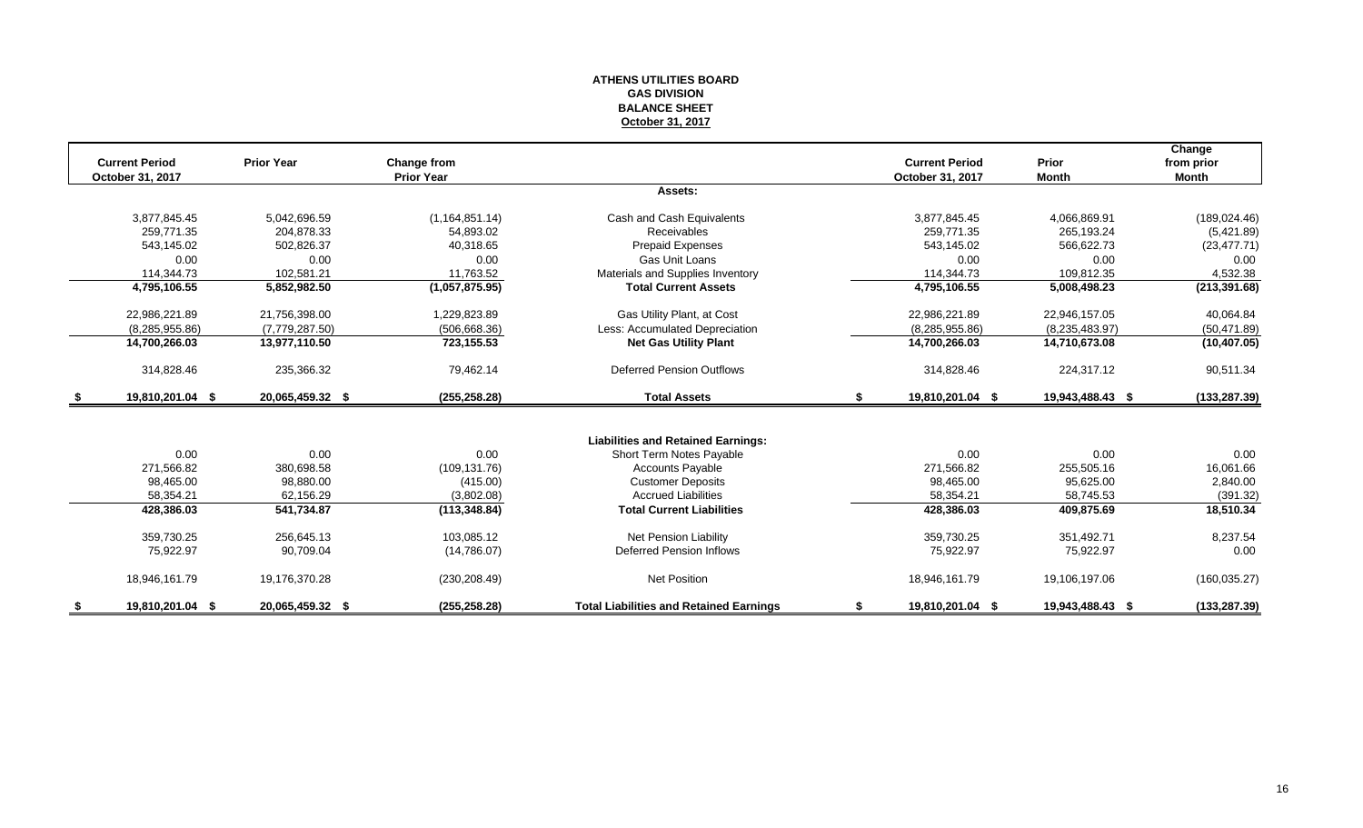#### **ATHENS UTILITIES BOARD GAS DIVISION BALANCE SHEET October 31, 2017**

|    |                       |                   |                   |                                                |    |                       |                  | Change        |
|----|-----------------------|-------------------|-------------------|------------------------------------------------|----|-----------------------|------------------|---------------|
|    | <b>Current Period</b> | <b>Prior Year</b> | Change from       |                                                |    | <b>Current Period</b> | Prior            | from prior    |
|    | October 31, 2017      |                   | <b>Prior Year</b> |                                                |    | October 31, 2017      | <b>Month</b>     | <b>Month</b>  |
|    |                       |                   |                   | Assets:                                        |    |                       |                  |               |
|    | 3,877,845.45          | 5,042,696.59      | (1, 164, 851.14)  | Cash and Cash Equivalents                      |    | 3,877,845.45          | 4,066,869.91     | (189, 024.46) |
|    | 259.771.35            | 204.878.33        | 54.893.02         | <b>Receivables</b>                             |    | 259.771.35            | 265.193.24       | (5,421.89)    |
|    | 543.145.02            | 502,826.37        | 40.318.65         | <b>Prepaid Expenses</b>                        |    | 543.145.02            | 566,622.73       | (23, 477.71)  |
|    | 0.00                  | 0.00              | 0.00              | Gas Unit Loans                                 |    | 0.00                  | 0.00             | 0.00          |
|    | 114,344.73            | 102,581.21        | 11,763.52         | Materials and Supplies Inventory               |    | 114.344.73            | 109.812.35       | 4,532.38      |
|    | 4,795,106.55          | 5,852,982.50      | (1,057,875.95)    | <b>Total Current Assets</b>                    |    | 4,795,106.55          | 5,008,498.23     | (213, 391.68) |
|    | 22,986,221.89         | 21,756,398.00     | 1,229,823.89      | Gas Utility Plant, at Cost                     |    | 22,986,221.89         | 22,946,157.05    | 40,064.84     |
|    | (8, 285, 955.86)      | (7,779,287.50)    | (506, 668.36)     | Less: Accumulated Depreciation                 |    | (8, 285, 955.86)      | (8,235,483.97)   | (50, 471.89)  |
|    | 14,700,266.03         | 13,977,110.50     | 723,155.53        | <b>Net Gas Utility Plant</b>                   |    | 14,700,266.03         | 14,710,673.08    | (10, 407.05)  |
|    | 314,828.46            | 235,366.32        | 79,462.14         | <b>Deferred Pension Outflows</b>               |    | 314,828.46            | 224,317.12       | 90,511.34     |
| -S | 19,810,201.04 \$      | 20,065,459.32 \$  | (255, 258.28)     | <b>Total Assets</b>                            | S. | 19,810,201.04 \$      | 19,943,488.43 \$ | (133, 287.39) |
|    |                       |                   |                   |                                                |    |                       |                  |               |
|    |                       |                   |                   | <b>Liabilities and Retained Earnings:</b>      |    |                       |                  |               |
|    | 0.00                  | 0.00              | 0.00              | Short Term Notes Payable                       |    | 0.00                  | 0.00             | 0.00          |
|    | 271,566.82            | 380,698.58        | (109, 131.76)     | <b>Accounts Payable</b>                        |    | 271,566.82            | 255,505.16       | 16,061.66     |
|    | 98,465.00             | 98,880.00         | (415.00)          | <b>Customer Deposits</b>                       |    | 98.465.00             | 95.625.00        | 2,840.00      |
|    | 58,354.21             | 62,156.29         | (3,802.08)        | <b>Accrued Liabilities</b>                     |    | 58.354.21             | 58.745.53        | (391.32)      |
|    | 428,386.03            | 541,734.87        | (113, 348.84)     | <b>Total Current Liabilities</b>               |    | 428,386.03            | 409,875.69       | 18,510.34     |
|    | 359,730.25            | 256.645.13        | 103.085.12        | Net Pension Liability                          |    | 359.730.25            | 351.492.71       | 8,237.54      |
|    | 75,922.97             | 90,709.04         | (14,786.07)       | <b>Deferred Pension Inflows</b>                |    | 75,922.97             | 75,922.97        | 0.00          |
|    | 18,946,161.79         | 19,176,370.28     | (230, 208.49)     | <b>Net Position</b>                            |    | 18,946,161.79         | 19,106,197.06    | (160, 035.27) |
|    | 19,810,201.04 \$      | 20,065,459.32 \$  | (255, 258.28)     | <b>Total Liabilities and Retained Earnings</b> |    | 19,810,201.04 \$      | 19,943,488.43 \$ | (133, 287.39) |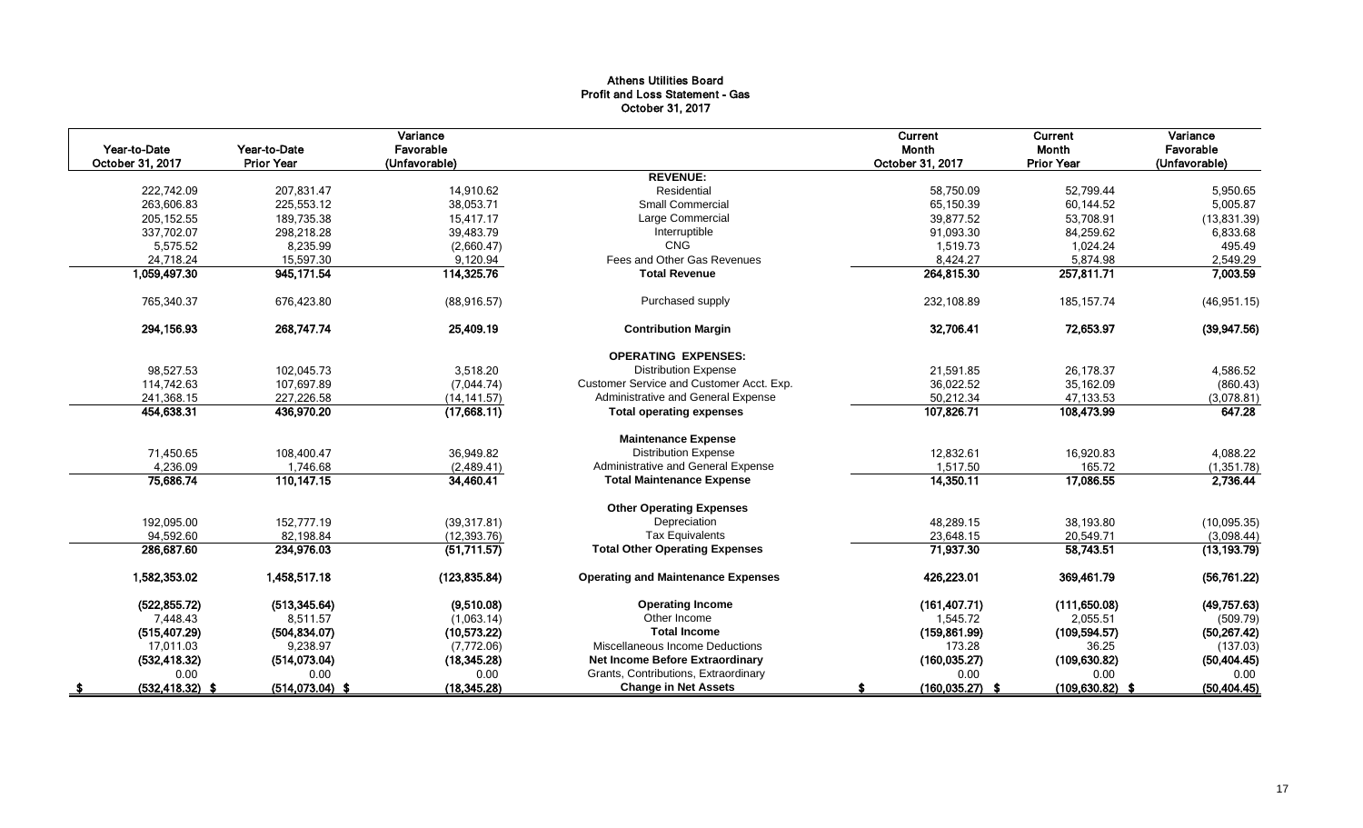#### Athens Utilities Board Profit and Loss Statement - Gas October 31, 2017

| Year-to-Date<br>October 31, 2017 | Year-to-Date<br><b>Prior Year</b> | Variance<br>Favorable |                                           | Current<br>Month   | Current<br>Month   | Variance<br>Favorable |
|----------------------------------|-----------------------------------|-----------------------|-------------------------------------------|--------------------|--------------------|-----------------------|
|                                  |                                   | (Unfavorable)         | <b>REVENUE:</b>                           | October 31, 2017   | <b>Prior Year</b>  | (Unfavorable)         |
| 222,742.09                       | 207,831.47                        | 14,910.62             | Residential                               | 58,750.09          | 52.799.44          | 5,950.65              |
| 263,606.83                       | 225,553.12                        | 38,053.71             | <b>Small Commercial</b>                   | 65,150.39          | 60,144.52          | 5,005.87              |
| 205, 152.55                      | 189,735.38                        | 15,417.17             | Large Commercial                          | 39,877.52          | 53,708.91          | (13,831.39)           |
| 337,702.07                       | 298,218.28                        | 39,483.79             | Interruptible                             | 91,093.30          | 84,259.62          | 6,833.68              |
| 5,575.52                         | 8,235.99                          | (2,660.47)            | <b>CNG</b>                                | 1,519.73           | 1,024.24           | 495.49                |
| 24,718.24                        | 15,597.30                         | 9,120.94              | Fees and Other Gas Revenues               | 8,424.27           | 5,874.98           | 2,549.29              |
| 1,059,497.30                     | 945, 171.54                       | 114,325.76            | <b>Total Revenue</b>                      | 264,815.30         | 257,811.71         | 7,003.59              |
| 765,340.37                       | 676,423.80                        | (88, 916.57)          | Purchased supply                          | 232,108.89         | 185, 157.74        | (46, 951.15)          |
| 294,156.93                       | 268,747.74                        | 25,409.19             | <b>Contribution Margin</b>                | 32,706.41          | 72.653.97          | (39, 947.56)          |
|                                  |                                   |                       | <b>OPERATING EXPENSES:</b>                |                    |                    |                       |
| 98,527.53                        | 102,045.73                        | 3,518.20              | <b>Distribution Expense</b>               | 21,591.85          | 26,178.37          | 4,586.52              |
| 114,742.63                       | 107,697.89                        | (7,044.74)            | Customer Service and Customer Acct. Exp.  | 36.022.52          | 35,162.09          | (860.43)              |
| 241,368.15                       | 227,226.58                        | (14, 141.57)          | Administrative and General Expense        | 50,212.34          | 47,133.53          | (3.078.81)            |
| 454,638.31                       | 436,970.20                        | (17,668.11)           | <b>Total operating expenses</b>           | 107,826.71         | 108,473.99         | 647.28                |
|                                  |                                   |                       | <b>Maintenance Expense</b>                |                    |                    |                       |
| 71,450.65                        | 108,400.47                        | 36,949.82             | <b>Distribution Expense</b>               | 12,832.61          | 16,920.83          | 4,088.22              |
| 4,236.09                         | 1,746.68                          | (2,489.41)            | Administrative and General Expense        | 1,517.50           | 165.72             | (1, 351.78)           |
| 75,686.74                        | 110,147.15                        | 34,460.41             | <b>Total Maintenance Expense</b>          | 14,350.11          | 17,086.55          | 2,736.44              |
|                                  |                                   |                       | <b>Other Operating Expenses</b>           |                    |                    |                       |
| 192,095.00                       | 152,777.19                        | (39, 317.81)          | Depreciation                              | 48,289.15          | 38,193.80          | (10,095.35)           |
| 94,592.60                        | 82,198.84                         | (12, 393.76)          | <b>Tax Equivalents</b>                    | 23,648.15          | 20,549.71          | (3,098.44)            |
| 286,687.60                       | 234,976.03                        | (51,711.57)           | <b>Total Other Operating Expenses</b>     | 71,937.30          | 58,743.51          | (13, 193.79)          |
| 1,582,353.02                     | 1,458,517.18                      | (123, 835.84)         | <b>Operating and Maintenance Expenses</b> | 426,223.01         | 369,461.79         | (56, 761.22)          |
| (522, 855.72)                    | (513, 345.64)                     | (9,510.08)            | <b>Operating Income</b>                   | (161, 407.71)      | (111, 650.08)      | (49, 757.63)          |
| 7,448.43                         | 8,511.57                          | (1,063.14)            | Other Income                              | 1,545.72           | 2,055.51           | (509.79)              |
| (515, 407.29)                    | (504, 834.07)                     | (10, 573.22)          | <b>Total Income</b>                       | (159, 861.99)      | (109, 594.57)      | (50, 267.42)          |
| 17,011.03                        | 9,238.97                          | (7,772.06)            | Miscellaneous Income Deductions           | 173.28             | 36.25              | (137.03)              |
| (532, 418.32)                    | (514, 073.04)                     | (18, 345.28)          | Net Income Before Extraordinary           | (160, 035.27)      | (109, 630.82)      | (50, 404.45)          |
| 0.00                             | 0.00                              | 0.00                  | Grants, Contributions, Extraordinary      | 0.00               | 0.00               | 0.00                  |
| $(532, 418.32)$ \$               | $(514,073.04)$ \$                 | (18, 345.28)          | <b>Change in Net Assets</b>               | $(160, 035.27)$ \$ | $(109, 630.82)$ \$ | (50, 404.45)          |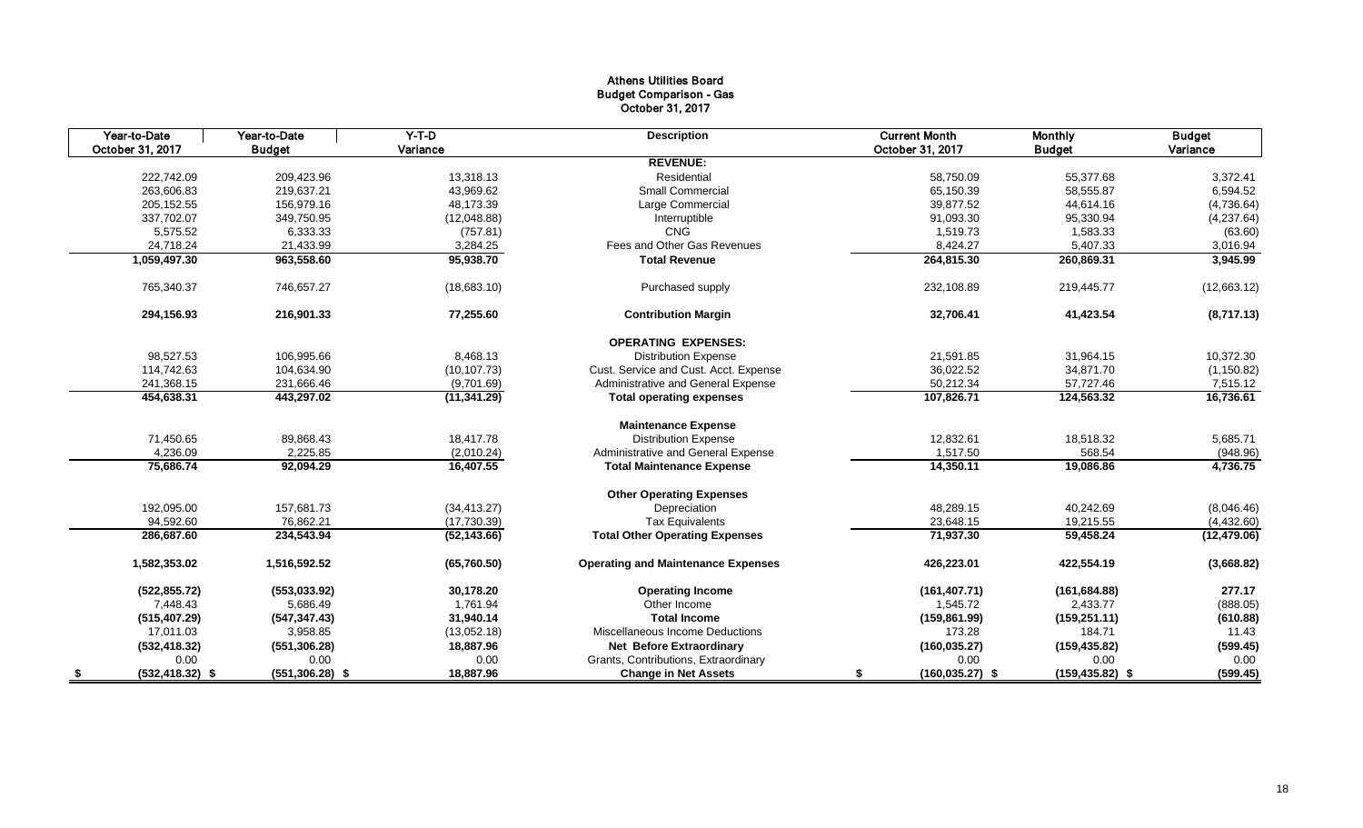#### Athens Utilities Board Budget Comparison - Gas October 31, 2017

|      | Year-to-Date       | Year-to-Date       | $Y-T-D$      | <b>Description</b>                        | <b>Current Month</b>     | <b>Monthly</b>     | <b>Budget</b> |
|------|--------------------|--------------------|--------------|-------------------------------------------|--------------------------|--------------------|---------------|
|      | October 31, 2017   | <b>Budget</b>      | Variance     |                                           | October 31, 2017         | <b>Budget</b>      | Variance      |
|      |                    |                    |              | <b>REVENUE:</b>                           |                          |                    |               |
|      | 222,742.09         | 209,423.96         | 13,318.13    | Residential                               | 58,750.09                | 55,377.68          | 3,372.41      |
|      | 263,606.83         | 219,637.21         | 43,969.62    | <b>Small Commercial</b>                   | 65,150.39                | 58,555.87          | 6,594.52      |
|      | 205,152.55         | 156,979.16         | 48,173.39    | Large Commercial                          | 39,877.52                | 44,614.16          | (4,736.64)    |
|      | 337,702.07         | 349,750.95         | (12,048.88)  | Interruptible                             | 91,093.30                | 95,330.94          | (4,237.64)    |
|      | 5,575.52           | 6,333.33           | (757.81)     | <b>CNG</b>                                | 1,519.73                 | 1,583.33           | (63.60)       |
|      | 24,718.24          | 21,433.99          | 3,284.25     | Fees and Other Gas Revenues               | 8,424.27                 | 5,407.33           | 3,016.94      |
|      | 1,059,497.30       | 963,558.60         | 95,938.70    | <b>Total Revenue</b>                      | 264,815.30               | 260,869.31         | 3,945.99      |
|      | 765,340.37         | 746,657.27         | (18,683.10)  | Purchased supply                          | 232,108.89               | 219,445.77         | (12,663.12)   |
|      | 294,156.93         | 216,901.33         | 77,255.60    | <b>Contribution Margin</b>                | 32,706.41                | 41,423.54          | (8,717.13)    |
|      |                    |                    |              | <b>OPERATING EXPENSES:</b>                |                          |                    |               |
|      | 98,527.53          | 106,995.66         | 8,468.13     | <b>Distribution Expense</b>               | 21,591.85                | 31,964.15          | 10,372.30     |
|      | 114,742.63         | 104,634.90         | (10, 107.73) | Cust. Service and Cust. Acct. Expense     | 36,022.52                | 34,871.70          | (1, 150.82)   |
|      | 241,368.15         | 231,666.46         | (9,701.69)   | Administrative and General Expense        | 50,212.34                | 57,727.46          | 7,515.12      |
|      | 454,638.31         | 443,297.02         | (11, 341.29) | <b>Total operating expenses</b>           | 107,826.71               | 124,563.32         | 16,736.61     |
|      |                    |                    |              | <b>Maintenance Expense</b>                |                          |                    |               |
|      | 71,450.65          | 89,868.43          | 18,417.78    | <b>Distribution Expense</b>               | 12,832.61                | 18,518.32          | 5,685.71      |
|      | 4,236.09           | 2,225.85           | (2,010.24)   | Administrative and General Expense        | 1,517.50                 | 568.54             | (948.96)      |
|      | 75,686.74          | 92,094.29          | 16,407.55    | <b>Total Maintenance Expense</b>          | 14,350.11                | 19,086.86          | 4,736.75      |
|      |                    |                    |              | <b>Other Operating Expenses</b>           |                          |                    |               |
|      | 192,095.00         | 157,681.73         | (34, 413.27) | Depreciation                              | 48,289.15                | 40,242.69          | (8,046.46)    |
|      | 94,592.60          | 76,862.21          | (17,730.39)  | <b>Tax Equivalents</b>                    | 23,648.15                | 19,215.55          | (4,432.60)    |
|      | 286,687.60         | 234,543.94         | (52, 143.66) | <b>Total Other Operating Expenses</b>     | 71,937.30                | 59,458.24          | (12, 479.06)  |
|      | 1,582,353.02       | 1,516,592.52       | (65,760.50)  | <b>Operating and Maintenance Expenses</b> | 426,223.01               | 422,554.19         | (3,668.82)    |
|      | (522, 855.72)      | (553,033.92)       | 30,178.20    | <b>Operating Income</b>                   | (161, 407.71)            | (161, 684.88)      | 277.17        |
|      | 7,448.43           | 5,686.49           | 1,761.94     | Other Income                              | 1,545.72                 | 2,433.77           | (888.05)      |
|      | (515, 407.29)      | (547, 347.43)      | 31,940.14    | <b>Total Income</b>                       | (159, 861.99)            | (159, 251.11)      | (610.88)      |
|      | 17,011.03          | 3,958.85           | (13,052.18)  | Miscellaneous Income Deductions           | 173.28                   | 184.71             | 11.43         |
|      | (532, 418.32)      | (551, 306.28)      | 18,887.96    | <b>Net Before Extraordinary</b>           | (160, 035.27)            | (159, 435.82)      | (599.45)      |
|      | 0.00               | 0.00               | 0.00         | Grants, Contributions, Extraordinary      |                          | 0.00<br>0.00       | 0.00          |
| - \$ | $(532, 418.32)$ \$ | $(551, 306.28)$ \$ | 18,887.96    | <b>Change in Net Assets</b>               | $(160, 035.27)$ \$<br>S. | $(159, 435.82)$ \$ | (599.45)      |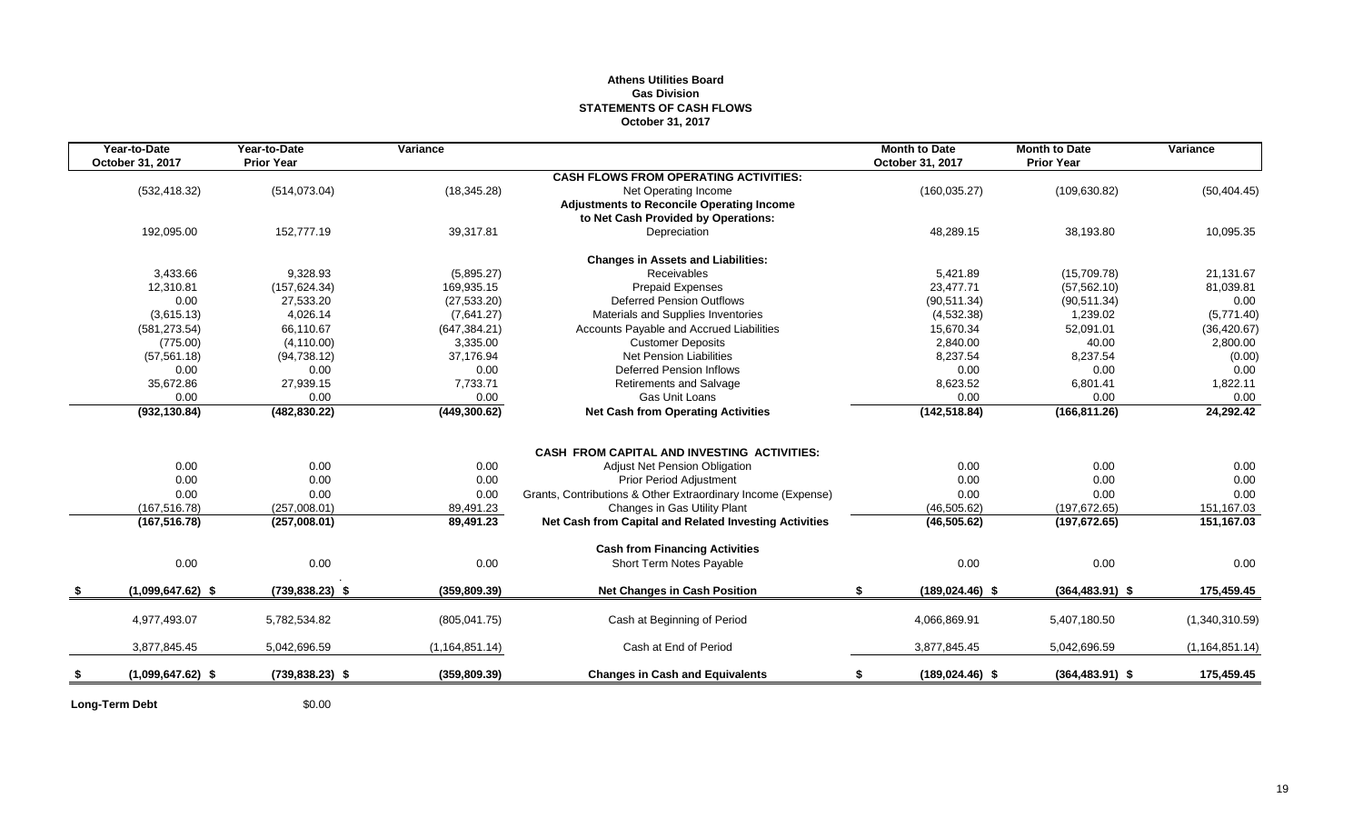#### **Athens Utilities Board Gas Division STATEMENTS OF CASH FLOWS October 31, 2017**

| Year-to-Date        | Year-to-Date       | Variance         |                                                                                         | <b>Month to Date</b>     | <b>Month to Date</b> | Variance         |
|---------------------|--------------------|------------------|-----------------------------------------------------------------------------------------|--------------------------|----------------------|------------------|
| October 31, 2017    | <b>Prior Year</b>  |                  |                                                                                         | October 31, 2017         | <b>Prior Year</b>    |                  |
|                     |                    |                  | <b>CASH FLOWS FROM OPERATING ACTIVITIES:</b>                                            |                          |                      |                  |
| (532, 418.32)       | (514, 073.04)      | (18, 345.28)     | Net Operating Income                                                                    | (160, 035.27)            | (109, 630.82)        | (50, 404.45)     |
|                     |                    |                  | <b>Adjustments to Reconcile Operating Income</b><br>to Net Cash Provided by Operations: |                          |                      |                  |
| 192,095.00          | 152,777.19         | 39,317.81        | Depreciation                                                                            | 48,289.15                | 38,193.80            | 10,095.35        |
|                     |                    |                  |                                                                                         |                          |                      |                  |
|                     |                    |                  | <b>Changes in Assets and Liabilities:</b>                                               |                          |                      |                  |
| 3,433.66            | 9,328.93           | (5,895.27)       | <b>Receivables</b>                                                                      | 5,421.89                 | (15,709.78)          | 21,131.67        |
| 12,310.81           | (157, 624.34)      | 169,935.15       | Prepaid Expenses                                                                        | 23,477.71                | (57, 562.10)         | 81,039.81        |
| 0.00                | 27,533.20          | (27, 533.20)     | <b>Deferred Pension Outflows</b>                                                        | (90, 511.34)             | (90, 511.34)         | 0.00             |
| (3,615.13)          | 4,026.14           | (7,641.27)       | Materials and Supplies Inventories                                                      | (4,532.38)               | 1,239.02             | (5,771.40)       |
| (581, 273.54)       | 66.110.67          | (647, 384.21)    | Accounts Payable and Accrued Liabilities                                                | 15,670.34                | 52,091.01            | (36, 420.67)     |
| (775.00)            | (4, 110.00)        | 3,335.00         | <b>Customer Deposits</b>                                                                | 2,840.00                 | 40.00                | 2,800.00         |
| (57, 561.18)        | (94, 738.12)       | 37,176.94        | <b>Net Pension Liabilities</b>                                                          | 8,237.54                 | 8,237.54             | (0.00)           |
| 0.00                | 0.00               | 0.00             | <b>Deferred Pension Inflows</b>                                                         | 0.00                     | 0.00                 | 0.00             |
| 35,672.86           | 27,939.15          | 7,733.71         | <b>Retirements and Salvage</b>                                                          | 8,623.52                 | 6,801.41             | 1,822.11         |
| 0.00                | 0.00               | 0.00             | Gas Unit Loans                                                                          | 0.00                     | 0.00                 | 0.00             |
| (932, 130.84)       | (482, 830.22)      | (449, 300.62)    | <b>Net Cash from Operating Activities</b>                                               | (142, 518.84)            | (166, 811.26)        | 24,292.42        |
|                     |                    |                  |                                                                                         |                          |                      |                  |
|                     |                    |                  | <b>CASH FROM CAPITAL AND INVESTING ACTIVITIES:</b>                                      |                          |                      |                  |
| 0.00                | 0.00               | 0.00             | <b>Adjust Net Pension Obligation</b>                                                    | 0.00                     | 0.00                 | 0.00             |
| 0.00                | 0.00               | 0.00             | <b>Prior Period Adjustment</b>                                                          | 0.00                     | 0.00                 | 0.00             |
| 0.00                | 0.00               | 0.00             | Grants, Contributions & Other Extraordinary Income (Expense)                            | 0.00                     | 0.00                 | 0.00             |
| (167, 516.78)       | (257,008.01)       | 89,491.23        | Changes in Gas Utility Plant                                                            | (46, 505.62)             | (197, 672.65)        | 151,167.03       |
| (167, 516.78)       | (257,008.01)       | 89,491.23        | Net Cash from Capital and Related Investing Activities                                  | (46, 505.62)             | (197, 672.65)        | 151,167.03       |
|                     |                    |                  | <b>Cash from Financing Activities</b>                                                   |                          |                      |                  |
| 0.00                | 0.00               | 0.00             | Short Term Notes Payable                                                                | 0.00                     | 0.00                 | 0.00             |
|                     |                    |                  |                                                                                         |                          |                      |                  |
| $(1,099,647.62)$ \$ | $(739, 838.23)$ \$ | (359, 809.39)    | <b>Net Changes in Cash Position</b>                                                     | \$<br>$(189, 024.46)$ \$ | $(364, 483.91)$ \$   | 175,459.45       |
| 4,977,493.07        | 5,782,534.82       | (805, 041.75)    | Cash at Beginning of Period                                                             | 4,066,869.91             | 5,407,180.50         | (1,340,310.59)   |
|                     |                    |                  |                                                                                         |                          |                      |                  |
| 3,877,845.45        | 5,042,696.59       | (1, 164, 851.14) | Cash at End of Period                                                                   | 3,877,845.45             | 5,042,696.59         | (1, 164, 851.14) |
| $(1,099,647.62)$ \$ | $(739, 838.23)$ \$ | (359, 809.39)    | <b>Changes in Cash and Equivalents</b>                                                  | $(189, 024.46)$ \$       | $(364, 483.91)$ \$   | 175,459.45       |
|                     |                    |                  |                                                                                         |                          |                      |                  |

**Long-Term Debt** \$0.00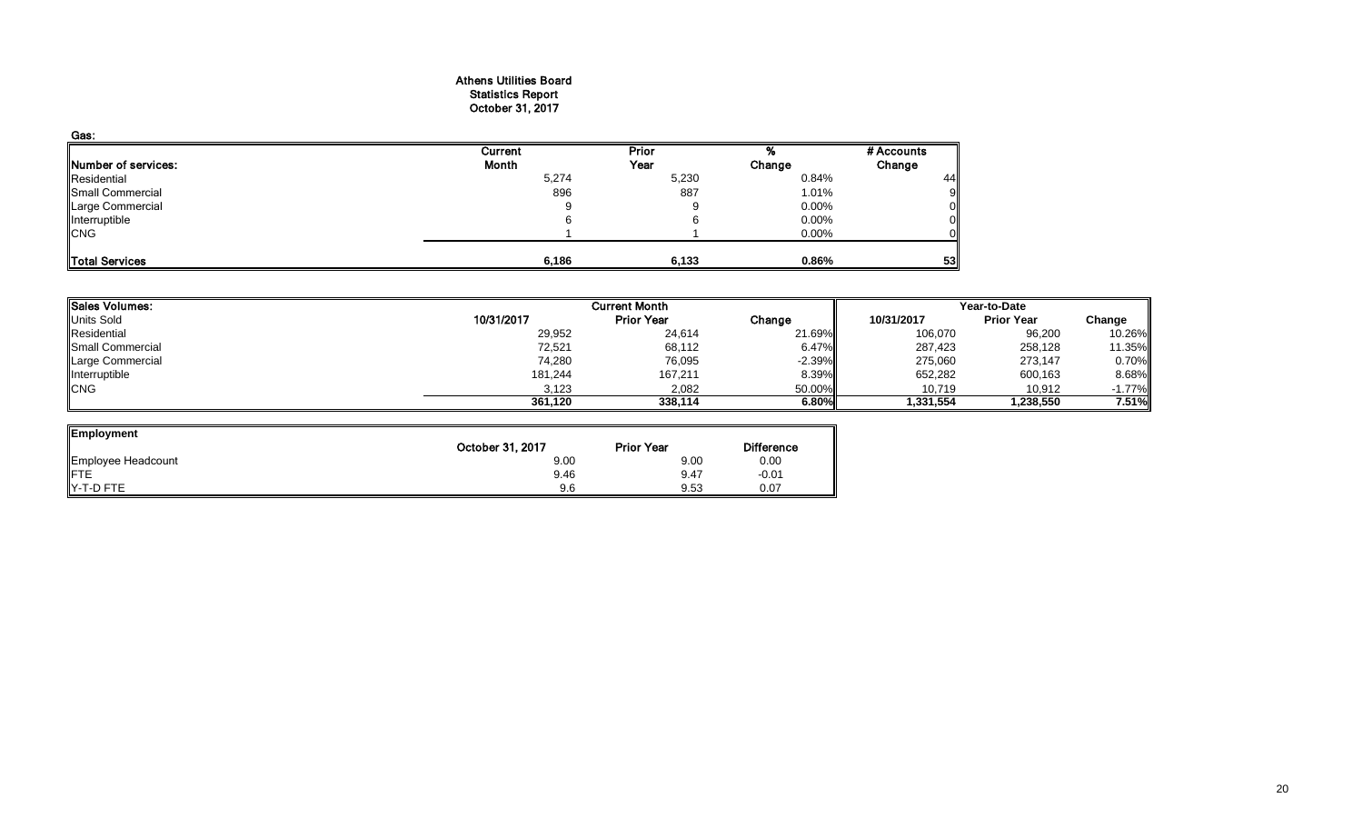#### Athens Utilities Board Statistics Report October 31, 2017

| Gas:                |         |       |          |            |
|---------------------|---------|-------|----------|------------|
|                     | Current | Prior |          | # Accounts |
| Number of services: | Month   | Year  | Change   | Change     |
| Residential         | 5,274   | 5,230 | 0.84%    | 44         |
| Small Commercial    | 896     | 887   | 1.01%    |            |
| Large Commercial    |         | 9     | $0.00\%$ |            |
| Interruptible       |         |       | $0.00\%$ |            |
| <b>CNG</b>          |         |       | $0.00\%$ |            |
| Total Services      | 6,186   | 6,133 | 0.86%    | 53         |

| <b>Sales Volumes:</b> |            | <b>Current Month</b><br>Year-to-Date |          |            |                   |           |
|-----------------------|------------|--------------------------------------|----------|------------|-------------------|-----------|
| <b>Units Sold</b>     | 10/31/2017 | <b>Prior Year</b>                    | Change   | 10/31/2017 | <b>Prior Year</b> | Change    |
| Residential           | 29,952     | 24,614                               | 21.69%   | 106,070    | 96,200            | 10.26%    |
| Small Commercial      | 72,521     | 68,112                               | 6.47%    | 287,423    | 258,128           | 11.35%    |
| Large Commercial      | 74,280     | 76,095                               | $-2.39%$ | 275,060    | 273,147           | 0.70%     |
| Interruptible         | 181,244    | 167,211                              | 8.39%    | 652,282    | 600,163           | 8.68%     |
| <b>CNG</b>            | 3,123      | 2,082                                | 50.00%   | 10,719     | 10,912            | $-1.77\%$ |
|                       | 361.120    | 338.114                              | 6.80%    | 1,331,554  | 1,238,550         | 7.51%     |

| Employment         |                  |                   |                   |
|--------------------|------------------|-------------------|-------------------|
|                    | October 31, 2017 | <b>Prior Year</b> | <b>Difference</b> |
| Employee Headcount | 9.00             | 9.00              | 0.00              |
| <b>IFTE</b>        | 9.46             | 9.47              | $-0.01$           |
| Y-T-D FTE          | 9.6              | 9.53              | 0.07              |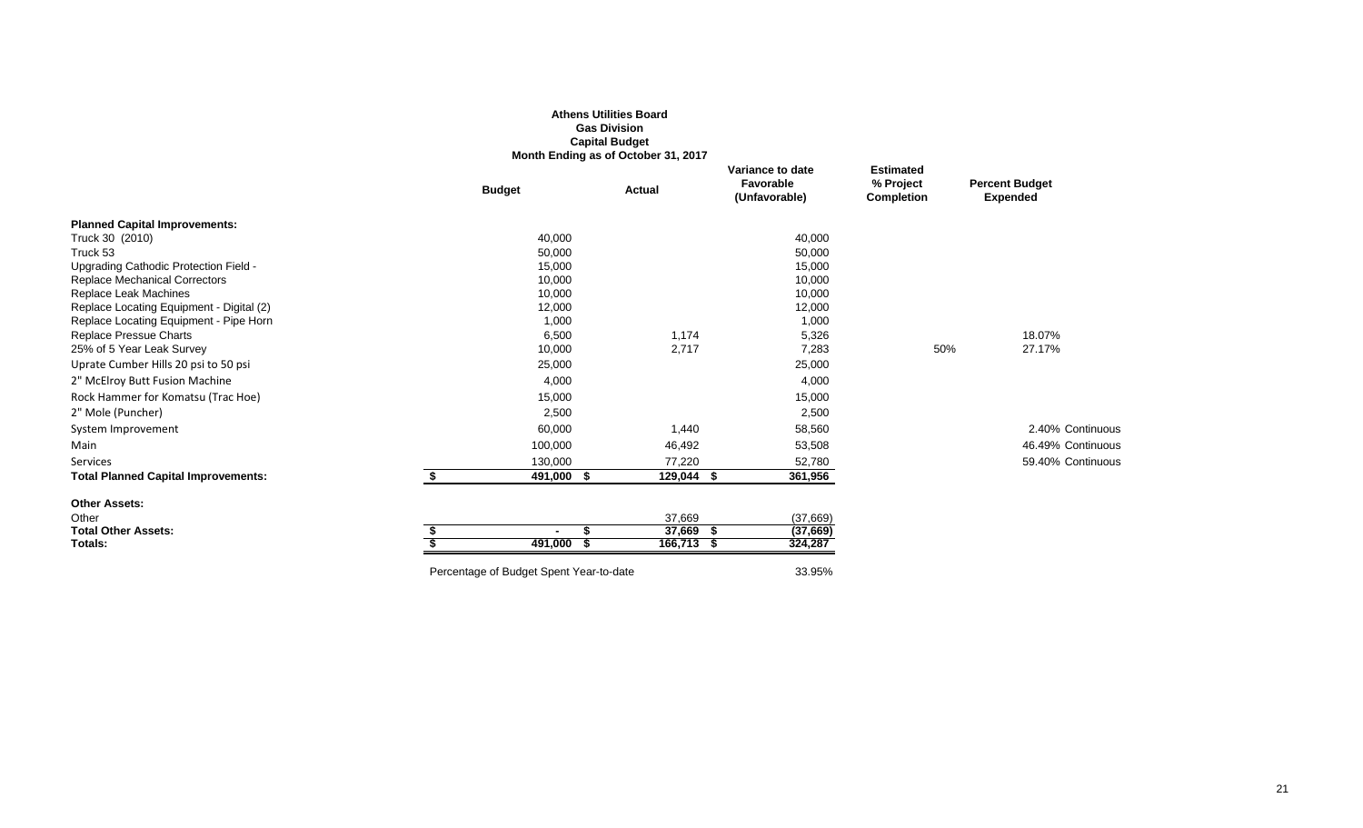|                                                                   |                                         | <b>Athens Utilities Board</b><br><b>Gas Division</b><br><b>Capital Budget</b><br>Month Ending as of October 31, 2017 |                                                |                                                    |                                          |
|-------------------------------------------------------------------|-----------------------------------------|----------------------------------------------------------------------------------------------------------------------|------------------------------------------------|----------------------------------------------------|------------------------------------------|
|                                                                   | <b>Budget</b>                           | Actual                                                                                                               | Variance to date<br>Favorable<br>(Unfavorable) | <b>Estimated</b><br>% Project<br><b>Completion</b> | <b>Percent Budget</b><br><b>Expended</b> |
| <b>Planned Capital Improvements:</b>                              |                                         |                                                                                                                      |                                                |                                                    |                                          |
| Truck 30 (2010)                                                   | 40,000                                  |                                                                                                                      | 40,000                                         |                                                    |                                          |
| Truck 53                                                          | 50,000                                  |                                                                                                                      | 50,000                                         |                                                    |                                          |
| Upgrading Cathodic Protection Field -                             | 15,000                                  |                                                                                                                      | 15,000                                         |                                                    |                                          |
| <b>Replace Mechanical Correctors</b>                              | 10,000                                  |                                                                                                                      | 10,000                                         |                                                    |                                          |
| Replace Leak Machines<br>Replace Locating Equipment - Digital (2) | 10,000<br>12,000                        |                                                                                                                      | 10,000<br>12,000                               |                                                    |                                          |
| Replace Locating Equipment - Pipe Horn                            | 1,000                                   |                                                                                                                      | 1,000                                          |                                                    |                                          |
| Replace Pressue Charts                                            | 6,500                                   | 1,174                                                                                                                | 5,326                                          |                                                    | 18.07%                                   |
| 25% of 5 Year Leak Survey                                         | 10,000                                  | 2,717                                                                                                                | 7,283                                          | 50%                                                | 27.17%                                   |
| Uprate Cumber Hills 20 psi to 50 psi                              | 25,000                                  |                                                                                                                      | 25,000                                         |                                                    |                                          |
| 2" McElroy Butt Fusion Machine                                    | 4,000                                   |                                                                                                                      | 4,000                                          |                                                    |                                          |
| Rock Hammer for Komatsu (Trac Hoe)                                | 15,000                                  |                                                                                                                      | 15,000                                         |                                                    |                                          |
| 2" Mole (Puncher)                                                 | 2,500                                   |                                                                                                                      | 2,500                                          |                                                    |                                          |
| System Improvement                                                | 60,000                                  | 1,440                                                                                                                | 58,560                                         |                                                    | 2.40% Continuous                         |
| Main                                                              | 100,000                                 | 46,492                                                                                                               | 53,508                                         |                                                    | 46.49% Continuous                        |
| Services                                                          | 130,000                                 | 77,220                                                                                                               | 52,780                                         |                                                    | 59.40% Continuous                        |
| <b>Total Planned Capital Improvements:</b>                        | \$<br>491,000 \$                        | 129,044 \$                                                                                                           | 361,956                                        |                                                    |                                          |
| <b>Other Assets:</b>                                              |                                         |                                                                                                                      |                                                |                                                    |                                          |
| Other                                                             |                                         | 37,669                                                                                                               | (37,669)                                       |                                                    |                                          |
| <b>Total Other Assets:</b>                                        |                                         | $37,669$ \$                                                                                                          | (37, 669)                                      |                                                    |                                          |
| Totals:                                                           | 491,000                                 | 166,713 \$                                                                                                           | 324,287                                        |                                                    |                                          |
|                                                                   | Percentage of Budget Spent Year-to-date |                                                                                                                      | 33.95%                                         |                                                    |                                          |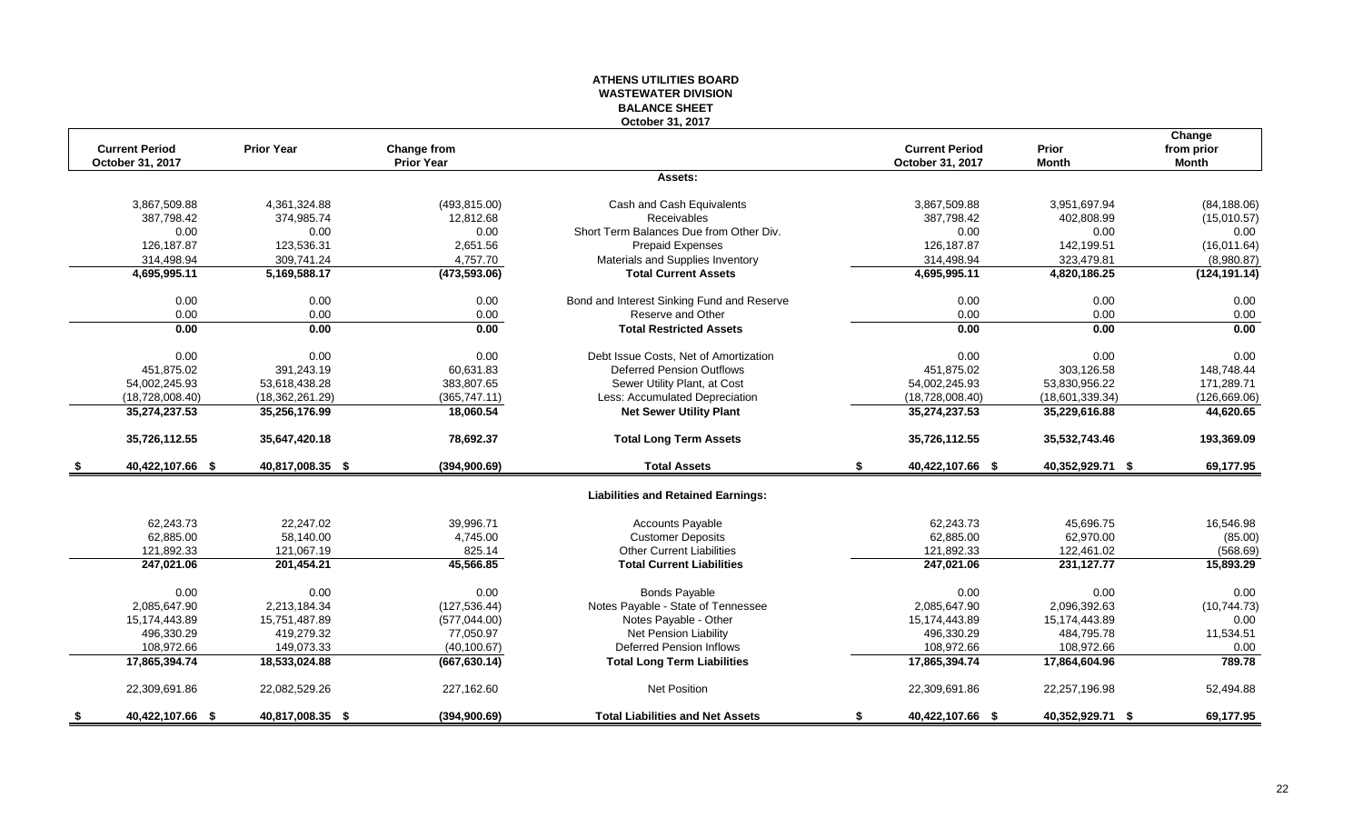#### **ATHENS UTILITIES BOARD WASTEWATER DIVISION BALANCE SHEET October 31, 2017**

| <b>Current Period</b>  | <b>Prior Year</b> | <b>Change from</b> |                                            | <b>Current Period</b>  | <b>Prior</b>     | Change<br>from prior |
|------------------------|-------------------|--------------------|--------------------------------------------|------------------------|------------------|----------------------|
| October 31, 2017       |                   | <b>Prior Year</b>  |                                            | October 31, 2017       | <b>Month</b>     | <b>Month</b>         |
|                        |                   |                    | Assets:                                    |                        |                  |                      |
| 3,867,509.88           | 4,361,324.88      | (493, 815.00)      | Cash and Cash Equivalents                  | 3,867,509.88           | 3,951,697.94     | (84, 188.06)         |
| 387,798.42             | 374,985.74        | 12,812.68          | Receivables                                | 387,798.42             | 402,808.99       | (15,010.57)          |
| 0.00                   | 0.00              | 0.00               | Short Term Balances Due from Other Div.    | 0.00                   | 0.00             | 0.00                 |
| 126,187.87             | 123,536.31        | 2,651.56           | Prepaid Expenses                           | 126,187.87             | 142,199.51       | (16,011.64)          |
| 314,498.94             | 309,741.24        | 4,757.70           | Materials and Supplies Inventory           | 314,498.94             | 323,479.81       | (8,980.87)           |
| 4,695,995.11           | 5,169,588.17      | (473, 593.06)      | <b>Total Current Assets</b>                | 4,695,995.11           | 4,820,186.25     | (124, 191.14)        |
| 0.00                   | 0.00              | 0.00               | Bond and Interest Sinking Fund and Reserve | 0.00                   | 0.00             | 0.00                 |
| 0.00                   | 0.00              | 0.00               | Reserve and Other                          | 0.00                   | 0.00             | 0.00                 |
| 0.00                   | 0.00              | 0.00               | <b>Total Restricted Assets</b>             | 0.00                   | 0.00             | 0.00                 |
| 0.00                   | 0.00              | 0.00               | Debt Issue Costs, Net of Amortization      | 0.00                   | 0.00             | 0.00                 |
| 451,875.02             | 391,243.19        | 60,631.83          | <b>Deferred Pension Outflows</b>           | 451,875.02             | 303,126.58       | 148,748.44           |
| 54,002,245.93          | 53,618,438.28     | 383,807.65         | Sewer Utility Plant, at Cost               | 54,002,245.93          | 53,830,956.22    | 171,289.71           |
| (18,728,008.40)        | (18, 362, 261.29) | (365, 747.11)      | Less: Accumulated Depreciation             | (18,728,008.40)        | (18,601,339.34)  | (126, 669.06)        |
| 35,274,237.53          | 35,256,176.99     | 18,060.54          | <b>Net Sewer Utility Plant</b>             | 35,274,237.53          | 35,229,616.88    | 44,620.65            |
| 35,726,112.55          | 35,647,420.18     | 78,692.37          | <b>Total Long Term Assets</b>              | 35,726,112.55          | 35,532,743.46    | 193,369.09           |
| 40,422,107.66 \$       | 40,817,008.35 \$  | (394, 900.69)      | <b>Total Assets</b>                        | \$<br>40,422,107.66 \$ | 40,352,929.71 \$ | 69,177.95            |
|                        |                   |                    | <b>Liabilities and Retained Earnings:</b>  |                        |                  |                      |
| 62,243.73              | 22.247.02         | 39,996.71          | Accounts Payable                           | 62,243.73              | 45,696.75        | 16,546.98            |
| 62,885.00              | 58,140.00         | 4,745.00           | <b>Customer Deposits</b>                   | 62,885.00              | 62,970.00        | (85.00)              |
| 121,892.33             | 121,067.19        | 825.14             | <b>Other Current Liabilities</b>           | 121,892.33             | 122,461.02       | (568.69)             |
| 247,021.06             | 201,454.21        | 45,566.85          | <b>Total Current Liabilities</b>           | 247,021.06             | 231, 127. 77     | 15,893.29            |
| 0.00                   | 0.00              | 0.00               | <b>Bonds Payable</b>                       | 0.00                   | 0.00             | 0.00                 |
| 2,085,647.90           | 2,213,184.34      | (127, 536.44)      | Notes Payable - State of Tennessee         | 2,085,647.90           | 2,096,392.63     | (10, 744.73)         |
| 15,174,443.89          | 15,751,487.89     | (577, 044.00)      | Notes Payable - Other                      | 15,174,443.89          | 15,174,443.89    | 0.00                 |
| 496.330.29             | 419.279.32        | 77.050.97          | <b>Net Pension Liability</b>               | 496.330.29             | 484.795.78       | 11,534.51            |
| 108,972.66             | 149,073.33        | (40, 100.67)       | <b>Deferred Pension Inflows</b>            | 108,972.66             | 108,972.66       | 0.00                 |
| 17,865,394.74          | 18,533,024.88     | (667, 630.14)      | <b>Total Long Term Liabilities</b>         | 17,865,394.74          | 17,864,604.96    | 789.78               |
| 22,309,691.86          | 22,082,529.26     | 227,162.60         | Net Position                               | 22,309,691.86          | 22,257,196.98    | 52,494.88            |
| \$<br>40,422,107.66 \$ | 40,817,008.35 \$  | (394, 900.69)      | <b>Total Liabilities and Net Assets</b>    | \$<br>40,422,107.66 \$ | 40,352,929.71 \$ | 69,177.95            |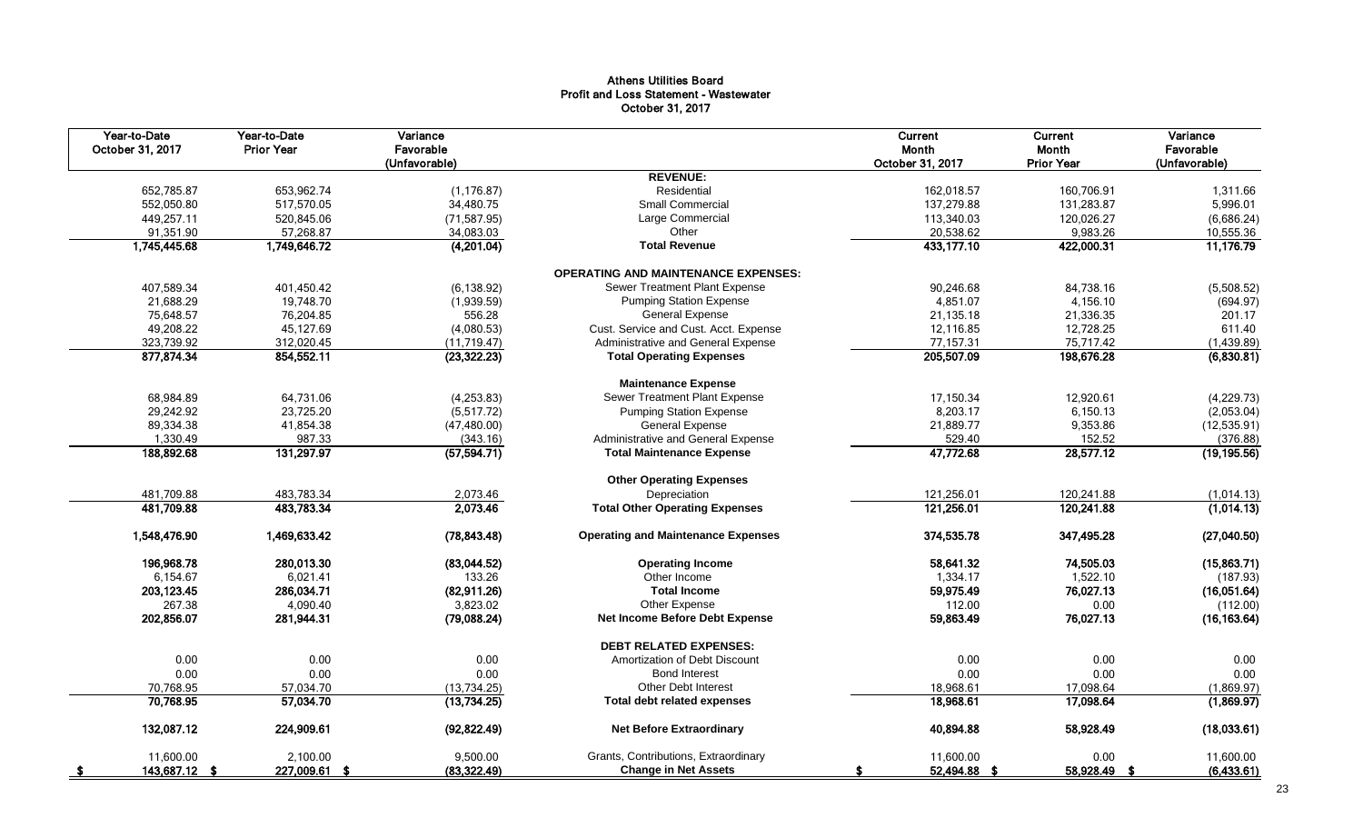#### Athens Utilities Board Profit and Loss Statement - Wastewater October 31, 2017

| Year-to-Date<br>October 31, 2017 | Year-to-Date<br><b>Prior Year</b> | Variance<br>Favorable<br>(Unfavorable) |                                            | <b>Current</b><br>Month<br>October 31, 2017 | Current<br>Month<br><b>Prior Year</b> | Variance<br>Favorable<br>(Unfavorable) |
|----------------------------------|-----------------------------------|----------------------------------------|--------------------------------------------|---------------------------------------------|---------------------------------------|----------------------------------------|
|                                  |                                   |                                        | <b>REVENUE:</b>                            |                                             |                                       |                                        |
| 652,785.87                       | 653,962.74                        | (1, 176.87)                            | Residential                                | 162,018.57                                  | 160,706.91                            | 1,311.66                               |
| 552,050.80                       | 517,570.05                        | 34,480.75                              | Small Commercial                           | 137,279.88                                  | 131,283.87                            | 5,996.01                               |
| 449,257.11                       | 520,845.06                        | (71, 587.95)                           | Large Commercial                           | 113,340.03                                  | 120,026.27                            | (6,686.24)                             |
| 91,351.90                        | 57,268.87                         | 34,083.03                              | Other                                      | 20,538.62                                   | 9,983.26                              | 10,555.36                              |
| 1,745,445.68                     | 1,749,646.72                      | (4,201.04)                             | <b>Total Revenue</b>                       | 433,177.10                                  | 422,000.31                            | 11,176.79                              |
|                                  |                                   |                                        | <b>OPERATING AND MAINTENANCE EXPENSES:</b> |                                             |                                       |                                        |
| 407,589.34                       | 401,450.42                        | (6, 138.92)                            | Sewer Treatment Plant Expense              | 90,246.68                                   | 84,738.16                             | (5,508.52)                             |
| 21,688.29                        | 19,748.70                         | (1,939.59)                             | <b>Pumping Station Expense</b>             | 4,851.07                                    | 4,156.10                              | (694.97)                               |
| 75,648.57                        | 76,204.85                         | 556.28                                 | <b>General Expense</b>                     | 21,135.18                                   | 21,336.35                             | 201.17                                 |
| 49,208.22                        | 45,127.69                         | (4,080.53)                             | Cust. Service and Cust. Acct. Expense      | 12,116.85                                   | 12,728.25                             | 611.40                                 |
| 323,739.92                       | 312,020.45                        | (11, 719.47)                           | Administrative and General Expense         | 77,157.31                                   | 75,717.42                             | (1,439.89)                             |
| 877,874.34                       | 854,552.11                        | (23, 322.23)                           | <b>Total Operating Expenses</b>            | 205,507.09                                  | 198,676.28                            | (6,830.81)                             |
|                                  |                                   |                                        | <b>Maintenance Expense</b>                 |                                             |                                       |                                        |
| 68,984.89                        | 64,731.06                         | (4,253.83)                             | Sewer Treatment Plant Expense              | 17.150.34                                   | 12.920.61                             | (4,229.73)                             |
| 29,242.92                        | 23,725.20                         | (5,517.72)                             | <b>Pumping Station Expense</b>             | 8,203.17                                    | 6,150.13                              | (2,053.04)                             |
| 89,334.38                        | (47, 480.00)<br>41,854.38         |                                        | <b>General Expense</b>                     | 21,889.77                                   | 9,353.86                              | (12, 535.91)                           |
| 1,330.49                         | 987.33                            | (343.16)                               | Administrative and General Expense         | 529.40                                      | 152.52                                | (376.88)                               |
| 188,892.68                       | 131,297.97                        | (57, 594.71)                           | <b>Total Maintenance Expense</b>           | 47,772.68                                   | 28,577.12                             | (19, 195.56)                           |
|                                  |                                   |                                        | <b>Other Operating Expenses</b>            |                                             |                                       |                                        |
| 481,709.88                       | 483,783.34                        | 2,073.46                               | Depreciation                               | 121,256.01                                  | 120,241.88                            | (1,014.13)                             |
| 481,709.88                       | 483,783.34                        | 2,073.46                               | <b>Total Other Operating Expenses</b>      | 121,256.01                                  | 120,241.88                            | (1,014.13)                             |
| 1,548,476.90                     | 1,469,633.42                      | (78, 843.48)                           | <b>Operating and Maintenance Expenses</b>  | 374,535.78                                  | 347,495.28                            | (27,040.50)                            |
| 196,968.78                       | 280.013.30                        | (83,044.52)                            | <b>Operating Income</b>                    | 58,641.32                                   | 74,505.03                             | (15,863.71)                            |
| 6,154.67                         | 6,021.41                          | 133.26                                 | Other Income                               | 1,334.17                                    | 1,522.10                              | (187.93)                               |
| 203, 123.45                      | 286,034.71                        | (82,911.26)                            | <b>Total Income</b>                        | 59,975.49                                   | 76,027.13                             | (16,051.64)                            |
| 267.38                           | 4,090.40                          | 3,823.02                               | Other Expense                              | 112.00                                      | 0.00                                  | (112.00)                               |
| 202,856.07                       | 281,944.31                        | (79,088.24)                            | Net Income Before Debt Expense             | 59,863.49                                   | 76,027.13                             | (16, 163.64)                           |
|                                  |                                   |                                        | <b>DEBT RELATED EXPENSES:</b>              |                                             |                                       |                                        |
| 0.00                             | 0.00                              | 0.00                                   | Amortization of Debt Discount              | 0.00                                        | 0.00                                  | 0.00                                   |
| 0.00                             | 0.00                              | 0.00                                   | <b>Bond Interest</b>                       | 0.00                                        | 0.00                                  | 0.00                                   |
| 70,768.95                        | 57,034.70                         | (13, 734.25)                           | <b>Other Debt Interest</b>                 | 18,968.61                                   | 17,098.64                             | (1,869.97)                             |
| 70,768.95                        | 57,034.70                         | (13, 734.25)                           | <b>Total debt related expenses</b>         | 18,968.61                                   | 17,098.64                             | (1,869.97)                             |
| 132,087.12                       | 224,909.61                        | (92, 822.49)                           | <b>Net Before Extraordinary</b>            | 40,894.88                                   | 58,928.49                             | (18,033.61)                            |
| 11.600.00                        | 2,100.00                          | 9,500.00                               | Grants, Contributions, Extraordinary       | 11.600.00                                   | 0.00                                  | 11,600.00                              |
| 143,687.12 \$                    | 227,009.61 \$                     | (83, 322.49)                           | <b>Change in Net Assets</b>                | 52,494.88 \$                                | 58,928.49 \$                          | (6,433.61)                             |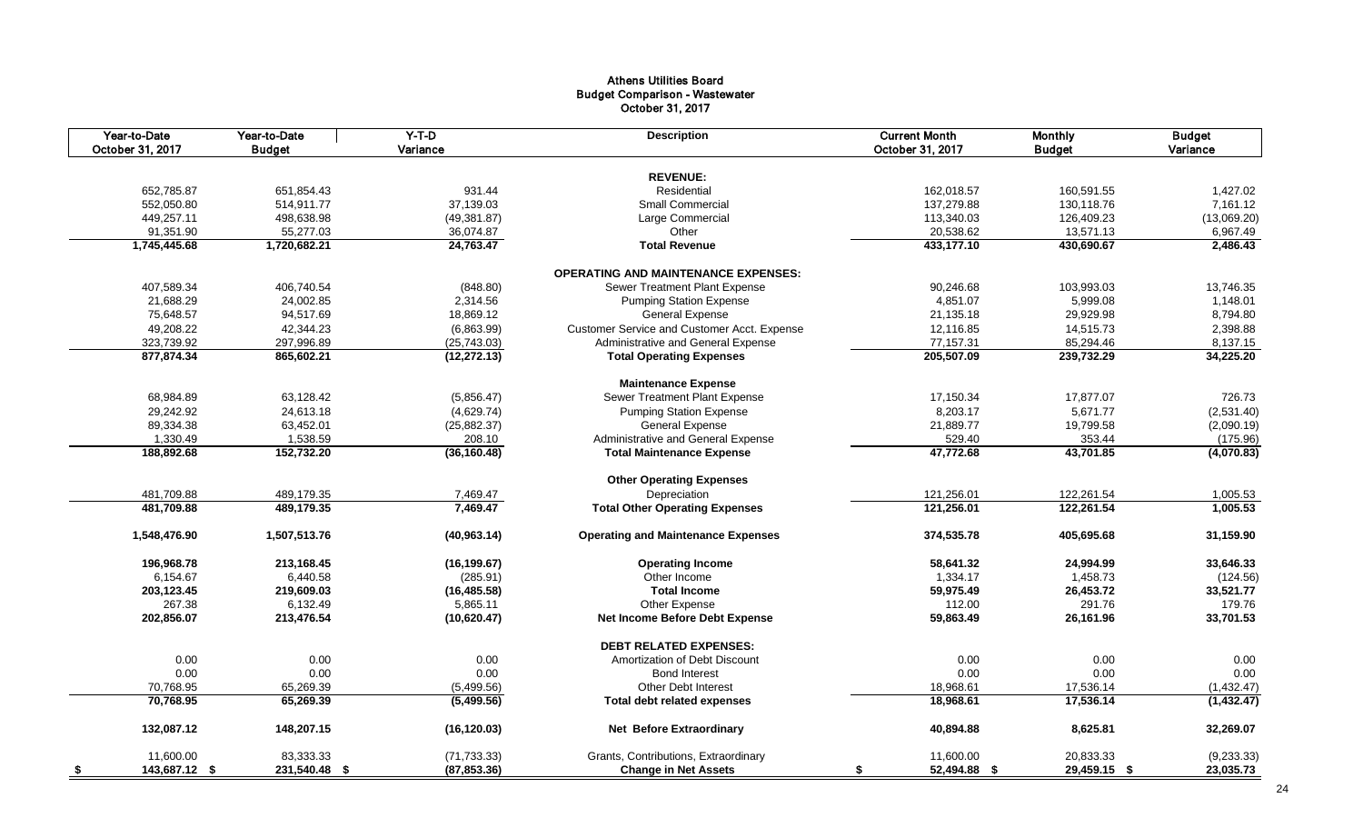#### Athens Utilities Board Budget Comparison - Wastewater October 31, 2017

|      | Year-to-Date<br>October 31, 2017 | Year-to-Date<br><b>Budget</b> | $Y-T-D$<br>Variance | <b>Description</b>                          | <b>Current Month</b><br>October 31, 2017 | <b>Monthly</b><br><b>Budget</b> | <b>Budget</b><br>Variance |
|------|----------------------------------|-------------------------------|---------------------|---------------------------------------------|------------------------------------------|---------------------------------|---------------------------|
|      |                                  |                               |                     |                                             |                                          |                                 |                           |
|      |                                  |                               |                     | <b>REVENUE:</b>                             |                                          |                                 |                           |
|      | 652,785.87                       | 651,854.43                    | 931.44              | Residential                                 | 162,018.57                               | 160,591.55                      | 1,427.02                  |
|      | 552,050.80                       | 514,911.77                    | 37,139.03           | <b>Small Commercial</b>                     | 137,279.88                               | 130,118.76                      | 7,161.12                  |
|      | 449,257.11                       | 498,638.98                    | (49, 381.87)        | Large Commercial                            | 113,340.03                               | 126,409.23                      | (13,069.20)               |
|      | 91,351.90                        | 55,277.03                     | 36,074.87           | Other                                       | 20,538.62                                | 13,571.13                       | 6,967.49                  |
|      | 1,745,445.68                     | 1,720,682.21                  | 24,763.47           | <b>Total Revenue</b>                        | 433,177.10                               | 430,690.67                      | 2,486.43                  |
|      |                                  |                               |                     | <b>OPERATING AND MAINTENANCE EXPENSES:</b>  |                                          |                                 |                           |
|      | 407,589.34                       | 406,740.54                    | (848.80)            | Sewer Treatment Plant Expense               | 90,246.68                                | 103,993.03                      | 13,746.35                 |
|      | 21,688.29                        | 24,002.85                     | 2,314.56            | <b>Pumping Station Expense</b>              | 4,851.07                                 | 5,999.08                        | 1,148.01                  |
|      | 75,648.57                        | 94,517.69                     | 18,869.12           | <b>General Expense</b>                      | 21,135.18                                | 29,929.98                       | 8,794.80                  |
|      | 49,208.22                        | 42,344.23                     | (6,863.99)          | Customer Service and Customer Acct. Expense | 12,116.85                                | 14,515.73                       | 2,398.88                  |
|      | 323,739.92                       | 297,996.89                    | (25, 743.03)        | Administrative and General Expense          | 77,157.31                                | 85,294.46                       | 8,137.15                  |
|      | 877,874.34                       | 865,602.21                    | (12, 272.13)        | <b>Total Operating Expenses</b>             | 205,507.09                               | 239,732.29                      | 34,225.20                 |
|      |                                  |                               |                     |                                             |                                          |                                 |                           |
|      |                                  |                               |                     | <b>Maintenance Expense</b>                  |                                          |                                 |                           |
|      | 68,984.89                        | 63,128.42                     | (5,856.47)          | Sewer Treatment Plant Expense               | 17,150.34                                | 17,877.07                       | 726.73                    |
|      | 29,242.92                        | 24,613.18                     | (4,629.74)          | <b>Pumping Station Expense</b>              | 8,203.17                                 | 5,671.77                        | (2,531.40)                |
|      | 89,334.38                        | 63,452.01                     | (25, 882.37)        | <b>General Expense</b>                      | 21,889.77                                | 19,799.58                       | (2,090.19)                |
|      | 1,330.49                         | 1,538.59                      | 208.10              | Administrative and General Expense          | 529.40                                   | 353.44                          | (175.96)                  |
|      | 188,892.68                       | 152,732.20                    | (36, 160.48)        | <b>Total Maintenance Expense</b>            | 47,772.68                                | 43,701.85                       | (4,070.83)                |
|      |                                  |                               |                     | <b>Other Operating Expenses</b>             |                                          |                                 |                           |
|      | 481,709.88                       | 489,179.35                    | 7,469.47            | Depreciation                                | 121,256.01                               | 122,261.54                      | 1,005.53                  |
|      | 481,709.88                       | 489,179.35                    | 7,469.47            | <b>Total Other Operating Expenses</b>       | 121,256.01                               | 122,261.54                      | 1,005.53                  |
|      | 1,548,476.90                     | 1,507,513.76                  | (40, 963.14)        | <b>Operating and Maintenance Expenses</b>   | 374,535.78                               | 405,695.68                      | 31,159.90                 |
|      | 196,968.78                       | 213,168.45                    | (16, 199.67)        | <b>Operating Income</b>                     | 58,641.32                                | 24,994.99                       | 33,646.33                 |
|      | 6,154.67                         | 6,440.58                      | (285.91)            | Other Income                                | 1,334.17                                 | 1,458.73                        | (124.56)                  |
|      | 203,123.45                       | 219,609.03                    | (16, 485.58)        | <b>Total Income</b>                         | 59,975.49                                | 26,453.72                       | 33,521.77                 |
|      | 267.38                           | 6,132.49                      | 5,865.11            | Other Expense                               | 112.00                                   | 291.76                          | 179.76                    |
|      | 202,856.07                       | 213,476.54                    | (10,620.47)         | Net Income Before Debt Expense              | 59,863.49                                | 26,161.96                       | 33,701.53                 |
|      |                                  |                               |                     | <b>DEBT RELATED EXPENSES:</b>               |                                          |                                 |                           |
|      | 0.00                             | 0.00                          | 0.00                | Amortization of Debt Discount               | 0.00                                     | 0.00                            | 0.00                      |
|      | 0.00                             | 0.00                          | 0.00                | <b>Bond Interest</b>                        | 0.00                                     | 0.00                            | 0.00                      |
|      | 70,768.95                        | 65,269.39                     | (5,499.56)          | <b>Other Debt Interest</b>                  | 18,968.61                                | 17,536.14                       | (1,432.47)                |
|      | 70.768.95                        | 65,269.39                     | (5,499.56)          | <b>Total debt related expenses</b>          | 18,968.61                                | 17.536.14                       | (1,432.47)                |
|      |                                  |                               |                     |                                             |                                          |                                 |                           |
|      | 132,087.12                       | 148,207.15                    | (16, 120.03)        | <b>Net Before Extraordinary</b>             | 40,894.88                                | 8,625.81                        | 32,269.07                 |
|      | 11,600.00                        | 83,333.33                     | (71, 733.33)        | Grants, Contributions, Extraordinary        | 11,600.00                                | 20,833.33                       | (9, 233.33)               |
| - \$ | 143,687.12 \$                    | 231,540.48 \$                 | (87, 853.36)        | <b>Change in Net Assets</b>                 | 52,494.88 \$<br>-\$                      | 29,459.15 \$                    | 23,035.73                 |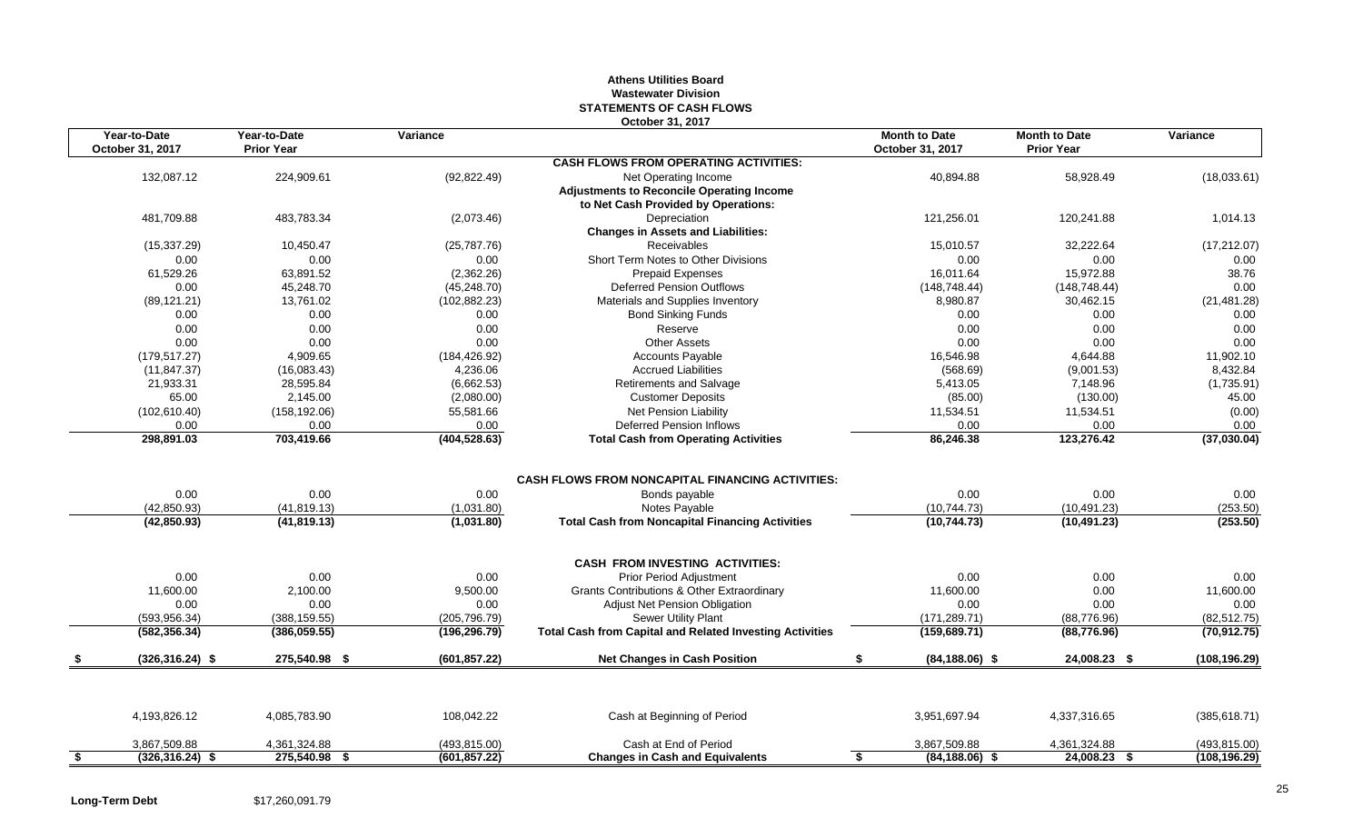#### **Athens Utilities Board Wastewater Division STATEMENTS OF CASH FLOWS October 31, 2017**

| Year-to-Date<br>October 31, 2017 | Year-to-Date<br><b>Prior Year</b> | Variance      |                                                                                                                 | <b>Month to Date</b><br>October 31, 2017 | <b>Month to Date</b><br><b>Prior Year</b> | Variance      |
|----------------------------------|-----------------------------------|---------------|-----------------------------------------------------------------------------------------------------------------|------------------------------------------|-------------------------------------------|---------------|
|                                  |                                   |               | <b>CASH FLOWS FROM OPERATING ACTIVITIES:</b>                                                                    |                                          |                                           |               |
| 132,087.12                       | 224,909.61                        | (92, 822.49)  | Net Operating Income<br><b>Adjustments to Reconcile Operating Income</b><br>to Net Cash Provided by Operations: | 40,894.88                                | 58,928.49                                 | (18,033.61)   |
| 481,709.88                       | 483,783.34                        | (2,073.46)    | Depreciation<br><b>Changes in Assets and Liabilities:</b>                                                       | 121,256.01                               | 120,241.88                                | 1,014.13      |
| (15, 337.29)                     | 10,450.47                         | (25,787.76)   | Receivables                                                                                                     | 15,010.57                                | 32,222.64                                 | (17, 212.07)  |
| 0.00                             | 0.00                              | 0.00          | Short Term Notes to Other Divisions                                                                             | 0.00                                     | 0.00                                      | 0.00          |
| 61,529.26                        | 63,891.52                         | (2,362.26)    | <b>Prepaid Expenses</b>                                                                                         | 16,011.64                                | 15,972.88                                 | 38.76         |
| 0.00                             | 45,248.70                         | (45, 248.70)  | <b>Deferred Pension Outflows</b>                                                                                | (148, 748.44)                            | (148, 748.44)                             | 0.00          |
| (89, 121.21)                     | 13,761.02                         | (102, 882.23) | Materials and Supplies Inventory                                                                                | 8,980.87                                 | 30,462.15                                 | (21, 481.28)  |
| 0.00                             | 0.00                              | 0.00          | <b>Bond Sinking Funds</b>                                                                                       | 0.00                                     | 0.00                                      | 0.00          |
| 0.00                             | 0.00                              | 0.00          | Reserve                                                                                                         | 0.00                                     | 0.00                                      | 0.00          |
| 0.00                             | 0.00                              | 0.00          | <b>Other Assets</b>                                                                                             | 0.00                                     | 0.00                                      | 0.00          |
| (179, 517.27)                    | 4,909.65                          | (184, 426.92) | <b>Accounts Payable</b>                                                                                         | 16,546.98                                | 4,644.88                                  | 11,902.10     |
| (11, 847.37)                     | (16,083.43)                       | 4,236.06      | <b>Accrued Liabilities</b>                                                                                      | (568.69)                                 | (9,001.53)                                | 8,432.84      |
| 21,933.31                        | 28,595.84                         | (6,662.53)    | Retirements and Salvage                                                                                         | 5,413.05                                 | 7,148.96                                  | (1,735.91)    |
| 65.00                            | 2,145.00                          | (2,080.00)    | <b>Customer Deposits</b>                                                                                        | (85.00)                                  | (130.00)                                  | 45.00         |
| (102, 610.40)                    | (158, 192.06)                     | 55,581.66     | Net Pension Liability                                                                                           | 11,534.51                                | 11,534.51                                 | (0.00)        |
| 0.00                             | 0.00                              | 0.00          | Deferred Pension Inflows                                                                                        | 0.00                                     | 0.00                                      | 0.00          |
| 298,891.03                       | 703,419.66                        | (404, 528.63) | <b>Total Cash from Operating Activities</b>                                                                     | 86,246.38                                | 123,276.42                                | (37,030.04)   |
| 0.00                             | 0.00                              | 0.00          | <b>CASH FLOWS FROM NONCAPITAL FINANCING ACTIVITIES:</b><br>Bonds payable                                        | 0.00                                     | 0.00                                      | 0.00          |
| (42,850.93)                      | (41, 819.13)                      | (1,031.80)    | Notes Payable                                                                                                   | (10, 744.73)                             | (10, 491.23)                              | (253.50)      |
| (42, 850.93)                     | (41, 819.13)                      | (1,031.80)    | <b>Total Cash from Noncapital Financing Activities</b>                                                          | (10, 744.73)                             | (10, 491.23)                              | (253.50)      |
|                                  |                                   |               | <b>CASH FROM INVESTING ACTIVITIES:</b>                                                                          |                                          |                                           |               |
| 0.00                             | 0.00                              | 0.00          | Prior Period Adjustment                                                                                         | 0.00                                     | 0.00                                      | 0.00          |
| 11,600.00                        | 2,100.00                          | 9,500.00      | Grants Contributions & Other Extraordinary                                                                      | 11,600.00                                | 0.00                                      | 11,600.00     |
| 0.00                             | 0.00                              | 0.00          | <b>Adjust Net Pension Obligation</b>                                                                            | 0.00                                     | 0.00                                      | 0.00          |
| (593, 956.34)                    | (388, 159.55)                     | (205, 796.79) | Sewer Utility Plant                                                                                             | (171, 289.71)                            | (88, 776.96)                              | (82, 512.75)  |
| (582, 356.34)                    | (386, 059.55)                     | (196, 296.79) | <b>Total Cash from Capital and Related Investing Activities</b>                                                 | (159, 689.71)                            | (88, 776.96)                              | (70, 912.75)  |
| $(326, 316.24)$ \$               | 275,540.98 \$                     | (601, 857.22) | <b>Net Changes in Cash Position</b>                                                                             | \$<br>$(84, 188.06)$ \$                  | 24,008.23 \$                              | (108, 196.29) |
| 4,193,826.12                     | 4.085.783.90                      | 108.042.22    | Cash at Beginning of Period                                                                                     | 3,951,697.94                             | 4,337,316.65                              | (385, 618.71) |
|                                  |                                   |               |                                                                                                                 |                                          |                                           |               |
| 3,867,509.88                     | 4,361,324.88<br>275,540.98 \$     | (493, 815.00) | Cash at End of Period                                                                                           | 3,867,509.88                             | 4,361,324.88<br>24,008.23 \$              | (493, 815.00) |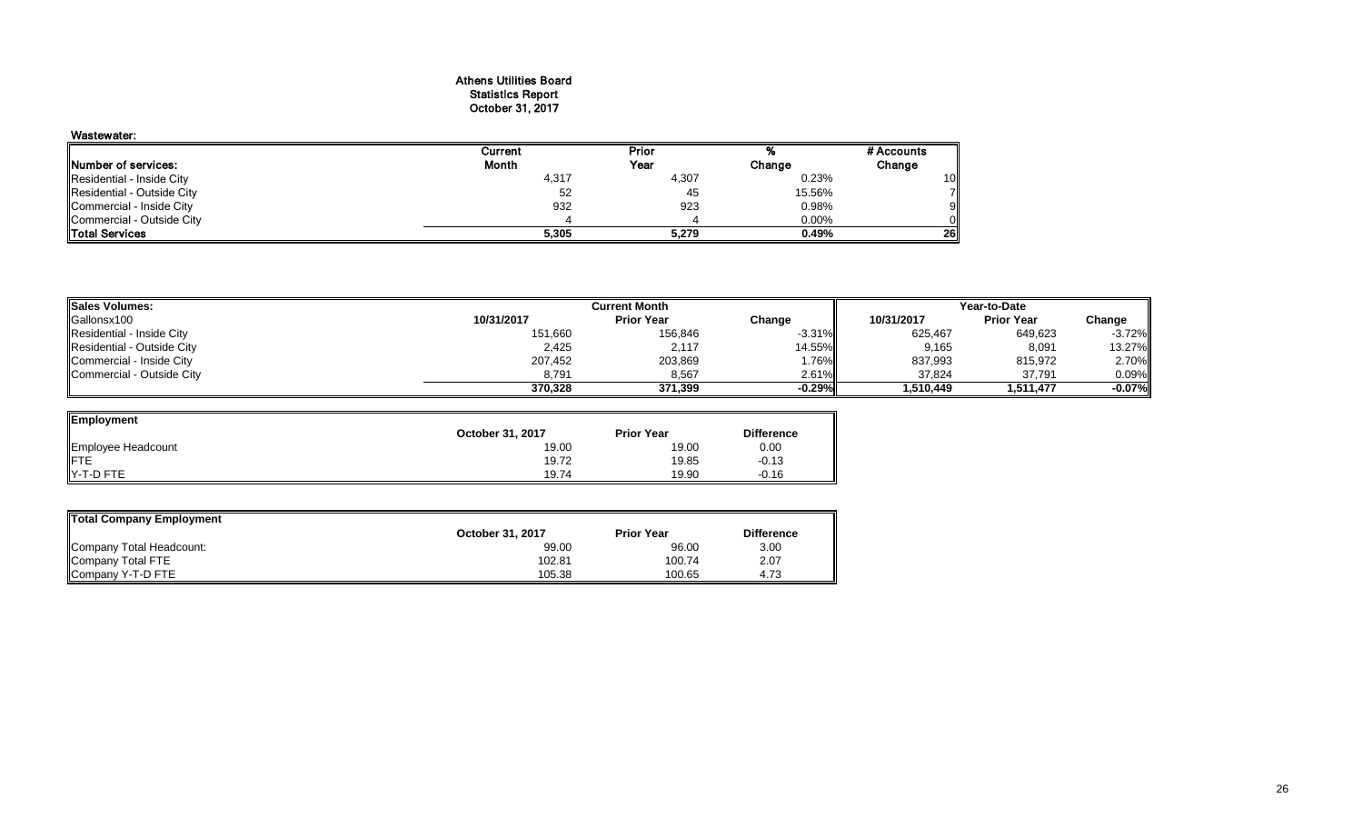#### Athens Utilities Board Statistics Report October 31, 2017

| Wastewater:                |         |       |          |                 |
|----------------------------|---------|-------|----------|-----------------|
|                            | Current | Prior |          | # Accounts      |
| Number of services:        | Month   | Year  | Change   | Change          |
| Residential - Inside City  | 4,317   | 4,307 | 0.23%    | 10 <sup>1</sup> |
| Residential - Outside City | 52      | 45    | 15.56%   |                 |
| Commercial - Inside City   | 932     | 923   | 0.98%    | 91              |
| Commercial - Outside City  |         |       | $0.00\%$ |                 |
| <b>Total Services</b>      | 5,305   | 5,279 | 0.49%    | 26I             |

| <b>Sales Volumes:</b>      |            | <b>Current Month</b> | Year-to-Date    |            |                   |          |
|----------------------------|------------|----------------------|-----------------|------------|-------------------|----------|
| Gallonsx100                | 10/31/2017 | <b>Prior Year</b>    | Change          | 10/31/2017 | <b>Prior Year</b> | Change   |
| Residential - Inside City  | 151,660    | 156,846              | $-3.31\%$       | 625,467    | 649,623           | $-3.72%$ |
| Residential - Outside City | 2,425      | 2,117                | 14.55% <b> </b> | 9,165      | 8,091             | 13.27%   |
| Commercial - Inside City   | 207,452    | 203,869              | 1.76%           | 837,993    | 815,972           | 2.70%    |
| Commercial - Outside City  | 8,791      | 8,567                | 2.61%           | 37,824     | 37,791            | 0.09%    |
|                            | 370.328    | 371.399              | $-0.29%$        | 1.510.449  | 1.511.477         | $-0.07%$ |

 $\overline{\phantom{0}}$ 

| Employment         |                  |                   |                   |
|--------------------|------------------|-------------------|-------------------|
|                    | October 31, 2017 | <b>Prior Year</b> | <b>Difference</b> |
| Employee Headcount | 19.00            | 19.00             | 0.00              |
|                    | 19.72            | 19.85             | $-0.13$           |
| Y-T-D FTE          | 19.74            | 19.90             | $-0.16$           |

| Total Company Employment |                  |                   |                   |  |  |  |  |  |
|--------------------------|------------------|-------------------|-------------------|--|--|--|--|--|
|                          | October 31, 2017 | <b>Prior Year</b> | <b>Difference</b> |  |  |  |  |  |
| Company Total Headcount: | 99.00            | 96.00             | 3.00              |  |  |  |  |  |
| Company Total FTE        | 102.81           | 100.74            | 2.07              |  |  |  |  |  |
| Company Y-T-D FTE        | 105.38           | 100.65            | 4.73              |  |  |  |  |  |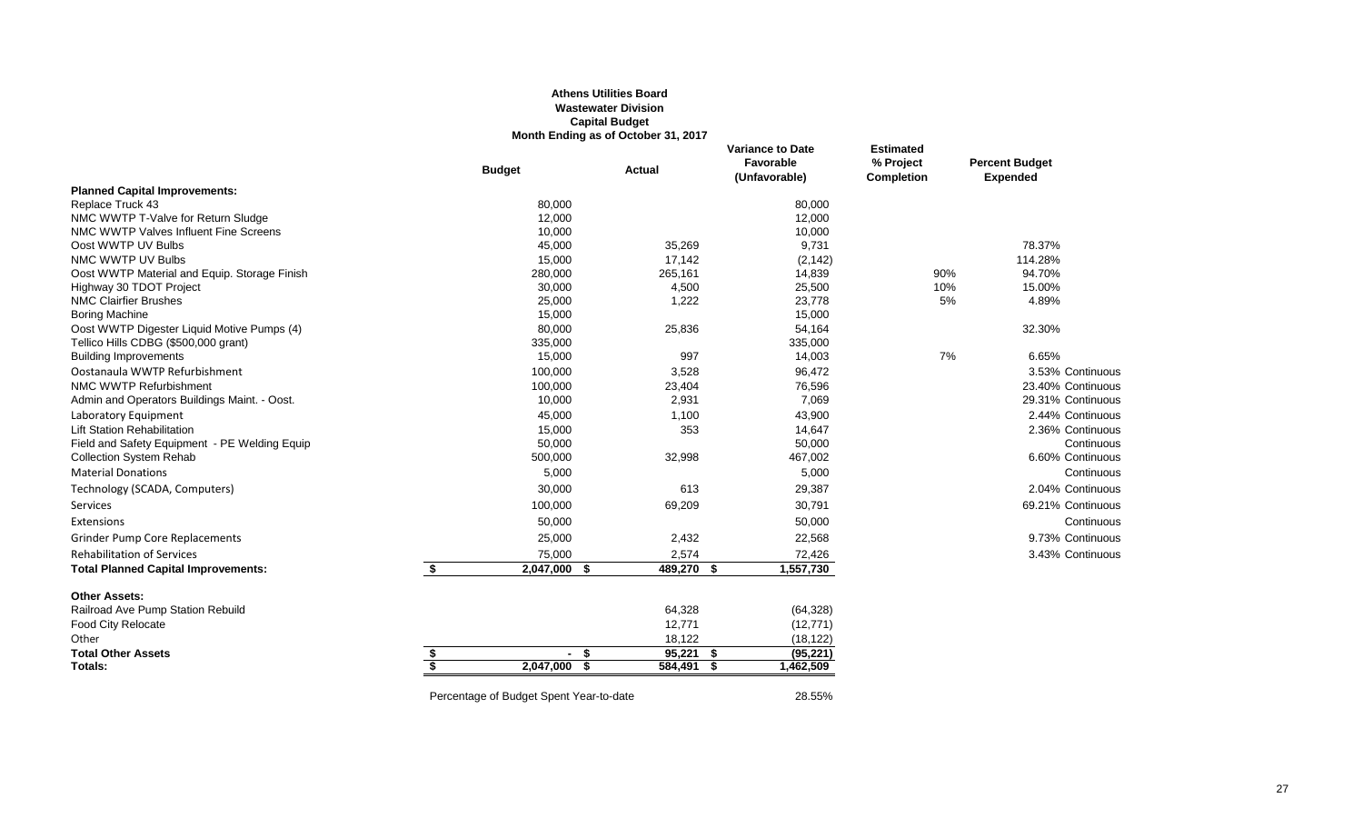#### **Athens Utilities Board Wastewater Division Capital Budget Month Ending as of October 31, 2017**

|                                               |                         |                                         | <b>MONTH ENGING AS OF OCCODER</b> 31, 2017 |                                                       |                                                    |                                          |
|-----------------------------------------------|-------------------------|-----------------------------------------|--------------------------------------------|-------------------------------------------------------|----------------------------------------------------|------------------------------------------|
|                                               |                         | <b>Budget</b>                           | Actual                                     | <b>Variance to Date</b><br>Favorable<br>(Unfavorable) | <b>Estimated</b><br>% Project<br><b>Completion</b> | <b>Percent Budget</b><br><b>Expended</b> |
| <b>Planned Capital Improvements:</b>          |                         |                                         |                                            |                                                       |                                                    |                                          |
| Replace Truck 43                              |                         | 80,000                                  |                                            | 80,000                                                |                                                    |                                          |
| NMC WWTP T-Valve for Return Sludge            |                         | 12,000                                  |                                            | 12,000                                                |                                                    |                                          |
| NMC WWTP Valves Influent Fine Screens         |                         | 10,000                                  |                                            | 10,000                                                |                                                    |                                          |
| Oost WWTP UV Bulbs                            |                         | 45,000                                  | 35,269                                     | 9,731                                                 |                                                    | 78.37%                                   |
| NMC WWTP UV Bulbs                             |                         | 15,000                                  | 17,142                                     | (2, 142)                                              |                                                    | 114.28%                                  |
| Oost WWTP Material and Equip. Storage Finish  |                         | 280,000                                 | 265,161                                    | 14,839                                                | 90%                                                | 94.70%                                   |
| Highway 30 TDOT Project                       |                         | 30,000                                  | 4,500                                      | 25,500                                                | 10%                                                | 15.00%                                   |
| <b>NMC Clairfier Brushes</b>                  |                         | 25,000                                  | 1,222                                      | 23,778                                                | 5%                                                 | 4.89%                                    |
| <b>Boring Machine</b>                         |                         | 15,000                                  |                                            | 15,000                                                |                                                    |                                          |
| Oost WWTP Digester Liquid Motive Pumps (4)    |                         | 80,000                                  | 25,836                                     | 54,164                                                |                                                    | 32.30%                                   |
| Tellico Hills CDBG (\$500,000 grant)          |                         | 335,000                                 |                                            | 335,000                                               |                                                    |                                          |
| <b>Building Improvements</b>                  |                         | 15,000                                  | 997                                        | 14,003                                                | 7%                                                 | 6.65%                                    |
| Oostanaula WWTP Refurbishment                 |                         | 100,000                                 | 3,528                                      | 96,472                                                |                                                    | 3.53% Continuous                         |
| NMC WWTP Refurbishment                        |                         | 100,000                                 | 23,404                                     | 76,596                                                |                                                    | 23.40% Continuous                        |
| Admin and Operators Buildings Maint. - Oost.  |                         | 10,000                                  | 2,931                                      | 7,069                                                 |                                                    | 29.31% Continuous                        |
| Laboratory Equipment                          |                         | 45,000                                  | 1,100                                      | 43,900                                                |                                                    | 2.44% Continuous                         |
| <b>Lift Station Rehabilitation</b>            |                         | 15,000                                  | 353                                        | 14,647                                                |                                                    | 2.36% Continuous                         |
| Field and Safety Equipment - PE Welding Equip |                         | 50,000                                  |                                            | 50,000                                                |                                                    | Continuous                               |
| <b>Collection System Rehab</b>                |                         | 500,000                                 | 32,998                                     | 467,002                                               |                                                    | 6.60% Continuous                         |
| <b>Material Donations</b>                     |                         | 5,000                                   |                                            | 5,000                                                 |                                                    | Continuous                               |
| Technology (SCADA, Computers)                 |                         | 30,000                                  | 613                                        | 29,387                                                |                                                    | 2.04% Continuous                         |
| Services                                      |                         | 100,000                                 | 69,209                                     | 30,791                                                |                                                    | 69.21% Continuous                        |
| Extensions                                    |                         | 50,000                                  |                                            | 50,000                                                |                                                    | Continuous                               |
| <b>Grinder Pump Core Replacements</b>         |                         | 25,000                                  | 2,432                                      | 22,568                                                |                                                    | 9.73% Continuous                         |
| <b>Rehabilitation of Services</b>             |                         | 75,000                                  | 2,574                                      | 72,426                                                |                                                    | 3.43% Continuous                         |
| <b>Total Planned Capital Improvements:</b>    | \$                      | 2,047,000 \$                            | 489,270 \$                                 | 1,557,730                                             |                                                    |                                          |
| <b>Other Assets:</b>                          |                         |                                         |                                            |                                                       |                                                    |                                          |
| Railroad Ave Pump Station Rebuild             |                         |                                         | 64,328                                     | (64, 328)                                             |                                                    |                                          |
| Food City Relocate                            |                         |                                         | 12,771                                     | (12, 771)                                             |                                                    |                                          |
| Other                                         |                         |                                         | 18,122                                     | (18, 122)                                             |                                                    |                                          |
| <b>Total Other Assets</b>                     | \$                      | $-5$                                    | $95,221$ \$                                | (95, 221)                                             |                                                    |                                          |
| Totals:                                       | $\overline{\mathbf{s}}$ | $2,047,000$ \$                          | 584,491 \$                                 | 1,462,509                                             |                                                    |                                          |
|                                               |                         | Percentage of Budget Spent Year-to-date |                                            | 28.55%                                                |                                                    |                                          |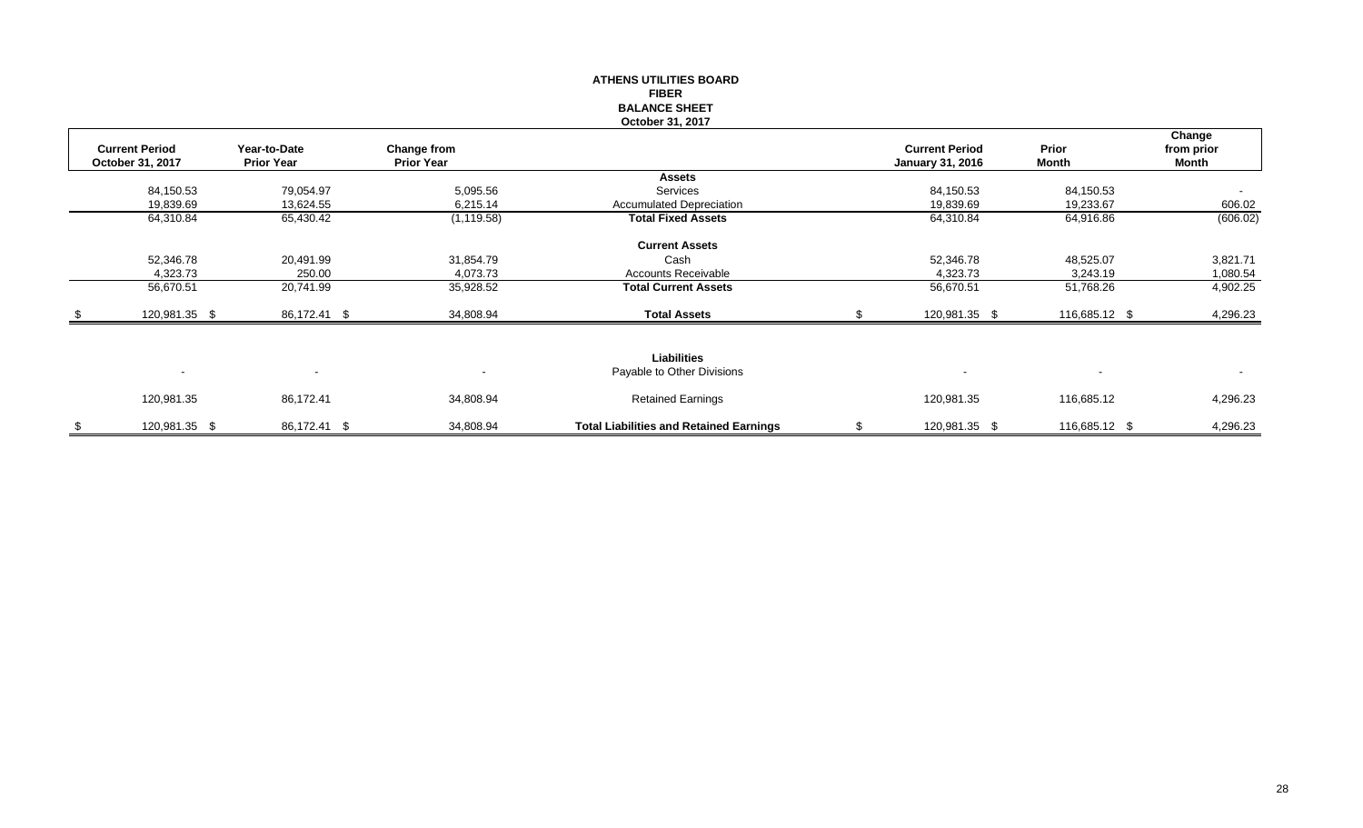# **ATHENS UTILITIES BOARD FIBER BALANCE SHEET October 31, 2017**

| <b>Current Period</b><br>October 31, 2017 | Year-to-Date<br><b>Prior Year</b> | Change from<br><b>Prior Year</b> |                                                | <b>Current Period</b><br><b>January 31, 2016</b> | Prior<br>Month | Change<br>from prior<br>Month |
|-------------------------------------------|-----------------------------------|----------------------------------|------------------------------------------------|--------------------------------------------------|----------------|-------------------------------|
|                                           |                                   |                                  | <b>Assets</b>                                  |                                                  |                |                               |
| 84,150.53                                 | 79,054.97                         | 5,095.56                         | Services                                       | 84,150.53                                        | 84,150.53      |                               |
| 19,839.69                                 | 13,624.55                         | 6,215.14                         | <b>Accumulated Depreciation</b>                | 19,839.69                                        | 19,233.67      | 606.02                        |
| 64,310.84                                 | 65,430.42                         | (1, 119.58)                      | <b>Total Fixed Assets</b>                      | 64,310.84                                        | 64,916.86      | (606.02)                      |
|                                           |                                   |                                  | <b>Current Assets</b>                          |                                                  |                |                               |
| 52,346.78                                 | 20,491.99                         | 31,854.79                        | Cash                                           | 52,346.78                                        | 48,525.07      | 3,821.71                      |
| 4,323.73                                  | 250.00                            | 4,073.73                         | <b>Accounts Receivable</b>                     | 4,323.73                                         | 3,243.19       | 1,080.54                      |
| 56,670.51                                 | 20,741.99                         | 35,928.52                        | <b>Total Current Assets</b>                    | 56,670.51                                        | 51,768.26      | 4,902.25                      |
| 120,981.35 \$                             | 86,172.41 \$                      | 34,808.94                        | <b>Total Assets</b>                            | 120,981.35 \$                                    | 116,685.12 \$  | 4,296.23                      |
|                                           |                                   |                                  | <b>Liabilities</b>                             |                                                  |                |                               |
| $\sim$                                    | $\blacksquare$                    | $\overline{\phantom{a}}$         | Payable to Other Divisions                     | $\overline{\phantom{0}}$                         | $\sim$         | $\blacksquare$                |
| 120,981.35                                | 86,172.41                         | 34,808.94                        | <b>Retained Earnings</b>                       | 120,981.35                                       | 116,685.12     | 4,296.23                      |
| 120,981.35 \$                             | 86,172.41 \$                      | 34,808.94                        | <b>Total Liabilities and Retained Earnings</b> | 120,981.35 \$                                    | 116,685.12 \$  | 4,296.23                      |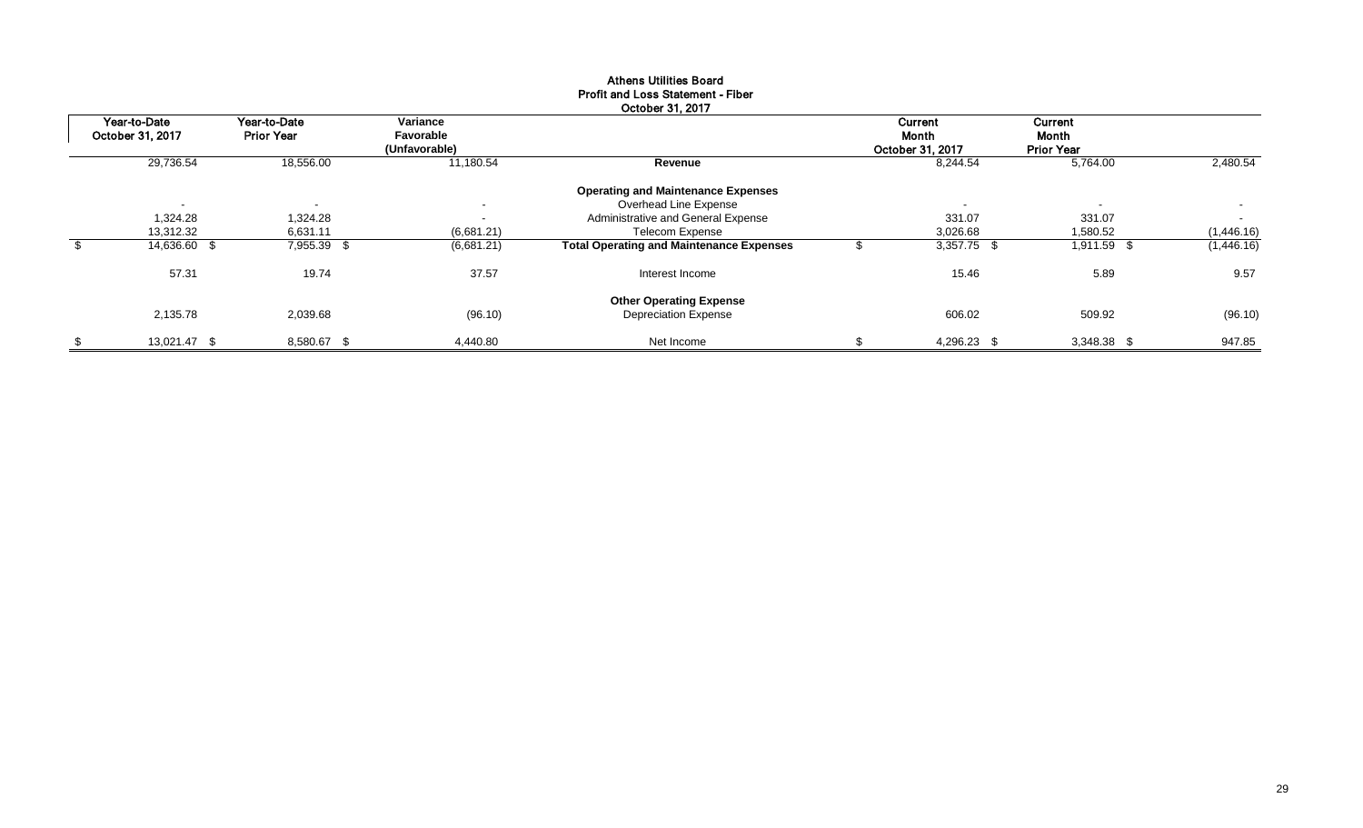| Year-to-Date       | Year-to-Date             | Variance                   |                                                 | Current          | Current                  |            |
|--------------------|--------------------------|----------------------------|-------------------------------------------------|------------------|--------------------------|------------|
| October 31, 2017   | <b>Prior Year</b>        | Favorable<br>(Unfavorable) |                                                 | Month            | Month                    |            |
|                    |                          |                            |                                                 | October 31, 2017 | <b>Prior Year</b>        |            |
| 29,736.54          | 18,556.00                | 11,180.54                  | Revenue                                         | 8,244.54         | 5,764.00                 | 2,480.54   |
|                    |                          |                            | <b>Operating and Maintenance Expenses</b>       |                  |                          |            |
|                    | $\overline{\phantom{a}}$ | $\overline{\phantom{a}}$   | Overhead Line Expense                           |                  | $\overline{\phantom{a}}$ | $\sim$     |
| 1,324.28           | 1,324.28                 | $\sim$                     | Administrative and General Expense              | 331.07           | 331.07                   | $\sim$     |
| 13,312.32          | 6,631.11                 | (6,681.21)                 | <b>Telecom Expense</b>                          | 3,026.68         | 1,580.52                 | (1,446.16) |
| 14,636.60 \$       | 7,955.39 \$              | (6,681.21)                 | <b>Total Operating and Maintenance Expenses</b> | 3,357.75 \$      | $1,911.\overline{59}$ \$ | (1,446.16) |
| 57.31              | 19.74                    | 37.57                      | Interest Income                                 | 15.46            | 5.89                     | 9.57       |
|                    |                          |                            | <b>Other Operating Expense</b>                  |                  |                          |            |
| 2,135.78           | 2,039.68                 | (96.10)                    | <b>Depreciation Expense</b>                     | 606.02           | 509.92                   | (96.10)    |
| \$<br>13,021.47 \$ | 8,580.67 \$              | 4.440.80                   | Net Income                                      | 4,296.23 \$      | 3,348.38 \$              | 947.85     |

### Athens Utilities Board Profit and Loss Statement - Fiber